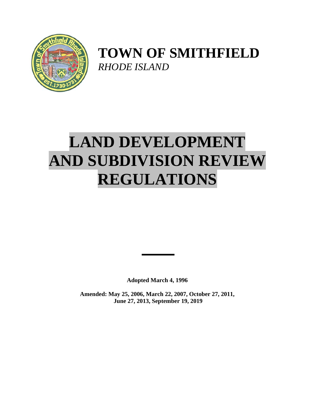

## **TOWN OF SMITHFIELD**  *RHODE ISLAND*

# **LAND DEVELOPMENT AND SUBDIVISION REVIEW REGULATIONS**

**Adopted March 4, 1996** 

**Amended: May 25, 2006, March 22, 2007, October 27, 2011, June 27, 2013, September 19, 2019**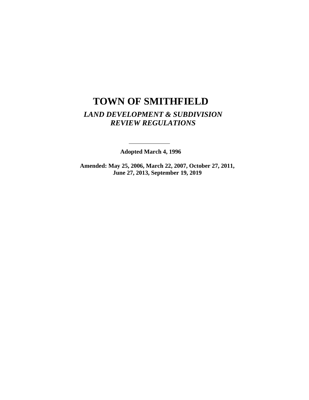## **TOWN OF SMITHFIELD**  *LAND DEVELOPMENT & SUBDIVISION REVIEW REGULATIONS*

**Adopted March 4, 1996** 

**Amended: May 25, 2006, March 22, 2007, October 27, 2011, June 27, 2013, September 19, 2019** 

 $\overline{\phantom{0}}$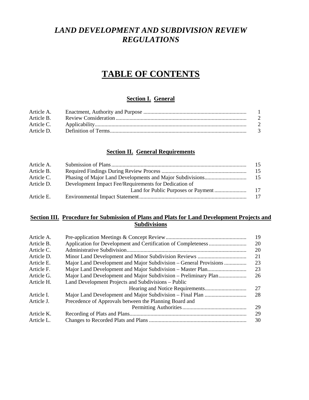### *LAND DEVELOPMENT AND SUBDIVISION REVIEW REGULATIONS*

## **TABLE OF CONTENTS**

#### **Section I. General**

| Article A. |                |
|------------|----------------|
| Article B. | $\overline{2}$ |
| Article C. | $\overline{2}$ |
| Article D. | $\mathcal{R}$  |
|            |                |

#### **Section II. General Requirements**

| Article A. |                                                       |     |
|------------|-------------------------------------------------------|-----|
| Article B. |                                                       | 15  |
| Article C. |                                                       | -15 |
| Article D. | Development Impact Fee/Requirements for Dedication of |     |
|            |                                                       | 17  |
| Article E. |                                                       |     |

#### **Section III. Procedure for Submission of Plans and Plats for Land Development Projects and Subdivisions**

| Article A. |                                                                   | 19 |
|------------|-------------------------------------------------------------------|----|
| Article B. |                                                                   | 20 |
| Article C. |                                                                   | 20 |
| Article D. |                                                                   | 21 |
| Article E. | Major Land Development and Major Subdivision – General Provisions | 23 |
| Article F. |                                                                   | 23 |
| Article G. | Major Land Development and Major Subdivision - Preliminary Plan   | 26 |
| Article H. | Land Development Projects and Subdivisions – Public               |    |
|            |                                                                   | 27 |
| Article I. |                                                                   | 28 |
| Article J. | Precedence of Approvals between the Planning Board and            |    |
|            |                                                                   | 29 |
| Article K. |                                                                   | 29 |
| Article L. |                                                                   | 30 |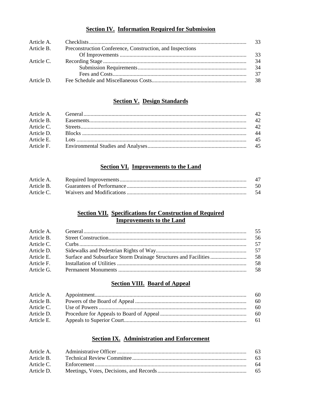#### **Section IV. Information Required for Submission**

|            |                                                                      | - 33 |
|------------|----------------------------------------------------------------------|------|
|            | Article B. Preconstruction Conference, Construction, and Inspections |      |
|            |                                                                      | -33  |
| Article C. |                                                                      | 34   |
|            |                                                                      | -34  |
|            |                                                                      | -37  |
| Article D. |                                                                      | - 38 |

#### **Section V. Design Standards**

#### **Section VI. Improvements to the Land**

| Article A. |    |
|------------|----|
| Article B. |    |
| Article C. | 54 |

#### **Section VII. Specifications for Construction of Required Improvements to the Land**

| Article A. | -55  |
|------------|------|
| Article B. | -56  |
| Article C. | -57  |
| Article D. |      |
| Article E. | - 58 |
| Article F. | .58  |
| Article G. | -58  |
|            |      |

#### **Section VIII. Board of Appeal**

| Article A. | -60  |
|------------|------|
| Article B. | -60  |
| Article C. | -60  |
| Article D. | - 60 |
| Article E. | - 61 |

#### **Section IX. Administration and Enforcement**

| Article B. |      |
|------------|------|
| Article C. | - 64 |
| Article D. |      |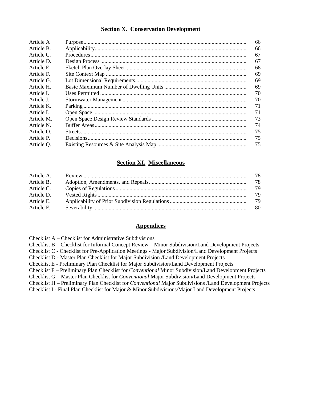#### **Section X. Conservation Development**

| Article A  | 66 |
|------------|----|
| Article B. | 66 |
| Article C. | 67 |
| Article D. | 67 |
| Article E. | 68 |
| Article F. | 69 |
| Article G. | 69 |
| Article H. | 69 |
| Article L  | 70 |
| Article J. | 70 |
| Article K. | 71 |
| Article L. | 71 |
| Article M. | 73 |
| Article N. | 74 |
| Article O. | 75 |
| Article P. | 75 |
| Article Q. | 75 |
|            |    |

#### **Section XI. Miscellaneous**

| Article A. | 78  |
|------------|-----|
| Article B. | -78 |
| Article C. | 79  |
| Article D. | 79  |
| Article E. |     |
| Article F. | -80 |

#### **Appendices**

Checklist A – Checklist for Administrative Subdivisions

Checklist B – Checklist for Informal Concept Review – Minor Subdivision/Land Development Projects

Checklist C - Checklist for Pre-Application Meetings - Major Subdivision/Land Development Projects

Checklist D - Master Plan Checklist for Major Subdivision /Land Development Projects

Checklist E - Preliminary Plan Checklist for Major Subdivision/Land Development Projects

Checklist F – Preliminary Plan Checklist for *Conventional* Minor Subdivision/Land Development Projects

Checklist G – Master Plan Checklist for *Conventional* Major Subdivision/Land Development Projects

Checklist H – Preliminary Plan Checklist for *Conventional* Major Subdivisions /Land Development Projects

Checklist I - Final Plan Checklist for Major & Minor Subdivisions/Major Land Development Projects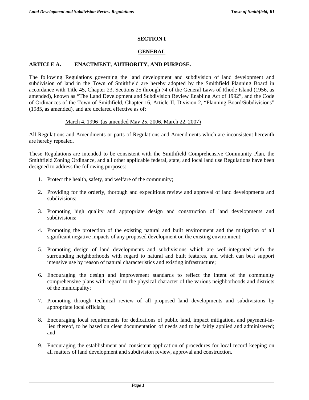#### **SECTION I**

#### **GENERAL**

#### **ARTICLE A. ENACTMENT, AUTHORITY, AND PURPOSE.**

The following Regulations governing the land development and subdivision of land development and subdivision of land in the Town of Smithfield are hereby adopted by the Smithfield Planning Board in accordance with Title 45, Chapter 23, Sections 25 through 74 of the General Laws of Rhode Island (1956, as amended), known as "The Land Development and Subdivision Review Enabling Act of 1992", and the Code of Ordinances of the Town of Smithfield, Chapter 16, Article II, Division 2, "Planning Board/Subdivisions" (1985, as amended), and are declared effective as of:

#### March 4, 1996 (as amended May 25, 2006, March 22, 2007)

All Regulations and Amendments or parts of Regulations and Amendments which are inconsistent herewith are hereby repealed.

These Regulations are intended to be consistent with the Smithfield Comprehensive Community Plan, the Smithfield Zoning Ordinance, and all other applicable federal, state, and local land use Regulations have been designed to address the following purposes:

- 1. Protect the health, safety, and welfare of the community;
- 2. Providing for the orderly, thorough and expeditious review and approval of land developments and subdivisions;
- 3. Promoting high quality and appropriate design and construction of land developments and subdivisions;
- 4. Promoting the protection of the existing natural and built environment and the mitigation of all significant negative impacts of any proposed development on the existing environment;
- 5. Promoting design of land developments and subdivisions which are well-integrated with the surrounding neighborhoods with regard to natural and built features, and which can best support intensive use by reason of natural characteristics and existing infrastructure;
- 6. Encouraging the design and improvement standards to reflect the intent of the community comprehensive plans with regard to the physical character of the various neighborhoods and districts of the municipality;
- 7. Promoting through technical review of all proposed land developments and subdivisions by appropriate local officials;
- 8. Encouraging local requirements for dedications of public land, impact mitigation, and payment-inlieu thereof, to be based on clear documentation of needs and to be fairly applied and administered; and
- 9. Encouraging the establishment and consistent application of procedures for local record keeping on all matters of land development and subdivision review, approval and construction.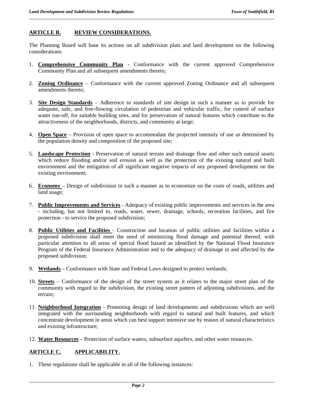#### **ARTICLE B. REVIEW CONSIDERATIONS.**

The Planning Board will base its actions on all subdivision plats and land development on the following considerations:

- 1. **Comprehensive Community Plan** Conformance with the current approved Comprehensive Community Plan and all subsequent amendments thereto;
- 2. **Zoning Ordinance** Conformance with the current approved Zoning Ordinance and all subsequent amendments thereto;
- 3. **Site Design Standards** Adherence to standards of site design in such a manner as to provide for adequate, safe, and free-flowing circulation of pedestrian and vehicular traffic, for control of surface water run-off, for suitable building sites, and for preservation of natural features which contribute to the attractiveness of the neighborhoods, districts, and community at large;
- 4. **Open Space** Provision of open space to accommodate the projected intensity of use as determined by the population density and composition of the proposed site;
- 5. **Landscape Protection** Preservation of natural terrain and drainage flow and other such natural assets which reduce flooding and/or soil erosion as well as the protection of the existing natural and built environment and the mitigation of all significant negative impacts of any proposed development on the existing environment;
- 6. **Economy**  Design of subdivision in such a manner as to economize on the costs of roads, utilities and land usage;
- 7. **Public Improvements and Services** Adequacy of existing public improvements and services in the area - including, but not limited to, roads, water, sewer, drainage, schools, recreation facilities, and fire protection - to service the proposed subdivision;
- 8. **Public Utilities and Facilities**  Construction and location of public utilities and facilities within a proposed subdivision shall meet the need of minimizing flood damage and potential thereof, with particular attention to all areas of special flood hazard as identified by the National Flood Insurance Program of the Federal Insurance Administration and to the adequacy of drainage in and affected by the proposed subdivision;
- 9. **Wetlands** Conformance with State and Federal Laws designed to protect wetlands;
- 10. **Streets** Conformance of the design of the street system as it relates to the major street plan of the community with regard to the subdivision, the existing street pattern of adjoining subdivisions, and the terrain;
- 11. **Neighborhood Integration** Promoting design of land developments and subdivisions which are well integrated with the surrounding neighborhoods with regard to natural and built features, and which concentrate development in areas which can best support intensive use by reason of natural characteristics and existing infrastructure;
- 12. **Water Resources** Protection of surface waters, subsurface aquifers, and other water resources.

#### **ARTICLE C. APPLICABILITY.**

1. These regulations shall be applicable in all of the following instances: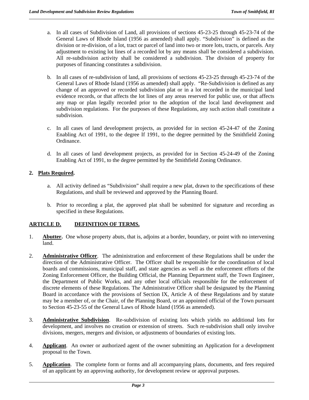- a. In all cases of Subdivision of Land, all provisions of sections 45-23-25 through 45-23-74 of the General Laws of Rhode Island (1956 as amended) shall apply. "Subdivision" is defined as the division or re-division, of a lot, tract or parcel of land into two or more lots, tracts, or parcels. Any adjustment to existing lot lines of a recorded lot by any means shall be considered a subdivision. All re-subdivision activity shall be considered a subdivision. The division of property for purposes of financing constitutes a subdivision.
- b. In all cases of re-subdivision of land, all provisions of sections 45-23-25 through 45-23-74 of the General Laws of Rhode Island (1956 as amended) shall apply. "Re-Subdivision is defined as any change of an approved or recorded subdivision plat or in a lot recorded in the municipal land evidence records, or that affects the lot lines of any areas reserved for public use, or that affects any map or plan legally recorded prior to the adoption of the local land development and subdivision regulations. For the purposes of these Regulations, any such action shall constitute a subdivision.
- c. In all cases of land development projects, as provided for in section 45-24-47 of the Zoning Enabling Act of 1991, to the degree If 1991, to the degree permitted by the Smithfield Zoning Ordinance.
- d. In all cases of land development projects, as provided for in Section 45-24-49 of the Zoning Enabling Act of 1991, to the degree permitted by the Smithfield Zoning Ordinance.

#### **2. Plats Required.**

- a. All activity defined as "Subdivision" shall require a new plat, drawn to the specifications of these Regulations, and shall be reviewed and approved by the Planning Board.
- b. Prior to recording a plat, the approved plat shall be submitted for signature and recording as specified in these Regulations.

#### **ARTICLE D. DEFINITION OF TERMS.**

- 1. **Abutter.** One whose property abuts, that is, adjoins at a border, boundary, or point with no intervening land.
- 2. **Administrative Officer**. The administration and enforcement of these Regulations shall be under the direction of the Administrative Officer. The Officer shall be responsible for the coordination of local boards and commissions, municipal staff, and state agencies as well as the enforcement efforts of the Zoning Enforcement Officer, the Building Official, the Planning Department staff, the Town Engineer, the Department of Public Works, and any other local officials responsible for the enforcement of discrete elements of these Regulations. The Administrative Officer shall be designated by the Planning Board in accordance with the provisions of Section IX, Article A of these Regulations and by statute may be a member of, or the Chair, of the Planning Board, or an appointed official of the Town pursuant to Section 45-23-55 of the General Laws of Rhode Island (1956 as amended).
- 3. **Administrative Subdivision**. Re-subdivision of existing lots which yields no additional lots for development, and involves no creation or extension of streets. Such re-subdivision shall only involve divisions, mergers, mergers and division, or adjustments of boundaries of existing lots.
- 4. **Applicant**. An owner or authorized agent of the owner submitting an Application for a development proposal to the Town.
- 5. **Application**. The complete form or forms and all accompanying plans, documents, and fees required of an applicant by an approving authority, for development review or approval purposes.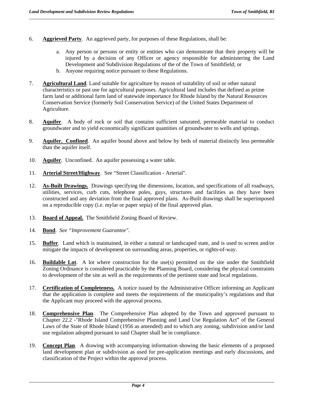- 6. **Aggrieved Party**. An aggrieved party, for purposes of these Regulations, shall be:
	- a. Any person or persons or entity or entities who can demonstrate that their property will be injured by a decision of any Officer or agency responsible for administering the Land Development and Subdivision Regulations of the of the Town of Smithfield; or
	- b. Anyone requiring notice pursuant to these Regulations.
- 7. **Agricultural Land**. Land suitable for agriculture by reason of suitability of soil or other natural characteristics or past use for agricultural purposes. Agricultural land includes that defined as prime farm land or additional farm land of statewide importance for Rhode Island by the Natural Resources Conservation Service (formerly Soil Conservation Service) of the United States Department of Agriculture.
- 8. **Aquifer**. A body of rock or soil that contains sufficient saturated, permeable material to conduct groundwater and to yield economically significant quantities of groundwater to wells and springs.
- 9. **Aquifer. Confined**. An aquifer bound above and below by beds of material distinctly less permeable than the aquifer itself.
- 10. **Aquifer**. Unconfined. An aquifer possessing a water table.
- 11. **Arterial Street/Highway**. See "Street Classification Arterial".
- 12. **As-Built Drawings.** Drawings specifying the dimensions, location, and specifications of all roadways, utilities, services, curb cuts, telephone poles, guys, structures and facilities as they have been constructed and any deviation from the final approved plans. As-Built drawings shall be superimposed on a reproducible copy (i.e. mylar or paper sepia) of the final approved plan.
- 13. **Board of Appeal.** The Smithfield Zoning Board of Review.
- 14. **Bond**. *See "Improvement Guarantee".*
- 15. **Buffer**. Land which is maintained, in either a natural or landscaped state, and is used to screen and/or mitigate the impacts of development on surrounding areas, properties, or rights-of-way.
- 16. **Buildable Lot**. A lot where construction for the use(s) permitted on the site under the Smithfield Zoning Ordinance is considered practicable by the Planning Board, considering the physical constraints to development of the site as well as the requirements of the pertinent state and local regulations.
- 17. **Certification of Completeness.** A notice issued by the Administrative Officer informing an Applicant that the application is complete and meets the requirements of the municipality's regulations and that the Applicant may proceed with the approval process.
- 18. **Comprehensive Plan**. The Comprehensive Plan adopted by the Town and approved pursuant to Chapter 22.2 -"Rhode Island Comprehensive Planning and Land Use Regulation Act" of the General Laws of the State of Rhode Island (1956 as amended) and to which any zoning, subdivision and/or land use regulation adopted pursuant to said Chapter shall be in compliance.
- 19. **Concept Plan**. A drawing with accompanying information showing the basic elements of a proposed land development plan or subdivision as used for pre-application meetings and early discussions, and classification of the Project within the approval process.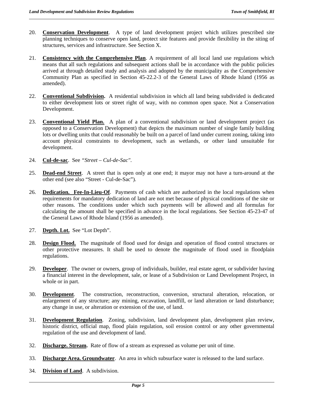- 20. **Conservation Development**. A type of land development project which utilizes prescribed site planning techniques to conserve open land, protect site features and provide flexibility in the siting of structures, services and infrastructure. See Section X.
- 21. **Consistency with the Comprehensive Plan**. A requirement of all local land use regulations which means that all such regulations and subsequent actions shall be in accordance with the public policies arrived at through detailed study and analysis and adopted by the municipality as the Comprehensive Community Plan as specified in Section 45-22.2-3 of the General Laws of Rhode Island (1956 as amended).
- 22. **Conventional Subdivision.** A residential subdivision in which all land being subdivided is dedicated to either development lots or street right of way, with no common open space. Not a Conservation Development.
- 23. **Conventional Yield Plan.** A plan of a conventional subdivision or land development project (as opposed to a Conservation Development) that depicts the maximum number of single family building lots or dwelling units that could reasonably be built on a parcel of land under current zoning, taking into account physical constraints to development, such as wetlands, or other land unsuitable for development.
- 24. **Cul-de-sac**. See *"Street Cul-de-Sac"*.
- 25. **Dead-end Street**. A street that is open only at one end; it mayor may not have a turn-around at the other end (see also "Street - Cul-de-Sac").
- 26. **Dedication. Fee-In-Lieu-Of**. Payments of cash which are authorized in the local regulations when requirements for mandatory dedication of land are not met because of physical conditions of the site or other reasons. The conditions under which such payments will be allowed and all formulas for calculating the amount shall be specified in advance in the local regulations. See Section 45-23-47 of the General Laws of Rhode Island (1956 as amended).
- 27. **Depth. Lot.** See "Lot Depth".
- 28. **Design Flood.** The magnitude of flood used for design and operation of flood control structures or other protective measures. It shall be used to denote the magnitude of flood used in floodplain regulations.
- 29. **Developer**. The owner or owners, group of individuals, builder, real estate agent, or subdivider having a financial interest in the development, sale, or lease of a Subdivision or Land Development Project, in whole or in part.
- 30. **Development**. The construction, reconstruction, conversion, structural alteration, relocation, or enlargement of any structure; any mining, excavation, landfill, or land alteration or land disturbance; any change in use, or alteration or extension of the use, of land.
- 31. **Development Regulation**. Zoning, subdivision, land development plan, development plan review, historic district, official map, flood plain regulation, soil erosion control or any other governmental regulation of the use and development of land.
- 32. **Discharge. Stream.** Rate of flow of a stream as expressed as volume per unit of time.
- 33. **Discharge Area. Groundwater**. An area in which subsurface water is released to the land surface.
- 34. **Division of Land**. A subdivision.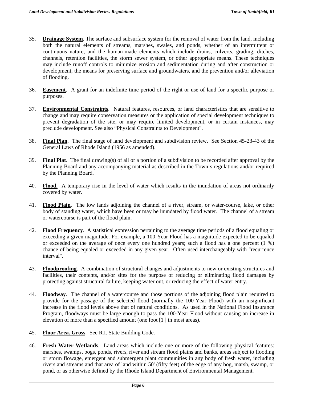- 35. **Drainage System**. The surface and subsurface system for the removal of water from the land, including both the natural elements of streams, marshes, swales, and ponds, whether of an intermittent or continuous nature, and the human-made elements which include drains, culverts, grading, ditches, channels, retention facilities, the storm sewer system, or other appropriate means. These techniques may include runoff controls to minimize erosion and sedimentation during and after construction or development, the means for preserving surface and groundwaters, and the prevention and/or alleviation of flooding.
- 36. **Easement**. A grant for an indefinite time period of the right or use of land for a specific purpose or purposes.
- 37. **Environmental Constraints**. Natural features, resources, or land characteristics that are sensitive to change and may require conservation measures or the application of special development techniques to prevent degradation of the site, or may require limited development, or in certain instances, may preclude development. See also "Physical Constraints to Development".
- 38. **Final Plan**. The final stage of land development and subdivision review. See Section 45-23-43 of the General Laws of Rhode Island (1956 as amended).
- 39. **Final Plat**. The final drawing(s) of all or a portion of a subdivision to be recorded after approval by the Planning Board and any accompanying material as described in the Town's regulations and/or required by the Planning Board.
- 40. **Flood.** A temporary rise in the level of water which results in the inundation of areas not ordinarily covered by water.
- 41. **Flood Plain**. The low lands adjoining the channel of a river, stream, or water-course, lake, or other body of standing water, which have been or may be inundated by flood water. The channel of a stream or watercourse is part of the flood plain.
- 42. **Flood Frequency**. A statistical expression pertaining to the average time periods of a flood equaling or exceeding a given magnitude. For example, a 100-Year Flood has a magnitude expected to be equaled or exceeded on the average of once every one hundred years; such a flood has a one percent (1 %) chance of being equaled or exceeded in any given year. Often used interchangeably with "recurrence interval".
- 43. **Floodproofing**. A combination of structural changes and adjustments to new or existing structures and facilities, their contents, and/or sites for the purpose of reducing or eliminating flood damages by protecting against structural failure, keeping water out, or reducing the effect of water entry.
- 44. **Floodway**. The channel of a watercourse and those portions of the adjoining flood plain required to provide for the passage of the selected flood (normally the 100-Year Flood) with an insignificant increase in the flood levels above that of natural conditions. As used in the National Flood Insurance Program, floodways must be large enough to pass the 100-Year Flood without causing an increase in elevation of more than a specified amount (one foot [1'] in most areas).
- 45. **Floor Area. Gross**. See R.I. State Building Code.
- 46. **Fresh Water Wetlands**. Land areas which include one or more of the following physical features: marshes, swamps, bogs, ponds, rivers, river and stream flood plains and banks, areas subject to flooding or storm flowage, emergent and submergent plant communities in any body of fresh water, including rivers and streams and that area of land within 50' (fifty feet) of the edge of any bog, marsh, swamp, or pond, or as otherwise defined by the Rhode Island Department of Environmental Management.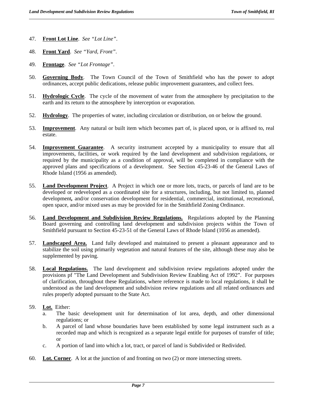47. **Front Lot Line**. *See "Lot Line"*.

- 48. **Front Yard**. *See "Yard, Front"*.
- 49. **Frontage**. *See "Lot Frontage"*.
- 50. **Governing Body**. The Town Council of the Town of Smithfield who has the power to adopt ordinances, accept public dedications, release public improvement guarantees, and collect fees.
- 51. **Hydrologic Cycle**. The cycle of the movement of water from the atmosphere by precipitation to the earth and its return to the atmosphere by interception or evaporation.
- 52. **Hydrology**. The properties of water, including circulation or distribution, on or below the ground.
- 53. **Improvement**. Any natural or built item which becomes part of, is placed upon, or is affixed to, real estate.
- 54. **Improvement Guarantee**. A security instrument accepted by a municipality to ensure that all improvements, facilities, or work required by the land development and subdivision regulations, or required by the municipality as a condition of approval, will be completed in compliance with the approved plans and specifications of a development. See Section 45-23-46 of the General Laws of Rhode Island (1956 as amended).
- 55. **Land Development Project**. A Project in which one or more lots, tracts, or parcels of land are to be developed or redeveloped as a coordinated site for a structures, including, but not limited to, planned development*,* and/or conservation development for residential, commercial, institutional, recreational, open space, and/or mixed uses as may be provided for in the Smithfield Zoning Ordinance.
- 56. **Land Development and Subdivision Review Regulations.** Regulations adopted by the Planning Board governing and controlling land development and subdivision projects within the Town of Smithfield pursuant to Section 45-23-51 of the General Laws of Rhode Island (1056 as amended).
- 57. **Landscaped Area.** Land fully developed and maintained to present a pleasant appearance and to stabilize the soil using primarily vegetation and natural features of the site, although these may also be supplemented by paving.
- 58. **Local Regulations.** The land development and subdivision review regulations adopted under the provisions pf "The Land Development and Subdivision Review Enabling Act of 1992". For purposes of clarification, throughout these Regulations, where reference is made to local regulations, it shall be understood as the land development and subdivision review regulations and all related ordinances and rules properly adopted pursuant to the State Act.
- 59. **Lot.** Either:

- a. The basic development unit for determination of lot area, depth, and other dimensional regulations; or
- b. A parcel of land whose boundaries have been established by some legal instrument such as a recorded map and which is recognized as a separate legal entitle for purposes of transfer of title; or
- c. A portion of land into which a lot, tract, or parcel of land is Subdivided or Redivided.
- 60. **Lot. Corner**. A lot at the junction of and fronting on two (2) or more intersecting streets.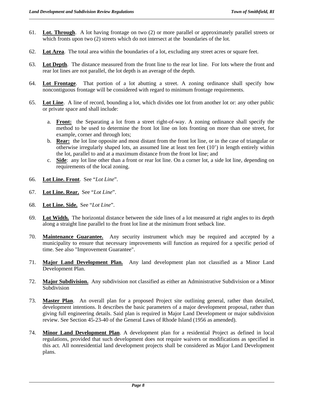- 61. **Lot. Through**. A lot having frontage on two (2) or more parallel or approximately parallel streets or which fronts upon two (2) streets which do not intersect at the boundaries of the lot.
- 62. **Lot Area**. The total area within the boundaries of a lot, excluding any street acres or square feet.
- 63. **Lot Depth**. The distance measured from the front line to the rear lot line. For lots where the front and rear lot lines are not parallel, the lot depth is an average of the depth.
- 64. **Lot Frontage**. That portion of a lot abutting a street. A zoning ordinance shall specify how noncontiguous frontage will be considered with regard to minimum frontage requirements.
- 65. **Lot Line**. A line of record, bounding a lot, which divides one lot from another lot or: any other public or private space and shall include:
	- a. **Front:** the Separating a lot from a street right-of-way. A zoning ordinance shall specify the method to be used to determine the front lot line on lots fronting on more than one street, for example, corner and through lots;
	- b. **Rear:** the lot line opposite and most distant from the front lot line, or in the case of triangular or otherwise irregularly shaped lots, an assumed line at least ten feet (10') in length entirely within the lot, parallel to and at a maximum distance from the front lot line; and
	- c. **Side**: any lot line other than a front or rear lot line. On a corner lot, a side lot line, depending on requirements of the local zoning.
- 66. **Lot Line. Front**. See "*Lot Line*".
- 67. **Lot Line. Rear.** See "*Lot Line*".
- 68. **Lot Line. Side.** See "*Lot Line*".
- 69. **Lot Width.** The horizontal distance between the side lines of a lot measured at right angles to its depth along a straight line parallel to the front lot line at the minimum front setback line.
- 70. **Maintenance Guarantee.** Any security instrument which may be required and accepted by a municipality to ensure that necessary improvements will function as required for a specific period of time. See also "Improvement Guarantee".
- 71. **Major Land Development Plan.** Any land development plan not classified as a Minor Land Development Plan.
- 72. **Major Subdivision.** Any subdivision not classified as either an Administrative Subdivision or a Minor Subdivision
- 73. **Master Plan**. An overall plan for a proposed Project site outlining general, rather than detailed, development intentions. It describes the basic parameters of a major development proposal, rather than giving full engineering details. Said plan is required in Major Land Development or major subdivision review. See Section 45-23-40 of the General Laws of Rhode Island (1956 as amended).
- 74. **Minor Land Development Plan**. A development plan for a residential Project as defined in local regulations, provided that such development does not require waivers or modifications as specified in this act. All nonresidential land development projects shall be considered as Major Land Development plans.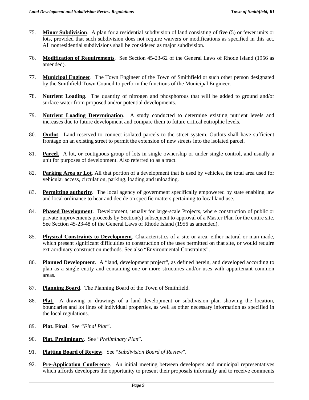- 75. **Minor Subdivision**. A plan for a residential subdivision of land consisting of five (5) or fewer units or lots, provided that such subdivision does not require waivers or modifications as specified in this act. All nonresidential subdivisions shall be considered as major subdivision.
- 76. **Modification of Requirements**. See Section 45-23-62 of the General Laws of Rhode Island (1956 as amended).
- 77. **Municipal Engineer**. The Town Engineer of the Town of Smithfield or such other person designated by the Smithfield Town Council to perform the functions of the Municipal Engineer.
- 78. **Nutrient Loading**. The quantity of nitrogen and phosphorous that will be added to ground and/or surface water from proposed and/or potential developments.
- 79. **Nutrient Loading Determination**. A study conducted to determine existing nutrient levels and increases due to future development and compare them to future critical eutrophic levels.
- 80. **Outlot**. Land reserved to connect isolated parcels to the street system. Outlots shall have sufficient frontage on an existing street to permit the extension of new streets into the isolated parcel.
- 81. **Parcel.** A lot, or contiguous group of lots in single ownership or under single control, and usually a unit for purposes of development. Also referred to as a tract.
- 82. **Parking Area or Lot**. All that portion of a development that is used by vehicles, the total area used for vehicular access, circulation, parking, loading and unloading.
- 83. **Permitting authority**. The local agency of government specifically empowered by state enabling law and local ordinance to hear and decide on specific matters pertaining to local land use.
- 84. **Phased Development**. Development, usually for large-scale Projects, where construction of public or private improvements proceeds by Section(s) subsequent to approval of a Master Plan for the entire site. See Section 45-23-48 of the General Laws of Rhode Island (1956 as amended).
- 85. **Physical Constraints to Development**. Characteristics of a site or area, either natural or man-made, which present significant difficulties to construction of the uses permitted on that site, or would require extraordinary construction methods. See also "Environmental Constraints".
- 86. **Planned Development**. A "land, development project", as defined herein, and developed according to plan as a single entity and containing one or more structures and/or uses with appurtenant common areas.
- 87. **Planning Board**. The Planning Board of the Town of Smithfield.
- 88. **Plat.** A drawing or drawings of a land development or subdivision plan showing the location, boundaries and lot lines of individual properties, as well as other necessary information as specified in the local regulations.
- 89. **Plat. Final**. See *"Final Plat"*.

- 90. **Plat. Preliminary**. See "*Preliminary Plan*".
- 91. **Platting Board of Review**. See "*Subdivision Board of Review*".
- 92. **Pre-Application Conference**. An initial meeting between developers and municipal representatives which affords developers the opportunity to present their proposals informally and to receive comments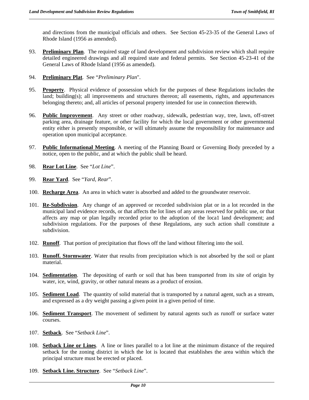and directions from the municipal officials and others. See Section 45-23-35 of the General Laws of Rhode Island (1956 as amended).

- 93. **Preliminary Plan**. The required stage of land development and subdivision review which shall require detailed engineered drawings and all required state and federal permits. See Section 45-23-41 of the General Laws of Rhode Island (1956 as amended).
- 94. **Preliminary Plat**. See "*Preliminary Plan*".
- 95. **Property**. Physical evidence of possession which for the purposes of these Regulations includes the land; building(s); all improvements and structures thereon; all easements, rights, and appurtenances belonging thereto; and, all articles of personal property intended for use in connection therewith.
- 96. **Public Improvement**. Any street or other roadway, sidewalk, pedestrian way, tree, lawn, off-street parking area, drainage feature, or other facility for which the local government or other governmental entity either is presently responsible, or will ultimately assume the responsibility for maintenance and operation upon municipal acceptance.
- 97. **Public Informational Meeting**. A meeting of the Planning Board or Governing Body preceded by a notice, open to the public, and at which the public shall be heard.
- 98. **Rear Lot Line**. See "*Lot Line*".
- 99. **Rear Yard**. See "*Yard, Rear*".
- 100. **Recharge Area**. An area in which water is absorbed and added to the groundwater reservoir.
- 101. **Re-Subdivsion**. Any change of an approved or recorded subdivision plat or in a lot recorded in the municipal land evidence records, or that affects the lot lines of any areas reserved for public use, or that affects any map or plan legally recorded prior to the adoption of the loca1 land development; and subdivision regulations. For the purposes of these Regulations, any such action shall constitute a subdivision.
- 102. **Runoff**. That portion of precipitation that flows off the land without filtering into the soil.
- 103. **Runoff. Stormwater**. Water that results from precipitation which is not absorbed by the soil or plant material.
- 104. **Sedimentation**. The depositing of earth or soil that has been transported from its site of origin by water, ice, wind, gravity, or other natural means as a product of erosion.
- 105. **Sediment Load**. The quantity of solid material that is transported by a natural agent, such as a stream, and expressed as a dry weight passing a given point in a given period of time.
- 106. **Sediment Transport**. The movement of sediment by natural agents such as runoff or surface water courses.
- 107. **Setback**. See "*Setback Line*".

- 108. **Setback Line or Lines**. A line or lines parallel to a lot line at the minimum distance of the required setback for the zoning district in which the lot is located that establishes the area within which the principal structure must be erected or placed.
- 109. **Setback Line. Structure**. See "*Setback Line*".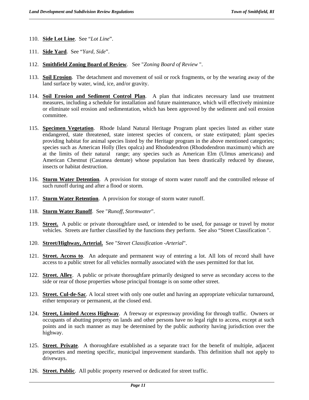110. **Side Lot Line**. See "*Lot Line*".

- 111. **Side Yard**. See "*Yard, Side*".
- 112. **Smithfield Zoning Board of Review**. See "*Zoning Board of Review* ".
- 113. **Soil Erosion**. The detachment and movement of soil or rock fragments, or by the wearing away of the land surface by water, wind, ice, and/or gravity.
- 114. **Soil Erosion and Sediment Control Plan**. A plan that indicates necessary land use treatment measures, including a schedule for installation and future maintenance, which will effectively minimize or eliminate soil erosion and sedimentation, which has been approved by the sediment and soil erosion committee.
- 115. **Specimen Vegetation**. Rhode Island Natural Heritage Program plant species listed as either state endangered, state threatened, state interest species of concern, or state extirpated; plant species providing habitat for animal species listed by the Heritage program in the above mentioned categories; species such as American Holly (Ilex opalca) and Rhododendron (Rhododendron maximum) which are at the limits of their natural range; any species such as American Elm (Ulmus americana) and American Chestnut (Castanea dentate) whose population has been drastically reduced by disease, insects or habitat destruction.
- 116. **Storm Water Detention**. A provision for storage of storm water runoff and the controlled release of such runoff during and after a flood or storm.
- 117. **Storm Water Retention**. A provision for storage of storm water runoff.
- 118. **Storm Water Runoff**. See "*Runoff, Stormwater*".
- 119. **Street.** A public or private thoroughfare used, or intended to be used, for passage or travel by motor vehicles. Streets are further classified by the functions they perform. See also "Street Classification ".
- 120. **Street/Highway, Arterial.** See "*Street Classification -Arterial*".
- 121. **Street. Access to**. An adequate and permanent way of entering a lot. All lots of record shall have access to a public street for all vehicles normally associated with the uses permitted for that lot.
- 122. **Street. Alley**. A public or private thoroughfare primarily designed to serve as secondary access to the side or rear of those properties whose principal frontage is on some other street.
- 123. **Street. Cul-de-Sac**. A local street with only one outlet and having an appropriate vehicular turnaround, either temporary or permanent, at the closed end.
- 124. **Street, Limited Access Highway**. A freeway or expressway providing for through traffic. Owners or occupants of abutting property on lands and other persons have no legal right to access, except at such points and in such manner as may be determined by the public authority having jurisdiction over the highway.
- 125. **Street**. **Private**. A thoroughfare established as a separate tract for the benefit of multiple, adjacent properties and meeting specific, municipal improvement standards. This definition shall not apply to driveways.
- 126. **Street. Public**. All public property reserved or dedicated for street traffic.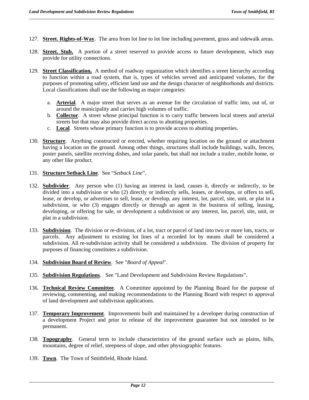- 127. **Street. Rights-of-Way**. The area from lot line to lot line including pavement, grass and sidewalk areas.
- 128. **Street. Stub.** A portion of a street reserved to provide access to future development, which may provide for utility connections.
- 129. **Street Classification.** A method of roadway organization which identifies a street hierarchy according to function within a road system, that is, types of vehicles served and anticipated volumes, for the purposes of promoting safety, efficient land use and the design character of neighborhoods and districts. Local classifications shall use the following as major categories:
	- a. **Arterial**. A major street that serves as an avenue for the circulation of traffic into, out of, or around the municipality and carries high volumes of traffic.
	- b. **Collector**. A street whose principal function is to carry traffic between local streets and arterial streets but that may also provide direct access to abutting properties.
	- c. **Local**. Streets whose primary function is to provide access to abutting properties.
- 130. **Structure**. Anything constructed or erected, whether requiring location on the ground or attachment having a location on the ground. Among other things, structures shall include buildings, walls, fences, poster panels, satellite receiving dishes, and solar panels, but shall not include a trailer, mobile home, or any other like product.
- 131. **Structure Setback Line**. See "*Setback Line*".
- 132. **Subdivider**. Any person who (1) having an interest in land, causes it, directly or indirectly, to be divided into a subdivision or who (2) directly or indirectly sells, leases, or develops, or offers to sell, lease, or develop, or advertises to sell, lease, or develop, any interest, lot, parcel, site, unit, or plat in a subdivision, or who (3) engages directly or through an agent in the business of selling, leasing, developing, or offering for sale, or development a subdivision or any interest, lot, parcel, site, unit, or plat in a subdivision.
- 133. **Subdivision**. The division or re-division, of a lot, tract or parcel of land into two or more lots, tracts, or parcels. Any adjustment to existing lot lines of a recorded lot by means shall be considered a subdivision. All re-subdivision activity shall be considered a subdivision. The division of property for purposes of financing constitutes a subdivision.
- 134. **Subdivision Board of Review**. See "*Board of Appeal*".
- 135. **Subdivision Regulations**. See "Land Development and Subdivision Review Regulations".
- 136. **Technical Review Committee**. A Committee appointed by the Planning Board for the purpose of reviewing, commenting, and making recommendations to the Planning Board with respect to approval of land development and subdivision applications.
- 137. **Temporary Improvement**. Improvements built and maintained by a developer during construction of a development Project and prior to release of the improvement guarantee but not intended to be permanent.
- 138. **Topography**. General term to include characteristics of the ground surface such as plains, hills, mountains, degree of relief, steepness of slope, and other physiographic features.
- 139. **Town**. The Town of Smithfield, Rhode Island.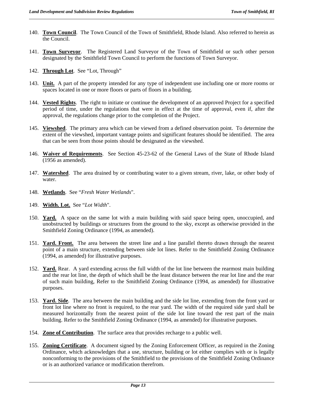- 140. **Town Council**. The Town Council of the Town of Smithfield, Rhode Island. Also referred to herein as the Council.
- 141. **Town Surveyor**. The Registered Land Surveyor of the Town of Smithfield or such other person designated by the Smithfield Town Council to perform the functions of Town Surveyor.
- 142. **Through Lot**. See "Lot, Through"
- 143. **Unit.** A part of the property intended for any type of independent use including one or more rooms or spaces located in one or more floors or parts of floors in a building.
- 144. **Vested Rights**. The right to initiate or continue the development of an approved Project for a specified period of time, under the regulations that were in effect at the time of approval, even if, after the approval, the regulations change prior to the completion of the Project.
- 145. **Viewshed**. The primary area which can be viewed from a defined observation point. To determine the extent of the viewshed, important vantage points and significant features should be identified. The area that can be seen from those points should be designated as the viewshed.
- 146. **Waiver of Requirements**. See Section 45-23-62 of the General Laws of the State of Rhode Island (1956 as amended).
- 147. **Watershed**. The area drained by or contributing water to a given stream, river, lake, or other body of water.
- 148. **Wetlands**. See "*Fresh Water Wetlands*".
- 149. **Width. Lot.** See "*Lot Width*".
- 150. **Yard.** A space on the same lot with a main building with said space being open, unoccupied, and unobstructed by buildings or structures from the ground to the sky, except as otherwise provided in the Smithfield Zoning Ordinance (1994, as amended).
- 151. **Yard. Front.** The area between the street line and a line parallel thereto drawn through the nearest point of a main structure, extending between side lot lines. Refer to the Smithfield Zoning Ordinance (1994, as amended) for illustrative purposes.
- 152. **Yard.** Rear. A yard extending across the full width of the lot line between the rearmost main building and the rear lot line, the depth of which shall be the least distance between the rear lot line and the rear of such main building, Refer to the Smithfield Zoning Ordinance (1994, as amended) for illustrative purposes.
- 153. **Yard. Side**. The area between the main building and the side lot line, extending from the front yard or front lot line where no front is required, to the rear yard. The width of the required side yard shall be measured horizontally from the nearest point of the side lot line toward the rest part of the main building. Refer to the Smithfield Zoning Ordinance (1994, as amended) for illustrative purposes.
- 154. **Zone of Contribution**. The surface area that provides recharge to a public well.
- 155. **Zoning Certificate**. A document signed by the Zoning Enforcement Officer, as required in the Zoning Ordinance, which acknowledges that a use, structure, building or lot either complies with or is legally nonconforming to the provisions of the Smithfield to the provisions of the Smithfield Zoning Ordinance or is an authorized variance or modification therefrom.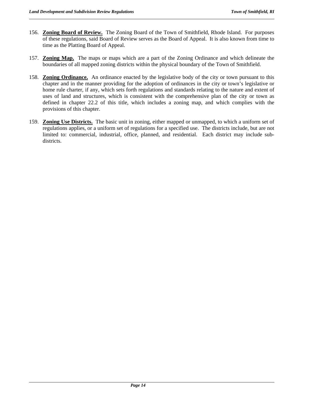- 156. **Zoning Board of Review.** The Zoning Board of the Town of Smithfield, Rhode Island. For purposes of these regulations, said Board of Review serves as the Board of Appeal. It is also known from time to time as the Platting Board of Appeal.
- 157. **Zoning Map.** The maps or maps which are a part of the Zoning Ordinance and which delineate the boundaries of all mapped zoning districts within the physical boundary of the Town of Smithfield.
- 158. **Zoning Ordinance.** An ordinance enacted by the legislative body of the city or town pursuant to this chapter and in the manner providing for the adoption of ordinances in the city or town's legislative or home rule charter, if any, which sets forth regulations and standards relating to the nature and extent of uses of land and structures, which is consistent with the comprehensive plan of the city or town as defined in chapter 22.2 of this title, which includes a zoning map, and which complies with the provisions of this chapter.
- 159. **Zoning Use Districts.** The basic unit in zoning, either mapped or unmapped, to which a uniform set of regulations applies, or a uniform set of regulations for a specified use. The districts include, but are not limited to: commercial, industrial, office, planned, and residential. Each district may include subdistricts.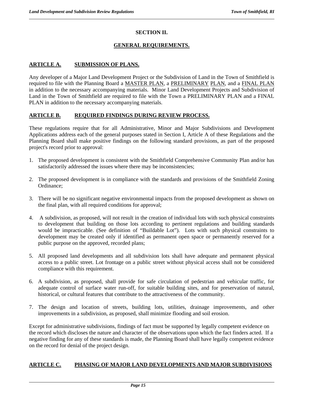#### **SECTION II.**

#### **GENERAL REQUIREMENTS.**

#### **ARTICLE A. SUBMISSION OF PLANS.**

Any developer of a Major Land Development Project or the Subdivision of Land in the Town of Smithfield is required to file with the Planning Board a MASTER PLAN, a PRELIMINARY PLAN, and a FINAL PLAN in addition to the necessary accompanying materials. Minor Land Development Projects and Subdivision of Land in the Town of Smithfield are required to file with the Town a PRELIMINARY PLAN and a FINAL PLAN in addition to the necessary accompanying materials.

#### **ARTICLE B. REQUIRED FINDINGS DURING REVIEW PROCESS.**

These regulations require that for all Administrative, Minor and Major Subdivisions and Development Applications address each of the general purposes stated in Section I, Article A of these Regulations and the Planning Board shall make positive findings on the following standard provisions, as part of the proposed project's record prior to approval:

- 1. The proposed development is consistent with the Smithfield Comprehensive Community Plan and/or has satisfactorily addressed the issues where there may be inconsistencies;
- 2. The proposed development is in compliance with the standards and provisions of the Smithfield Zoning Ordinance;
- 3. There will be no significant negative environmental impacts from the proposed development as shown on the final plan, with all required conditions for approval;
- 4. A subdivision, as proposed, will not result in the creation of individual lots with such physical constraints to development that building on those lots according to pertinent regulations and building standards would be impracticable. (See definition of "Buildable Lot"). Lots with such physical constraints to development may be created only if identified as permanent open space or permanently reserved for a public purpose on the approved, recorded plans;
- 5. All proposed land developments and all subdivision lots shall have adequate and permanent physical access to a public street. Lot frontage on a public street without physical access shall not be considered compliance with this requirement.
- 6. A subdivision, as proposed, shall provide for safe circulation of pedestrian and vehicular traffic, for adequate control of surface water run-off, for suitable building sites, and for preservation of natural, historical, or cultural features that contribute to the attractiveness of the community.
- 7. The design and location of streets, building lots, utilities, drainage improvements, and other improvements in a subdivision, as proposed, shall minimize flooding and soil erosion.

Except for administrative subdivisions, findings of fact must be supported by legally competent evidence on the record which discloses the nature and character of the observations upon which the fact finders acted. If a negative finding for any of these standards is made, the Planning Board shall have legally competent evidence on the record for denial of the project design.

#### **ARTICLE C. PHASING OF MAJOR LAND DEVELOPMENTS AND MAJOR SUBDIVISIONS**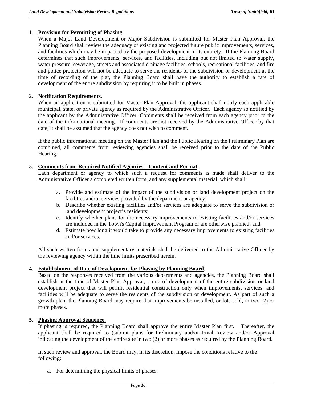#### 1. **Provision for Permitting of Phasing**.

When a Major Land Development or Major Subdivision is submitted for Master Plan Approval, the Planning Board shall review the adequacy of existing and projected future public improvements, services, and facilities which may be impacted by the proposed development in its entirety. If the Planning Board determines that such improvements, services, and facilities, including but not limited to water supply, water pressure, sewerage, streets and associated drainage facilities, schools, recreational facilities, and fire and police protection will not be adequate to serve the residents of the subdivision or development at the time of recording of the plat, the Planning Board shall have the authority to establish a rate of development of the entire subdivision by requiring it to be built in phases.

#### 2. **Notification Requirements**.

When an application is submitted for Master Plan Approval, the applicant shall notify each applicable municipal, state, or private agency as required by the Administrative Officer. Each agency so notified by the applicant by the Administrative Officer. Comments shall be received from each agency prior to the date of the informational meeting. If comments are not received by the Administrative Officer by that date, it shall be assumed that the agency does not wish to comment.

If the public informational meeting on the Master Plan and the Public Hearing on the Preliminary Plan are combined, all comments from reviewing agencies shall be received prior to the date of the Public Hearing.

#### 3. **Comments from Required Notified Agencies – Content and Format**.

Each department or agency to which such a request for comments is made shall deliver to the Administrative Officer a completed written form, and any supplemental material, which shall:

- a. Provide and estimate of the impact of the subdivision or land development project on the facilities and/or services provided by the department or agency;
- b. Describe whether existing facilities and/or services are adequate to serve the subdivision or land development project's residents;
- c. Identify whether plans for the necessary improvements to existing facilities and/or services are included in the Town's Capital Improvement Program or are otherwise planned; and,
- d. Estimate how long it would take to provide any necessary improvements to existing facilities and/or services.

All such written forms and supplementary materials shall be delivered to the Administrative Officer by the reviewing agency within the time limits prescribed herein.

#### 4. **Establishment of Rate of Development for Phasing by Planning Board**.

Based on the responses received from the various departments and agencies, the Planning Board shall establish at the time of Master Plan Approval, a rate of development of the entire subdivision or land development project that will permit residential construction only when improvements, services, and facilities will be adequate to serve the residents of the subdivision or development. As part of such a growth plan, the Planning Board may require that improvements be installed, or lots sold, in two (2) or more phases.

#### **5. Phasing Approval Sequence.**

If phasing is required, the Planning Board shall approve the entire Master Plan first. Thereafter, the applicant shall be required to (submit plans for Preliminary and/or Final Review and/or Approval indicating the development of the entire site in two (2) or more phases as required by the Planning Board.

In such review and approval, the Board may, in its discretion, impose the conditions relative to the following:

a. For determining the physical limits of phases,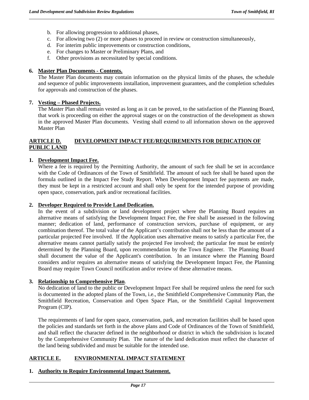- b. For allowing progression to additional phases,
- c. For allowing two (2) or more phases to proceed in review or construction simultaneously,
- d. For interim public improvements or construction conditions,
- e. For changes to Master or Preliminary Plans, and
- f. Other provisions as necessitated by special conditions.

#### **6. Master Plan Documents - Contents.**

The Master Plan documents may contain information on the physical limits of the phases, the schedule and sequence of public improvements installation, improvement guarantees, and the completion schedules for approvals and construction of the phases.

#### **7. Vesting – Phased Projects.**

The Master Plan shall remain vested as long as it can be proved, to the satisfaction of the Planning Board, that work is proceeding on either the approval stages or on the construction of the development as shown in the approved Master Plan documents. Vesting shall extend to all information shown on the approved Master Plan

#### **ARTICLE D. DEVELOPMENT IMPACT FEE/REQUIREMENTS FOR DEDICATION OF PUBLIC LAND**

#### **1. Development Impact Fee.**

Where a fee is required by the Permitting Authority, the amount of such fee shall be set in accordance with the Code of Ordinances of the Town of Smithfield. The amount of such fee shall be based upon the formula outlined in the Impact Fee Study Report. When Development Impact fee payments are made, they must be kept in a restricted account and shall only be spent for the intended purpose of providing open space, conservation, park and/or recreational facilities.

#### **2. Developer Required to Provide Land Dedication.**

In the event of a subdivision or land development project where the Planning Board requires an alternative means of satisfying the Development Impact Fee, the Fee shall be assessed in the following manner; dedication of land, performance of construction services, purchase of equipment, or any combination thereof. The total value of the Applicant's contribution shall not be less than the amount of a particular projected Fee involved. If the Application uses alternative means to satisfy a particular Fee, the alternative means cannot partially satisfy the projected Fee involved; the particular fee must be entirely determined by the Planning Board, upon recommendation by the Town Engineer. The Planning Board shall document the value of the Applicant's contribution. In an instance where the Planning Board considers and/or requires an alternative means of satisfying the Development Impact Fee, the Planning Board may require Town Council notification and/or review of these alternative means.

#### **3. Relationship to Comprehensive Plan**.

No dedication of land to the public or Development Impact Fee shall be required unless the need for such is documented in the adopted plans of the Town, i.e., the Smithfield Comprehensive Community Plan, the Smithfield Recreation, Conservation and Open Space Plan, or the Smithfield Capital Improvement Program (CIP).

The requirements of land for open space, conservation, park, and recreation facilities shall be based upon the policies and standards set forth in the above plans and Code of Ordinances of the Town of Smithfield, and shall reflect the character defined in the neighborhood or district in which the subdivision is located by the Comprehensive Community Plan. The nature of the land dedication must reflect the character of the land being subdivided and must be suitable for the intended use.

#### **ARTICLE E. ENVIRONMENTAL IMPACT STATEMENT**

#### **1. Authority to Require Environmental Impact Statement.**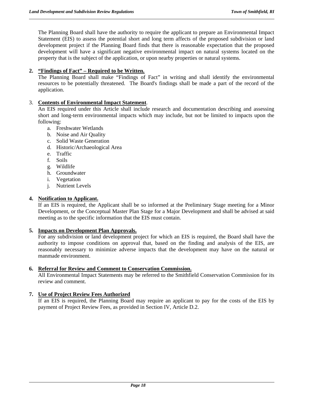The Planning Board shall have the authority to require the applicant to prepare an Environmental Impact Statement (EIS) to assess the potential short and long term affects of the proposed subdivision or land development project if the Planning Board finds that there is reasonable expectation that the proposed development will have a significant negative environmental impact on natural systems located on the property that is the subject of the application, or upon nearby properties or natural systems.

#### **2. "Findings of Fact" – Required to be Written.**

The Planning Board shall make "Findings of Fact" in writing and shall identify the environmental resources to be potentially threatened. The Board's findings shall be made a part of the record of the application.

#### 3. **Contents of Environmental Impact Statement**.

An EIS required under this Article shall include research and documentation describing and assessing short and long-term environmental impacts which may include, but not be limited to impacts upon the following:

- a. Freshwater Wetlands
- b. Noise and Air Quality
- c. Solid Waste Generation
- d. Historic/Archaeological Area
- e. Traffic
- f. Soils
- g. Wildlife
- h. Groundwater
- i. Vegetation
- j. Nutrient Levels

#### **4. Notification to Applicant.**

If an EIS is required, the Applicant shall be so informed at the Preliminary Stage meeting for a Minor Development, or the Conceptual Master Plan Stage for a Major Development and shall be advised at said meeting as to the specific information that the EIS must contain.

#### **5. Impacts on Development Plan Approvals.**

For any subdivision or land development project for which an EIS is required, the Board shall have the authority to impose conditions on approval that, based on the finding and analysis of the EIS, are reasonably necessary to minimize adverse impacts that the development may have on the natural or manmade environment.

#### **6. Referral for Review and Comment to Conservation Commission.**

All Environmental Impact Statements may be referred to the Smithfield Conservation Commission for its review and comment.

#### **7. Use of Project Review Fees Authorized**

If an EIS is required, the Planning Board may require an applicant to pay for the costs of the EIS by payment of Project Review Fees, as provided in Section IV, Article D.2.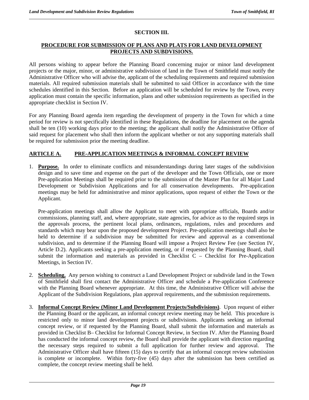#### **SECTION III.**

#### **PROCEDURE FOR SUBMISSION OF PLANS AND PLATS FOR LAND DEVELOPMENT PROJECTS AND SUBDVISIONS.**

All persons wishing to appear before the Planning Board concerning major or minor land development projects or the major, minor, or administrative subdivision of land in the Town of Smithfield must notify the Administrative Officer who will advise the, applicant of the scheduling requirements and required submission materials. All required submission materials shall be submitted to said Officer in accordance with the time schedules identified in this Section. Before an application will be scheduled for review by the Town, every application must contain the specific information, plans and other submission requirements as specified in the appropriate checklist in Section IV.

For any Planning Board agenda item regarding the development of property in the Town for which a time period for review is not specifically identified in these Regulations, the deadline for placement on the agenda shall be ten (10) working days prior to the meeting; the applicant shall notify the Administrative Officer of said request for placement who shall then inform the applicant whether or not any supporting materials shall be required for submission prior the meeting deadline.

#### **ARTICLE A. PRE-APPLICATION MEETINGS & INFORMAL CONCEPT REVIEW**

1. **Purpose.** In order to eliminate conflicts and misunderstandings during later stages of the subdivision design and to save time and expense on the part of the developer and the Town Officials, one or more Pre-application Meetings shall be required prior to the submission of the Master Plan for all Major Land Development or Subdivision Applications and for all conservation developments. Pre-application meetings may be held for administrative and minor applications, upon request of either the Town or the Applicant.

 Pre-application meetings shall allow the Applicant to meet with appropriate officials, Boards and/or commissions, planning staff, and, where appropriate, state agencies, for advice as to the required steps in the approvals process, the pertinent local plans, ordinances, regulations, rules and procedures and standards which may bear upon the proposed development Project. Pre-application meetings shall also be held to determine if a subdivision may be submitted for review and approval as a conventional subdivision, and to determine if the Planning Board will impose a Project Review Fee (see Section IV, Article D.2). Applicants seeking a pre-application meeting, or if requested by the Planning Board, shall submit the information and materials as provided in Checklist C – Checklist for Pre-Application Meetings, in Section IV.

- 2. **Scheduling.** Any person wishing to construct a Land Development Project or subdivide land in the Town of Smithfield shall first contact the Administrative Officer and schedule a Pre-application Conference with the Planning Board whenever appropriate. At this time, the Administrative Officer will advise the Applicant of the Subdivision Regulations, plan approval requirements, and the submission requirements.
- 3. **Informal Concept Review (Minor Land Development Projects/Subdivisions)**. Upon request of either the Planning Board or the applicant, an informal concept review meeting may be held. This procedure is restricted only to minor land development projects or subdivisions. Applicants seeking an informal concept review, or if requested by the Planning Board, shall submit the information and materials as provided in Checklist B– Checklist for Informal Concept Review, in Section IV. After the Planning Board has conducted the informal concept review, the Board shall provide the applicant with direction regarding the necessary steps required to submit a full application for further review and approval. The Administrative Officer shall have fifteen (15) days to certify that an informal concept review submission is complete or incomplete. Within forty-five (45) days after the submission has been certified as complete, the concept review meeting shall be held.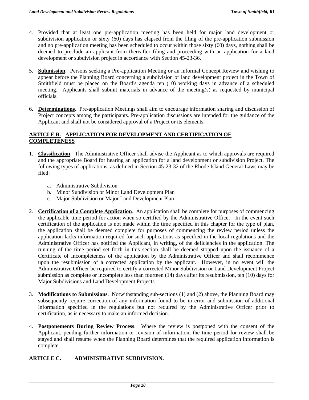- 4. Provided that at least one pre-application meeting has been held for major land development or subdivision application or sixty (60) days has elapsed from the filing of the pre-application submission and no pre-application meeting has been scheduled to occur within those sixty (60) days, nothing shall be deemed to preclude an applicant from thereafter filing and proceeding with an application for a land development or subdivision project in accordance with Section 45-23-36.
- 5. **Submission**. Persons seeking a Pre-application Meeting or an informal Concept Review and wishing to appear before the Planning Board concerning a subdivision or land development project in the Town of Smithfield must be placed on the Board's agenda ten (10) working days in advance of a scheduled meeting. Applicants shall submit materials in advance of the meeting(s) as requested by municipal officials.
- 6. **Determinations**. Pre-application Meetings shall aim to encourage information sharing and discussion of Project concepts among the participants. Pre-application discussions are intended for the guidance of the Applicant and shall not be considered approval of a Project or its elements.

#### **ARTICLE B. APPLICATION FOR DEVELOPMENT AND CERTIFICATION OF COMPLETENESS**

- 1. **Classification**. The Administrative Officer shall advise the Applicant as to which approvals are required and the appropriate Board for hearing an application for a land development or subdivision Project. The following types of applications, as defined in Section 45-23-32 of the Rhode Island General Laws may be filed:
	- a. Administrative Subdivision
	- b. Minor Subdivision or Minor Land Development Plan
	- c. Major Subdivision or Major Land Development Plan
- 2. **Certification of a Complete Application**. An application shall be complete for purposes of commencing the applicable time period for action when so certified by the Administrative Officer. In the event such certification of the application is not made within the time specified in this chapter for the type of plan, the application shall be deemed complete for purposes of commencing the review period unless the application lacks information required for such applications as specified in the local regulations and the Administrative Officer has notified the Applicant, in writing, of the deficiencies in the application. The running of the time period set forth in this section shall be deemed stopped upon the issuance of a Certificate of Incompleteness of the application by the Administrative Officer and shall recommence upon the resubmission of a corrected application by the applicant. However, in no event will the Administrative Officer be required to certify a corrected Minor Subdivision or Land Development Project submission as complete or incomplete less than fourteen (14) days after its resubmission, ten (10) days for Major Subdivisions and Land Development Projects.
- 3. **Modifications to Submissions**. Notwithstanding sub-sections (1) and (2) above, the Planning Board may subsequently require correction of any information found to be in error and submission of additional information specified in the regulations but not required by the Administrative Officer prior to certification, as is necessary to make an informed decision.
- 4. **Postponements During Review Process**. Where the review is postponed with the consent of the Applicant, pending further information or revision of information, the time period for review shall be stayed and shall resume when the Planning Board determines that the required application information is complete.

#### **ARTICLE C. ADMINISTRATIVE SUBDIVISION.**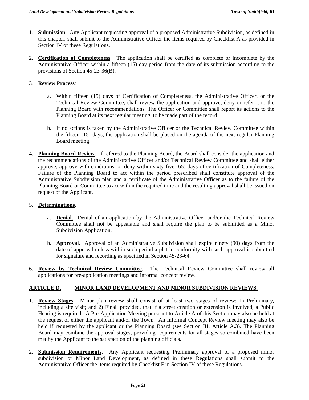- 1. **Submission**. Any Applicant requesting approval of a proposed Administrative Subdivision, as defined in this chapter, shall submit to the Administrative Officer the items required by Checklist A as provided in Section IV of these Regulations.
- 2. **Certification of Completeness**. The application shall be certified as complete or incomplete by the Administrative Officer within a fifteen (15) day period from the date of its submission according to the provisions of Section 45-23-36(B).

#### 3. **Review Process**:

- a. Within fifteen (15) days of Certification of Completeness, the Administrative Officer, or the Technical Review Committee, shall review the application and approve, deny or refer it to the Planning Board with recommendations. The Officer or Committee shall report its actions to the Planning Board at its next regular meeting, to be made part of the record.
- b. If no actions is taken by the Administrative Officer or the Technical Review Committee within the fifteen (15) days, the application shall be placed on the agenda of the next regular Planning Board meeting.
- 4. **Planning Board Review**. If referred to the Planning Board, the Board shall consider the application and the recommendations of the Administrative Officer and/or Technical Review Committee and shall either approve, approve with conditions, or deny within sixty-five (65) days of certification of Completeness. Failure of the Planning Board to act within the period prescribed shall constitute approval of the Administrative Subdivision plan and a certificate of the Administrative Officer as to the failure of the Planning Board or Committee to act within the required time and the resulting approval shall be issued on request of the Applicant.

#### 5. **Determinations**.

- a. **Denial.** Denial of an application by the Administrative Officer and/or the Technical Review Committee shall not be appealable and shall require the plan to be submitted as a Minor Subdivision Application.
- b. **Approval.** Approval of an Administrative Subdivision shall expire ninety (90) days from the date of approval unless within such period a plat in conformity with such approval is submitted for signature and recording as specified in Section 45-23-64.
- 6. **Review by Technical Review Committee**. The Technical Review Committee shall review all applications for pre-application meetings and informal concept review.

#### **ARTICLE D. MINOR LAND DEVELOPMENT AND MINOR SUBDIVISION REVIEWS.**

- 1. **Review Stages**. Minor plan review shall consist of at least two stages of review: 1) Preliminary*,*  including a site visit; and 2) Final, provided, that if a street creation or extension is involved, a Public Hearing is required. A Pre-Application Meeting pursuant to Article A of this Section may also be held at the request of either the applicant and/or the Town. An Informal Concept Review meeting may also be held if requested by the applicant or the Planning Board (see Section III, Article A.3). The Planning Board may combine the approval stages, providing requirements for all stages so combined have been met by the Applicant to the satisfaction of the planning officials.
- 2. **Submission Requirements**. Any Applicant requesting Preliminary approval of a proposed minor subdivision or Minor Land Development, as defined in these Regulations shall submit to the Administrative Officer the items required by Checklist F in Section IV of these Regulations.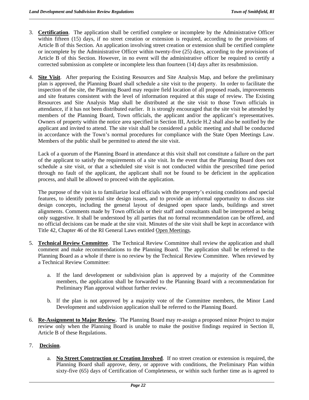- 3. **Certification**. The application shall be certified complete or incomplete by the Administrative Officer within fifteen (15) days, if no street creation or extension is required, according to the provisions of Article B of this Section. An application involving street creation or extension shall be certified complete or incomplete by the Administrative Officer within twenty-five (25) days, according to the provisions of Article B of this Section. However, in no event will the administrative officer be required to certify a corrected submission as complete or incomplete less than fourteen (14) days after its resubmission.
- 4. **Site Visit**. After preparing the Existing Resources and Site Analysis Map, and before the preliminary plan is approved, the Planning Board shall schedule a site visit to the property. In order to facilitate the inspection of the site, the Planning Board may require field location of all proposed roads, improvements and site features consistent with the level of information required at this stage of review. The Existing Resources and Site Analysis Map shall be distributed at the site visit to those Town officials in attendance, if it has not been distributed earlier. It is strongly encouraged that the site visit be attended by members of the Planning Board, Town officials, the applicant and/or the applicant's representatives. Owners of property within the notice area specified in Section III, Article H.2 shall also be notified by the applicant and invited to attend. The site visit shall be considered a public meeting and shall be conducted in accordance with the Town's normal procedures for compliance with the State Open Meetings Law. Members of the public shall be permitted to attend the site visit.

Lack of a quorum of the Planning Board in attendance at this visit shall not constitute a failure on the part of the applicant to satisfy the requirements of a site visit. In the event that the Planning Board does not schedule a site visit, or that a scheduled site visit is not conducted within the prescribed time period through no fault of the applicant, the applicant shall not be found to be deficient in the application process, and shall be allowed to proceed with the application.

The purpose of the visit is to familiarize local officials with the property's existing conditions and special features, to identify potential site design issues, and to provide an informal opportunity to discuss site design concepts, including the general layout of designed open space lands, buildings and street alignments. Comments made by Town officials or their staff and consultants shall be interpreted as being only suggestive. It shall be understood by all parties that no formal recommendation can be offered, and no official decisions can be made at the site visit. Minutes of the site visit shall be kept in accordance with Title 42, Chapter 46 of the RI General Laws entitled Open Meetings.

- 5. **Technical Review Committee**. The Technical Review Committee shall review the application and shall comment and make recommendations to the Planning Board. The application shall be referred to the Planning Board as a whole if there is no review by the Technical Review Committee. When reviewed by a Technical Review Committee:
	- a. If the land development or subdivision plan is approved by a majority of the Committee members, the application shall be forwarded to the Planning Board with a recommendation for Preliminary Plan approval without further review.
	- b. If the plan is not approved by a majority vote of the Committee members, the Minor Land Development and subdivision application shall be referred to the Planning Board.
- 6. **Re-Assignment to Major Review.** The Planning Board may re-assign a proposed minor Project to major review only when the Planning Board is unable to make the positive findings required in Section II, Article B of these Regulations.

#### 7.**Decision**.

a. **No Street Construction or Creation Involved**. If no street creation or extension is required, the Planning Board shall approve, deny, or approve with conditions, the Preliminary Plan within sixty-five (65) days of Certification of Completeness, or within such further time as is agreed to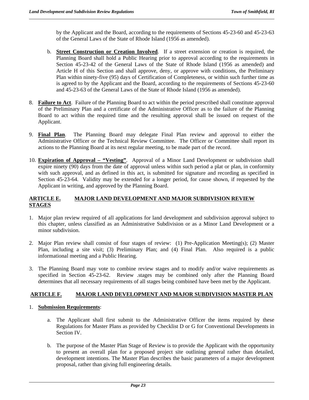by the Applicant and the Board, according to the requirements of Sections 45-23-60 and 45-23-63 of the General Laws of the State of Rhode Island (1956 as amended).

- b. **Street Construction or Creation Involved**. If a street extension or creation is required, the Planning Board shall hold a Public Hearing prior to approval according to the requirements in Section 45-23-42 of the General Laws of the State of Rhode Island (1956 as amended) and Article H of this Section and shall approve, deny, or approve with conditions, the Preliminary Plan within ninety-five (95) days of Certification of Completeness, or within such further time as is agreed to by the Applicant and the Board, according to the requirements of Sections 45-23-60 and 45-23-63 of the General Laws of the State of Rhode Island (1956 as amended).
- 8. **Failure to Act**. Failure of the Planning Board to act within the period prescribed shall constitute approval of the Preliminary Plan and a certificate of the Administrative Officer as to the failure of the Planning Board to act within the required time and the resulting approval shall be issued on request of the Applicant.
- 9. **Final Plan**. The Planning Board may delegate Final Plan review and approval to either the Administrative Officer or the Technical Review Committee. The Officer or Committee shall report its actions to the Planning Board at its next regular meeting, to be made part of the record.
- 10. **Expiration of Approval "Vesting"**. Approval of a Minor Land Development or subdivision shall expire ninety (90) days from the date of approval unless within such period a plat or plan, in conformity with such approval, and as defined in this act, is submitted for signature and recording as specified in Section 45-23-64. Validity may be extended for a longer period, for cause shown, if requested by the Applicant in writing, and approved by the Planning Board.

#### **ARTICLE E. MAJOR LAND DEVELOPMENT AND MAJOR SUBDIVISION REVIEW STAGES**

- 1. Major plan review required of all applications for land development and subdivision approval subject to this chapter, unless classified as an Administrative Subdivision or as a Minor Land Development or a minor subdivision.
- 2. Major Plan review shall consist of four stages of review: (1) Pre-Application Meeting(s); (2) Master Plan, including a site visit; (3) Preliminary Plan; and (4) Final Plan. Also required is a public informational meeting and a Public Hearing.
- 3. The Planning Board may vote to combine review stages and to modify and/or waive requirements as specified in Section 45-23-62. Review .stages may be combined only after the Planning Board determines that all necessary requirements of all stages being combined have been met by the Applicant.

#### **ARTICLE F. MAJOR LAND DEVELOPMENT AND MAJOR SUBDIVISION MASTER PLAN**

#### 1. **Submission Requirements**:

- a. The Applicant shall first submit to the Administrative Officer the items required by these Regulations for Master Plans as provided by Checklist D or G for Conventional Developments in Section IV.
- b. The purpose of the Master Plan Stage of Review is to provide the Applicant with the opportunity to present an overall plan for a proposed project site outlining general rather than detailed, development intentions. The Master Plan describes the basic parameters of a major development proposal, rather than giving full engineering details.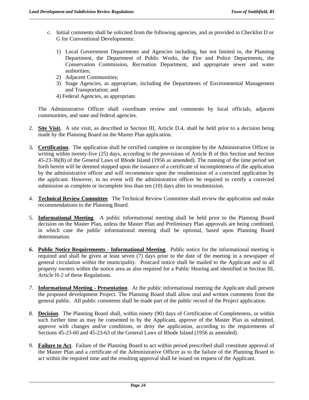- c. Initial comments shall be solicited from the following agencies, and as provided in Checklist D or G for Conventional Developments:
	- 1) Local Government Departments and Agencies including, but not limited to, the Planning Department, the Department of Public Works, the Fire and Police Departments, the Conservation Commission, Recreation Department, and appropriate sewer and water authorities;
	- 2) Adjacent Communities;
	- 3) Stage Agencies, as appropriate, including the Departments of Environmental Management and Transportation; and
	- 4) Federal Agencies, as appropriate.

The Administrative Officer shall coordinate review and comments by local officials, adjacent communities, and state and federal agencies.

- 2. **Site Visit.** A site visit, as described in Section III, Article D.4, shall be held prior to a decision being made by the Planning Board on the Master Plan application.
- 3*.* **Certification**. The application shall be certified complete or incomplete by the Administrative Officer in writing within twenty-five (25) days, according to the provisions of Article B of this Section and Section 45-23-36(B) of the General Laws of Rhode Island (1956 as amended). The running of the time period set forth herein will be deemed stopped upon the issuance of a certificate of incompleteness of the application by the administrative officer and will recommence upon the resubmission of a corrected application by the applicant. However, in no event will the administrative officer be required to certify a corrected submission as complete or incomplete less than ten (10) days after its resubmission.
- 4. **Technical Review Committee**. The Technical Review Committee shall review the application and make recommendations to the Planning Board.
- 5. **Informational Meeting**. A public informational meeting shall be held prior to the Planning Board decision on the Master Plan, unless the Master Plan and Preliminary Plan approvals are being combined, in which case the public informational meeting shall be optional, based upon Planning Board determination.
- *6***. Public Notice Requirements Informational Meeting**. Public notice for the informational meeting is required and shall be given at least seven (7) days prior to the date of the meeting in a newspaper of general circulation within the municipality. Postcard notice shall be mailed to the Applicant and to all property owners within the notice area as also required for a Public Hearing and identified in Section III, Article H-2 of these Regulations.
- *7*. **Informational Meeting Presentation**. At the public informational meeting the Applicant shall present the proposed development Project. The Planning Board shall allow oral and written comments from the general public. All public comments shall be made part of the public record of the Project application.
- 8. **Decision**. The Planning Board shall, within ninety (90) days of Certification of Completeness, or within such further time as may be consented to by the Applicant, approve of the Master Plan as submitted, approve with changes and/or conditions, or deny the application, according to the requirements of Sections 45-23-60 and 45-23-63 of the General Laws of Rhode Island (1956 as amended).
- 9. **Failure to Act**. Failure of the Planning Board to act within period prescribed shall constitute approval of the Master Plan and a certificate of the Administrative Officer as to the failure of the Planning Board to act within the required time and the resulting approval shall be issued on request of the Applicant.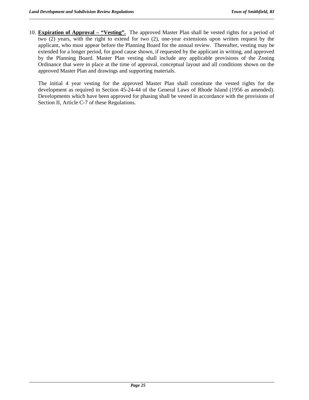10. **Expiration of Approval – "Vesting".** The approved Master Plan shall be vested rights for a period of two (2) years, with the right to extend for two (2), one-year extensions upon written request by the applicant, who must appear before the Planning Board for the annual review. Thereafter, vesting may be extended for a longer period, for good cause shown, if requested by the applicant in writing, and approved by the Planning Board. Master Plan vesting shall include any applicable provisions of the Zoning Ordinance that were in place at the time of approval, conceptual layout and all conditions shown on the approved Master Plan and drawings and supporting materials.

The initial 4 year vesting for the approved Master Plan shall constitute the vested rights for the development as required in Section 45-24-44 of the General Laws of Rhode Island (1956 as amended). Developments which have been approved for phasing shall be vested in accordance with the provisions of Section II, Article C-7 of these Regulations.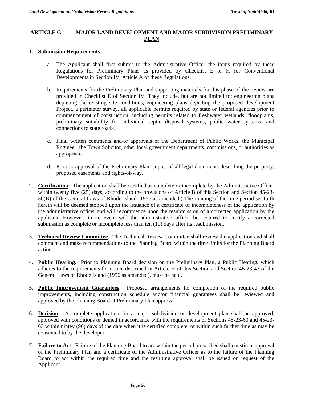#### **ARTICLE G. MAJOR LAND DEVELOPMENT AND MAJOR SUBDIVISION PRELIMINARY PLAN**

#### 1. **Submission Requirements**.

- a. The Applicant shall first submit to the Administrative Officer the items required by these Regulations for Preliminary Plans as provided by Checklist E or H for Conventional Developments in Section IV, Article A of these Regulations.
- b. Requirements for the Preliminary Plan and supporting materials for this phase of the review are provided in Checklist E of Section IV. They include, but are not limited to: engineering plans depicting the existing site conditions, engineering plans depicting the proposed development Project, a perimeter survey, all applicable permits required by state or federal agencies prior to commencement of construction, including permits related to freshwater wetlands, floodplains, preliminary suitability for individual septic disposal systems, public water systems, and connections to state roads.
- c. Final written comments and/or approvals of the Department of Public Works, the Municipal Engineer, the Town Solicitor, other local government departments, commissions, or authorities as appropriate.
- d. Prior to approval of the Preliminary Plan, copies of all legal documents describing the property, proposed easements and rights-of-way.
- 2. **Certification**. The application shall be certified as complete or incomplete by the Administrative Officer within twenty five (25) days, according to the provisions of Article B of this Section and Section 45-23-36(B) of the General Laws of Rhode Island (1956 as amended.) The running of the time period set forth herein will be deemed stopped upon the issuance of a certificate of incompleteness of the application by the administrative officer and will recommence upon the resubmission of a corrected application by the applicant. However, in no event will the administrative officer be required to certify a corrected submission as complete or incomplete less than ten (10) days after its resubmission.
- 3. **Technical Review Committee**. The Technical Review Committee shall review the application and shall comment and make recommendations to the Planning Board within the time limits for the Planning Board action.
- 4. **Public Hearing**. Prior to Planning Board decision on the Preliminary Plan, a Public Hearing, which adheres to the requirements for notice described in Article H of this Section and Section 45-23-42 of the General Laws of Rhode Island (1956 as amended), must be held.
- 5. **Public Improvement Guarantees**. Proposed arrangements for completion of the required public improvements, including construction schedule and/or financial guarantees shall be reviewed and approved by the Planning Board at Preliminary Plan approval.
- 6. **Decision**. A complete application for a major subdivision or development plan shall be approved, approved with conditions or denied in accordance with the requirements of Sections 45-23-60 and 45-23- 63 within nintey (90) days of the date when it is certified complete, or within such further time as may be consented to by the developer.
- 7. **Failure to Act**. Failure of the Planning Board to act within the period prescribed shall constitute approval of the Preliminary Plan and a certificate of the Administrative Officer as to the failure of the Planning Board to act within the required time and the resulting approval shall be issued on request of the Applicant.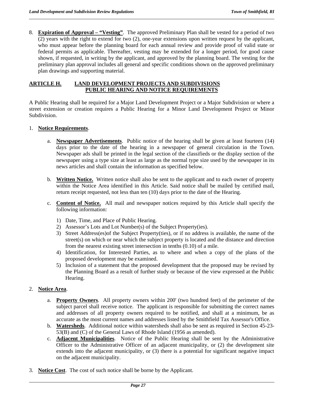8. **Expiration of Approval – "Vesting"**. The approved Preliminary Plan shall be vested for a period of two (2) years with the right to extend for two (2), one-year extensions upon written request by the applicant, who must appear before the planning board for each annual review and provide proof of valid state or federal permits as applicable. Thereafter, vesting may be extended for a longer period, for good cause shown, if requested, in writing by the applicant, and approved by the planning board. The vesting for the preliminary plan approval includes all general and specific conditions shown on the approved preliminary plan drawings and supporting material.

#### **ARTICLE H. LAND DEVELOPMENT PROJECTS AND SUBDIVISIONS PUBLIC HEARING AND NOTICE REQUIREMENTS**

A Public Hearing shall be required for a Major Land Development Project or a Major Subdivision or where a street extension or creation requires a Public Hearing for a Minor Land Development Project or Minor Subdivision.

#### 1. **Notice Requirements**.

- a. **Newspaper Advertisements**. Public notice of the hearing shall be given at least fourteen (14) days prior to the date of the hearing in a newspaper of general circulation in the Town. Newspaper ads shall be printed in the legal section of the classifieds or the display section of the newspaper using a type size at least as large as the normal type size used by the newspaper in its news articles and shall contain the information as specified below.
- b. **Written Notice.** Written notice shall also be sent to the applicant and to each owner of property within the Notice Area identified in this Article. Said notice shall be mailed by certified mail, return receipt requested, not less than ten (10) days prior to the date of the Hearing.
- c. **Content of Notice.** All mail and newspaper notices required by this Article shall specify the following information:
	- 1) Date, Time, and Place of Public Hearing.
	- 2) Assessor's Lots and Lot Number(s) of the Subject Property(ies).
	- 3) Street Address(es)of the Subject Property(ties), or if no address is available, the name of the street(s) on which or near which the subject property is located and the distance and direction from the nearest existing street intersection in tenths (0.10) of a mile.
	- 4) Identification, for Interested Parties, as to where and when a copy of the plans of the proposed development may be examined.
	- 5) Inclusion of a statement that the proposed development that the proposed may be revised by the Planning Board as a result of further study or because of the view expressed at the Public Hearing.

#### 2. **Notice Area**.

- a. **Property Owners**. All property owners within 200' (two hundred feet) of the perimeter of the subject parcel shall receive notice. The applicant is responsible for submitting the correct names and addresses of all property owners required to be notified, and shall at a minimum, be as accurate as the most current names and addresses listed by the Smithfield Tax Assessor's Office.
- b. **Watersheds**. Additional notice within watersheds shall also be sent as required in Section 45-23- 53(B) and (C) of the General Laws of Rhode Island (1956 as amended).
- c. **Adjacent Municipalities**. Notice of the Public Hearing shall be sent by the Administrative Officer to the Administrative Officer of an adjacent municipality, or (2) the development site extends into the adjacent municipality, or (3) there is a potential for significant negative impact on the adjacent municipality.
- 3. **Notice Cost**. The cost of such notice shall be borne by the Applicant.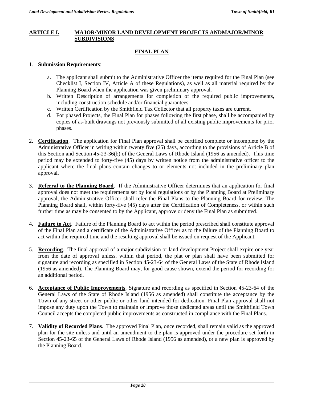#### **ARTICLE I. MAJOR/MINOR LAND DEVELOPMENT PROJECTS ANDMAJOR/MINOR SUBDIVISIONS**

#### **FINAL PLAN**

#### 1. **Submission Requirements**:

- a. The applicant shall submit to the Administrative Officer the items required for the Final Plan (see Checklist I, Section IV, Article A of these Regulations), as well as all material required by the Planning Board when the application was given preliminary approval.
- b. Written Description of arrangements for completion of the required public improvements, including construction schedule and/or financial guarantees.
- c. Written Certification by the Smithfield Tax Collector that all property taxes are current.
- d. For phased Projects, the Final Plan for phases following the first phase, shall be accompanied by copies of as-built drawings not previously submitted of all existing public improvements for prior phases.
- 2. **Certification**. The application for Final Plan approval shall be certified complete or incomplete by the Administrative Officer in writing within twenty five (25) days, according to the provisions of Article B of this Section and Section 45-23-36(b) of the General Laws of Rhode Island (1956 as amended). This time period may be extended to forty-five (45) days by written notice from the administrative officer to the applicant where the final plans contain changes to or elements not included in the preliminary plan approval.
- 3. **Referral to the Planning Board**. If the Administrative Officer determines that an application for final approval does not meet the requirements set by local regulations or by the Planning Board at Preliminary approval, the Administrative Officer shall refer the Final Plans to the Planning Board for review. The Planning Board shall, within forty-five (45) days after the Certification of Completeness, or within such further time as may be consented to by the Applicant, approve or deny the Final Plan as submitted.
- 4. **Failure to Act**. Failure of the Planning Board to act within the period prescribed shall constitute approval of the Final Plan and a certificate of the Administrative Officer as to the failure of the Planning Board to act within the required time and the resulting approval shall be issued on request of the Applicant.
- 5. **Recording**. The final approval of a major subdivision or land development Project shall expire one year from the date of approval unless, within that period, the plat or plan shall have been submitted for signature and recording as specified in Section 45-23-64 of the General Laws of the State of Rhode Island (1956 as amended). The Planning Board may, for good cause shown, extend the period for recording for an additional period.
- 6. **Acceptance of Public Improvements**. Signature and recording as specified in Section 45-23-64 of the General Laws of the State of Rhode Island (1956 as amended) shall constitute the acceptance by the Town of any street or other public or other land intended for dedication. Final Plan approval shall not impose any duty upon the Town to maintain or improve those dedicated areas until the Smithfield Town Council accepts the completed public improvements as constructed in compliance with the Final Plans.
- 7. **Validity of Recorded Plans**. The approved Final Plan, once recorded, shall remain valid as the approved plan for the site unless and until an amendment to the plan is approved under the procedure set forth in Section 45-23-65 of the General Laws of Rhode Island (1956 as amended), or a new plan is approved by the Planning Board.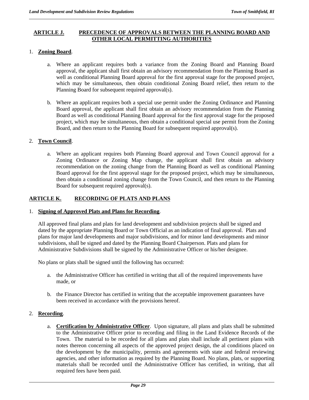## **ARTICLE J. PRECEDENCE OF APPROVALS BETWEEN THE PLANNING BOARD AND OTHER LOCAL PERMITTING AUTHORITIES**

## 1. **Zoning Board**.

- a. Where an applicant requires both a variance from the Zoning Board and Planning Board approval, the applicant shall first obtain an advisory recommendation from the Planning Board as well as conditional Planning Board approval for the first approval stage for the proposed project, which may be simultaneous, then obtain conditional Zoning Board relief, then return to the Planning Board for subsequent required approval(s).
- b. Where an applicant requires both a special use permit under the Zoning Ordinance and Planning Board approval, the applicant shall first obtain an advisory recommendation from the Planning Board as well as conditional Planning Board approval for the first approval stage for the proposed project, which may be simultaneous, then obtain a conditional special use permit from the Zoning Board, and then return to the Planning Board for subsequent required approval(s).

## 2. **Town Council**.

a. Where an applicant requires both Planning Board approval and Town Council approval for a Zoning Ordinance or Zoning Map change, the applicant shall first obtain an advisory recommendation on the zoning change from the Planning Board as well as conditional Planning Board approval for the first approval stage for the proposed project, which may be simultaneous, then obtain a conditional zoning change from the Town Council, and then return to the Planning Board for subsequent required approval(s).

# **ARTICLE K. RECORDING OF PLATS AND PLANS**

#### 1. **Signing of Approved Plats and Plans for Recording**.

All approved final plans and plats for land development and subdivision projects shall be signed and dated by the appropriate Planning Board or Town Official as an indication of final approval. Plats and plans for major land developments and major subdivisions, and for minor land developments and minor subdivisions, shall be signed and dated by the Planning Board Chairperson. Plats and plans for Administrative Subdivisions shall be signed by the Administrative Officer or his/her designee.

No plans or plats shall be signed until the following has occurred:

- a. the Administrative Officer has certified in writing that all of the required improvements have made, or
- b. the Finance Director has certified in writing that the acceptable improvement guarantees have been received in accordance with the provisions hereof.

## 2. **Recording**.

a. **Certification by Administrative Officer**. Upon signature, all plans and plats shall be submitted to the Administrative Officer prior to recording and filing in the Land Evidence Records of the Town. The material to be recorded for all plans and plats shall include all pertinent plans with notes thereon concerning all aspects of the approved project design, the al conditions placed on the development by the municipality, permits and agreements with state and federal reviewing agencies, and other information as required by the Planning Board. No plans, plats, or supporting materials shall be recorded until the Administrative Officer has certified, in writing, that all required fees have been paid.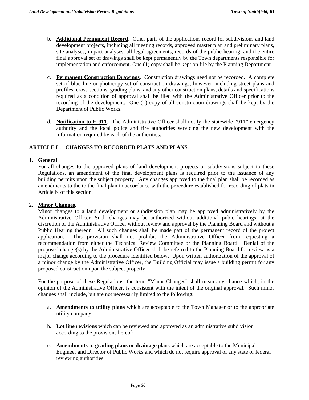- b. **Additional Permanent Record**. Other parts of the applications record for subdivisions and land development projects, including all meeting records, approved master plan and preliminary plans, site analyses, impact analyses, all legal agreements, records of the public hearing, and the entire final approval set of drawings shall be kept permanently by the Town departments responsible for implementation and enforcement. One (1) copy shall be kept on file by the Planning Department.
- c. **Permanent Construction Drawings**. Construction drawings need not be recorded. A complete set of blue line or photocopy set of construction drawings, however, including street plans and profiles, cross-sections, grading plans, and any other construction plans, details and specifications required as a condition of approval shall be filed with the Administrative Officer prior to the recording of the development. One (1) copy of all construction drawings shall be kept by the Department of Public Works.
- d. **Notification to E-911**. The Administrative Officer shall notify the statewide "911" emergency authority and the local police and fire authorities servicing the new development with the information required by each of the authorities.

# **ARTICLE L. CHANGES TO RECORDED PLATS AND PLANS**.

## 1. **General**.

For all changes to the approved plans of land development projects or subdivisions subject to these Regulations, an amendment of the final development plans is required prior to the issuance of any building permits upon the subject property. Any changes approved to the final plan shall be recorded as amendments to the to the final plan in accordance with the procedure established for recording of plats in Article K of this section.

## 2. **Minor Changes**.

Minor changes to a land development or subdivision plan may be approved administratively by the Administrative Officer. Such changes may be authorized without additional pubic hearings, at the discretion of the Administrative Officer without review and approval by the Planning Board and without a Public Hearing thereon. All such changes shall be made part of the permanent record of the project application. This provision shall not prohibit the Administrative Officer from requesting a recommendation from either the Technical Review Committee or the Planning Board. Denial of the proposed change(s) by the Administrative Officer shall be referred to the Planning Board for review as a major change according to the procedure identified below. Upon written authorization of the approval of a minor change by the Administrative Officer, the Building Official may issue a building permit for any proposed construction upon the subject property.

For the purpose of these Regulations, the term "Minor Changes" shall mean any chance which, in the opinion of the Administrative Officer, is consistent with the intent of the original approval. Such minor changes shall include, but are not necessarily limited to the following:

- a. **Amendments to utility plans** which are acceptable to the Town Manager or to the appropriate utility company;
- b. **Lot line revisions** which can be reviewed and approved as an administrative subdivision according to the provisions hereof;
- c. **Amendments to grading plans or drainage** plans which are acceptable to the Municipal Engineer and Director of Public Works and which do not require approval of any state or federal reviewing authorities;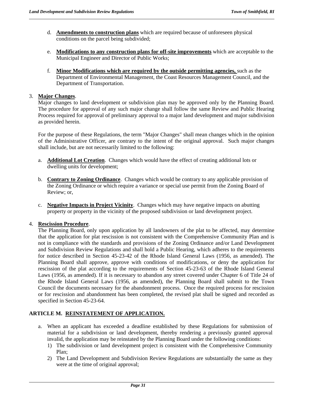- d. **Amendments to construction plans** which are required because of unforeseen physical conditions on the parcel being subdivided;
- e. **Modifications to any construction plans for off-site improvements** which are acceptable to the Municipal Engineer and Director of Public Works;
- f. **Minor Modifications which are required by the outside permitting agencies,** such as the Department of Environmental Management, the Coast Resources Management Council, and the Department of Transportation.

## 3. **Major Changes**.

Major changes to land development or subdivision plan may be approved only by the Planning Board. The procedure for approval of any such major change shall follow the same Review and Public Hearing Process required for approval of preliminary approval to a major land development and major subdivision as provided herein.

For the purpose of these Regulations, the term "Major Changes" shall mean changes which in the opinion of the Administrative Officer, are contrary to the intent of the original approval. Such major changes shall include, but are not necessarily limited to the following:

- a. **Additional Lot Creation**. Changes which would have the effect of creating additional lots or dwelling units for development;
- b. **Contrary to Zoning Ordinance**. Changes which would be contrary to any applicable provision of the Zoning Ordinance or which require a variance or special use permit from the Zoning Board of Review; or,
- c. **Negative Impacts in Project Vicinity**. Changes which may have negative impacts on abutting property or property in the vicinity of the proposed subdivision or land development project.

## 4. **Rescission Procedure**.

The Planning Board, only upon application by all landowners of the plat to be affected, may determine that the application for plat rescission is not consistent with the Comprehensive Community Plan and is not in compliance with the standards and provisions of the Zoning Ordinance and/or Land Development and Subdivision Review Regulations and shall hold a Public Hearing, which adheres to the requirements for notice described in Section 45-23-42 of the Rhode Island General Laws (1956, as amended). The Planning Board shall approve, approve with conditions of modifications, or deny the application for rescission of the plat according to the requirements of Section 45-23-63 of the Rhode Island General Laws (1956, as amended). If it is necessary to abandon any street covered under Chapter 6 of Title 24 of the Rhode Island General Laws (1956, as amended), the Planning Board shall submit to the Town Council the documents necessary for the abandonment process. Once the required process for rescission or for rescission and abandonment has been completed, the revised plat shall be signed and recorded as specified in Section 45-23-64.

## **ARTICLE M. REINSTATEMENT OF APPLICATION.**

- a. When an applicant has exceeded a deadline established by these Regulations for submission of material for a subdivision or land development, thereby rendering a previously granted approval invalid, the application may be reinstated by the Planning Board under the following conditions:
	- 1) The subdivision or land development project is consistent with the Comprehensive Community Plan;
	- 2) The Land Development and Subdivision Review Regulations are substantially the same as they were at the time of original approval;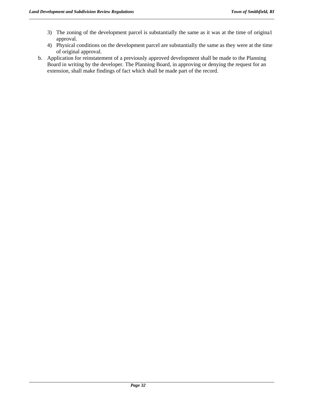- 3) The zoning of the development parcel is substantially the same as it was at the time of origina1 approval.
- 4) Physical conditions on the development parcel are substantially the same as they were at the time of original approval.
- b. Application for reinstatement of a previously approved development shall be made to the Planning Board in writing by the developer. The Planning Board, in approving or denying the request for an extension, shall make findings of fact which shall be made part of the record.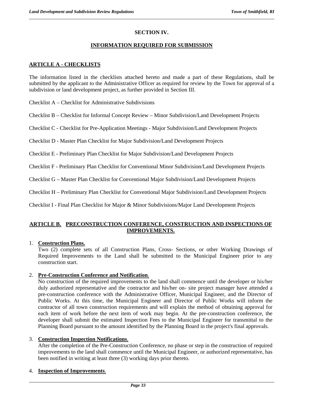# **SECTION IV.**

## **INFORMATION REQUIRED FOR SUBMISSION**

## **ARTICLE A - CHECKLISTS**

The information listed in the checklists attached hereto and made a part of these Regulations, shall be submitted by the applicant to the Administrative Officer as required for review by the Town for approval of a subdivision or land development project, as further provided in Section III.

Checklist A – Checklist for Administrative Subdivisions

Checklist B – Checklist for Informal Concept Review – Minor Subdivision/Land Development Projects

Checklist C - Checklist for Pre-Application Meetings - Major Subdivision/Land Development Projects

Checklist D - Master Plan Checklist for Major Subdivision/Land Development Projects

Checklist E - Preliminary Plan Checklist for Major Subdivision/Land Development Projects

Checklist F - Preliminary Plan Checklist for Conventional Minor Subdivision/Land Development Projects

Checklist G – Master Plan Checklist for Conventional Major Subdivision/Land Development Projects

Checklist H – Preliminary Plan Checklist for Conventional Major Subdivision/Land Development Projects

Checklist I - Final Plan Checklist for Major & Minor Subdivisions/Major Land Development Projects

## **ARTICLE B. PRECONSTRUCTION CONFERENCE, CONSTRUCTION AND INSPECTIONS OF IMPROVEMENTS.**

## 1. **Construction Plans.**

 Two (2) complete sets of all Construction Plans, Cross- Sections, or other Working Drawings of Required Improvements to the Land shall be submitted to the Municipal Engineer prior to any construction start.

## 2. **Pre-Construction Conference and Notification**.

 No construction of the required improvements to the land shall commence until the developer or his/her duly authorized representative and the contractor and his/her on- site project manager have attended a pre-construction conference with the Administrative Officer, Municipal Engineer, and the Director of Public Works. At this time, the Municipal Engineer and Director of Public Works will inform the contractor of all town construction requirements and will explain the method of obtaining approval for each item of work before the next item of work may begin. At the pre-construction conference, the developer shall submit the estimated Inspection Fees to the Municipal Engineer for transmittal to the Planning Board pursuant to the amount identified by the Planning Board in the project's final approvals.

# 3. **Construction Inspection Notifications**.

After the completion of the Pre-Construction Conference, no phase or step in the construction of required improvements to the land shall commence until the Municipal Engineer, or authorized representative, has been notified in writing at least three (3) working days prior thereto.

## 4. **Inspection of Improvements**.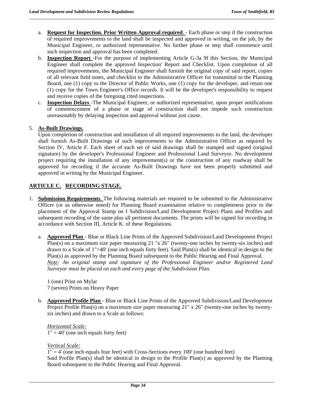- a. **Request for Inspection. Prior Written Approval required**. Each phase or step if the construction of required improvements to the land shall be inspected and approved in writing, on the job, by the Municipal Engineer, or authorized representative. No further phase or step shall commence until such inspection and approval has been completed.
- b. **Inspection Report** -For the purpose of implementing Article G-3a 9f this Section, the Municipal Engineer shall complete the approved Inspection' Report and Checklist. Upon completion of all required improvements, the Municipal Engineer shall furnish the original copy of said report, copies of all relevant field notes, and checklist to the Administrative Officer for transmittal to the Planning Board, one (1) copy to the Director of Public Works, one (1) copy for the developer, and retain one (1) copy for the Town Engineer's Office records. It will be the developer's responsibility to request and receive copies of the foregoing cited inspections.
- c. **Inspection Delays** -The Municipal Engineer, or authorized representative, upon proper notifications of commencement of a phase or stage of construction shall not impede such construction unreasonably by delaying inspection and approval without just cause.

# 5. **As-Built Drawings.**

Upon completion of construction and installation of all required improvements to the land, the developer shall furnish As-Built Drawings of such improvements to the Administrative Officer as required by Section IV, Article F. Each sheet of each set of said drawings shall be stamped and signed (original signature) by the developer's Professional Engineer and Professional Land Surveyor. No development project requiring the installation of any improvement(s) or the construction of any roadway shall be approved for recording if the accurate As-Built Drawings have not been properly submitted and approved in writing by the Municipal Engineer.

# **ARTICLE C. RECORDING STAGE.**

- 1. **Submission Requirements**. The following materials are required to be submitted to the Administrative Officer (or as otherwise noted) for Planning Board examination relative to completeness prior to the placement of the Approval Stamp on I Subdivision/Land Development Project Plans and Profiles and subsequent recording of the same plus all pertinent documents. The prints will be signed for recording in accordance with Section III, Article K. of these Regulations.
	- a. **Approved Plan** Blue or Black Line Prints of the Approved Subdivision/Land Development Project Plan(s) on a maximum size paper measuring 21 "x 26" (twenty-one inches by twenty-six inches) and drawn to a Scale of 1"=40' (one inch equals forty feet). Said Plan(s) shall be identical in design to the Plan(s) as approved by the Planning Board subsequent to the Public Hearing and Final Approval. *Note: An original stamp and signature of the Professional Engineer and/or Registered Land Surveyor must be placed on each and every page of the Subdivision Plan.*

1 (one) Print on Mylar 7 (seven) Prints on Heavy Paper

b. **Approved Profile Plan** - Blue or Black Line Prints of the Approved Subdivision/Land Development Project Profile Plan(s) on a maximum size paper measuring 21" x 26" (twenty-one inches by twentysix inches) and drawn to a Scale as follows:

*Horizontal Scale:*   $1" = 40'$  (one inch equals forty feet)

*Vertical Scale:* 

1" = 4' (one inch equals four feet) with Cross-Sections every 100' (one hundred feet) Said Profile Plan(s) shall be identical in design to the Profile Plan(s) as approved by the Planning Board subsequent to the Public Hearing and Final Approval.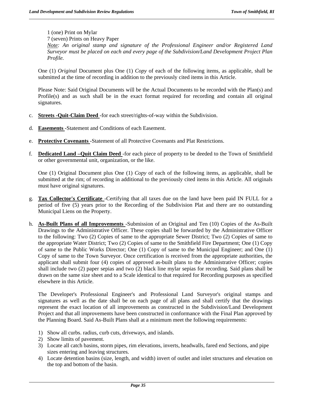# 1 (one) Print on Mylar

7 (seven) Prints on Heavy Paper

*Note: An original stamp and signature of the Professional Engineer and/or Registered Land Surveyor must be placed on each and every page of the Subdivision/Land Development Project Plan Profile.* 

One (1) *Original* Document plus One (1) *Copy* of each of the following items, as applicable, shall be submitted at the time of recording in addition to the previously cited items in this Article.

Please Note: Said Original Documents will be the Actual Documents to be recorded with the Plan(s) and Profile(s) and as such shall be in the exact format required for recording and contain all original signatures.

- c. **Streets -Quit-Claim Deed** -for each street/rights-of-way within the Subdivision.
- d. **Easements** -Statement and Conditions of each Easement.
- e. **Protective Covenants** -Statement of all Protective Covenants and Plat Restrictions.
- f. **Dedicated Land –Quit Claim Deed** -for each piece of property to be deeded to the Town of Smithfield or other governmental unit, organization, or the like.

One (1) Original Document plus One (1) *Copy* of each of the following items, as applicable, shall be submitted at the rim; of recording in additional to the previously cited items in this Article. All originals must have original signatures.

- g. **Tax Collector's Certificate** -Certifying that all taxes due on the land have been paid IN FULL for a period of five (5) years prior to the Recording of the Subdivision Plat and there are no outstanding Municipal Liens on the Property.
- h. **As-Built Plans of all Improvements** -Submission of an Original and Ten (10) Copies of the As-Built Drawings to the Administrative Officer. These copies shall be forwarded by the Administrative Officer to the following: Two (2) Copies of same to the appropriate Sewer District; Two (2) Copies of same to the appropriate Water District; Two (2) Copies of same to the Smithfield Fire Department; One (1) Copy of same to the Public Works Director; One (1) Copy of same to the Municipal Engineer; and One (1) Copy of same to the Town Surveyor. Once certification is received from the appropriate authorities, the applicant shall submit four (4) copies of approved as-built plans to the Administrative Officer; copies shall include two (2) paper sepias and two (2) black line mylar sepias for recording. Said plans shall be drawn on the same size sheet and to a Scale identical to that required for Recording purposes as specified elsewhere in this Article.

The Developer's Professional Engineer's and Professional Land Surveyor's original stamps and signatures as well as the date shall be on each page of all plans and shall certify that the drawings represent the exact location of all improvements as constructed in the Subdivision/Land Development Project and that all improvements have been constructed in conformance with the Final Plan approved by the Planning Board. Said As-Built Plans shall at a minimum meet the following requirements:

- 1) Show all curbs. radius, curb cuts, driveways, and islands.
- 2) Show limits of pavement.

- 3) Locate all catch basins, storm pipes, rim elevations, inverts, headwalls, fared end Sections, and pipe sizes entering and leaving structures.
- 4) Locate detention basins (size, length, and width) invert of outlet and inlet structures and elevation on the top and bottom of the basin.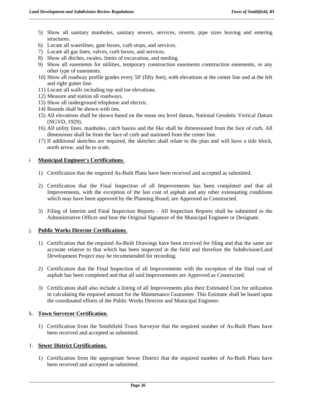- 5) Show all sanitary manholes, sanitary sewers, services, inverts, pipe sizes leaving and entering structures.
- 6) Locate all waterlines, gate boxes, curb stops, and services.
- 7) Locate all gas lines, valves, curb boxes, and services.
- 8) Show all ditches, swales, limits of excavation, and seeding.
- 9) Show all easements for utilities, temporary construction easements construction easements, or any other type of easements.
- 10) Show all roadway profile grades every 50' (fifty feet), with elevations at the center line and at the left and right gutter line.
- 11) Locate all walls including top and toe elevations.
- 12) Measure and station all roadways.
- 13) Show all underground telephone and electric.
- 14) Bounds shall be shown with ties.
- 15) All elevations shall be shown based on the mean sea level datum, National Geodetic Vertical Datum (NGVD, 1929).
- 16) All utility lines, manholes, catch basins and the like shall be dimensioned from the face of curb. All dimensions shall be from the face of curb and stationed from the center line.
- 17) If additional sketches are required, the sketches shall relate to the plan and will have a title block, north arrow, and be to scale.

#### i **Municipal Engineer's Certifications**.

- 1) Certification that the required As-Built Plans have been received and accepted as submitted.
- 2) Certification that the Final Inspection of all Improvements has been completed and that all Improvements, with the exception of the last coat of asphalt and any other extenuating conditions which may have been approved by the Planning Board, are Approved as Constructed.
- 3) Filing of Interim and Final Inspection Reports All Inspection Reports shall be submitted to the Administrative Officer and bear the Original Signature of the Municipal Engineer or Designate.

#### j. **Public Works Director Certifications**.

- 1) Certification that the required As-Built Drawings have been received for filing and that the same are accurate relative to that which has been inspected in the field and therefore the Subdivision/Land Development Project may be recommended for recording.
- 2) Certification that the Final Inspection of all Improvements with the exception of the final coat of asphalt has been completed and that all said Improvements are Approved as Constructed.
- 3) Certification shall also include a listing of all Improvements plus their Estimated Cost for utilization in calculating the required amount for the Maintenance Guarantee. This Estimate shall be based upon the coordinated efforts of the Public Works Director and Municipal Engineer.

#### k. **Town Surveyor Certification**.

1) Certification from the Smithfield Town Surveyor that the required number of As-Built Plans have been received and accepted as submitted.

#### 1. **Sewer District Certifications**.

1) Certification from the appropriate Sewer District that the required number of As-Built Plans have been received and accepted as submitted.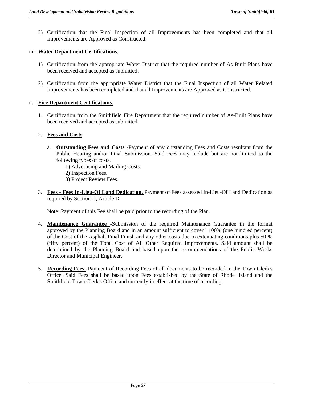2) Certification that the Final Inspection of all Improvements has been completed and that all Improvements are Approved as Constructed.

#### m. **Water Department Certifications**.

- 1) Certification from the appropriate Water District that the required number of As-Built Plans have been received and accepted as submitted.
- 2) Certification from the appropriate Water District that the Final Inspection of all Water Related Improvements has been completed and that all Improvements are Approved as Constructed.

## n. **Fire Department Certifications**.

1. Certification from the Smithfield Fire Department that the required number of As-Built Plans have been received and accepted as submitted.

## 2. **Fees and Costs**

- a. **Outstanding Fees and Costs** -Payment of any outstanding Fees and Costs resultant from the Public Hearing and/or Final Submission. Said Fees may include but are not limited to the following types of costs.
	- 1) Advertising and Mailing Costs.
	- 2) Inspection Fees.
	- 3) Project Review Fees.
- 3. **Fees Fees In-Lieu-Of Land Dedication**. Payment of Fees assessed In-Lieu-Of Land Dedication as required by Section II, Article D.

Note: Payment of this Fee shall be paid prior to the recording of the Plan.

- 4. **Maintenance Guarantee** -Submission of the required Maintenance Guarantee in the format approved by the Planning Board and in an amount sufficient to cover l 100% (one hundred percent) of the Cost of the Asphalt Final Finish and any other costs due to extenuating conditions plus 50 % (fifty percent) of the Total Cost of All Other Required Improvements. Said amount shall be determined by the Planning Board and based upon the recommendations of the Public Works Director and Municipal Engineer.
- 5. **Recording Fees** -Payment of Recording Fees of all documents to be recorded in the Town Clerk's Office. Said Fees shall be based upon Fees established by the State of Rhode .Island and the Smithfield Town Clerk's Office and currently in effect at the time of recording.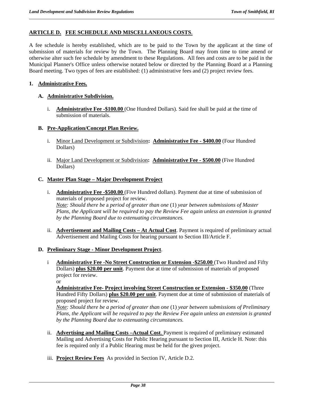# **ARTICLE D. FEE SCHEDULE AND MISCELLANEOUS COSTS**.

A fee schedule is hereby established, which are to be paid to the Town by the applicant at the time of submission of materials for review by the Town. The Planning Board may from time to time amend or otherwise alter such fee schedule by amendment to these Regulations. All fees and costs are to be paid in the Municipal Planner's Office unless otherwise notated below or directed by the Planning Board at a Planning Board meeting. Two types of fees are established: (1) administrative fees and (2) project review fees.

## **1. Administrative Fees.**

## **A. Administrative Subdivision.**

i. **Administrative Fee -\$100.00** (One Hundred Dollars). Said fee shall be paid at the time of submission of materials.

## **B. Pre-Application/Concept Plan Review.**

- i. Minor Land Development or Subdivision**: Administrative Fee \$400.00** (Four Hundred Dollars)
- ii. Major Land Development or Subdivision**: Administrative Fee \$500.00** (Five Hundred Dollars)

## **C. Master Plan Stage – Major Development Project**

- i. **Administrative Fee -\$500.00** (Five Hundred dollars). Payment due at time of submission of materials of proposed project for review. *Note: Should there be* a *period of greater than one* (1) *year between submissions of Master Plans, the Applicant will be required to pay the Review Fee again unless an extension is granted by the Planning Board due to extenuating circumstances.*
- ii. **Advertisement and Mailing Costs At Actual Cost**. Payment is required of preliminary actual Advertisement and Mailing Costs for hearing pursuant to Section III/Article F.

## **D. Preliminary Stage - Minor Development Project**.

i **Administrative Fee -No Street Construction or Extension -\$250.00** (Two Hundred and Fifty Dollars) **plus \$20.00 per unit**. Payment due at time of submission of materials of proposed project for review.

or

**Administrative Fee- Project involving Street Construction or Extension - \$350.00** (Three Hundred Fifty Dollars) **plus \$20.00 per unit**. Payment due at time of submission of materials of proposed project for review.

*Note: Should there be a period of greater than one* (1) *year between submissions of Preliminary Plans, the Applicant will be required to pay the Review Fee again unless an extension is granted by the Planning Board due to extenuating circumstances.* 

- ii. **Advertising and Mailing Costs –Actual Cost**. Payment is required of preliminary estimated Mailing and Advertising Costs for Public Hearing pursuant to Section III, Article H. Note: this fee is required only if a Public Hearing must be held for the given project.
- iii. **Project Review Fees** As provided in Section IV, Article D.2.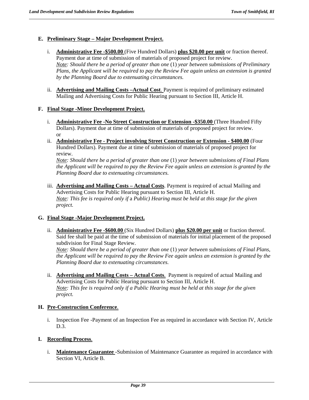# **E. Preliminary Stage – Major Development Project.**

- i. **Administrative Fee -\$500.00** (Five Hundred Dollars) **plus \$20.00 per unit** or fraction thereof. Payment due at time of submission of materials of proposed project for review. *Note: Should there be a period of greater than one* (1) *year between submissions of Preliminary Plans, the Applicant will be required to pay the Review Fee again unless an extension is granted by the Planning Board due to extenuating circumstances.*
- ii. **Advertising and Mailing Costs –Actual Cost**. Payment is required of preliminary estimated Mailing and Advertising Costs for Public Hearing pursuant to Section III, Article H.

## **F. Final Stage -Minor Development Project.**

- i. **Administrative Fee -No Street Construction or Extension -\$350.00** (Three Hundred Fifty Dollars). Payment due at time of submission of materials of proposed project for review. or
- ii. **Administrative Fee Project involving Street Construction or Extension \$400.00** (Four Hundred Dollars). Payment due at time of submission of materials of proposed project for review.

*Note: Should there be a period of greater than one* (1) *year between submissions of Final Plans the Applicant will be required to pay the Review Fee again unless an extension is granted by the Planning Board due to extenuating circumstances.* 

iii. **Advertising and Mailing Costs – Actual Costs**. Payment is required of actual Mailing and Advertising Costs for Public Hearing pursuant to Section III, Article H. *Note: This fee is required only if* a *Public) Hearing must be held at this stage for the given project.* 

## **G. Final Stage -Major Development Project.**

ii. **Administrative Fee -\$600.00** (Six Hundred Dollars) **plus \$20.00 per unit** or fraction thereof. Said fee shall be paid at the time of submission of materials for initial placement of the proposed subdivision for Final Stage Review.

*Note: Should there be a period of greater than one* (1) *year between submissions of Final Plans, the Applicant will be required to pay the Review Fee again unless an extension is granted by the Planning Board due to extenuating circumstances.* 

ii. **Advertising and Mailing Costs – Actual Costs**. Payment is required of actual Mailing and Advertising Costs for Public Hearing pursuant to Section III, Article H. *Note: This fee is required only if a Public Hearing must be held at this stage for the given project.* 

# **H. Pre-Construction Conference**.

i. Inspection Fee -Payment of an Inspection Fee as required in accordance with Section IV, Article D.3.

# **I. Recording Process**.

i. **Maintenance Guarantee** -Submission of Maintenance Guarantee as required in accordance with Section VI, Article B.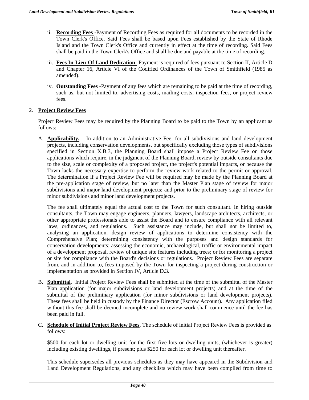- ii. **Recording Fees** -Payment of Recording Fees as required for all documents to be recorded in the Town Clerk's Office. Said Fees shall be based upon Fees established by the State of Rhode Island and the Town Clerk's Office and currently in effect at the time of recording. Said Fees shall be paid in the Town Clerk's Office and shall be due and payable at the time of recording.
- iii. **Fees In-Lieu-Of Land Dedication** -Payment is required of fees pursuant to Section II, Article D and Chapter 16, Article VI of the Codified Ordinances of the Town of Smithfield (1985 as amended).
- iv. **Outstanding Fees** -Payment of any fees which are remaining to be paid at the time of recording, such as, but not limited to, advertising costs, mailing costs, inspection fees, or project review fees.

# 2. **Project Review Fees**

Project Review Fees may be required by the Planning Board to be paid to the Town by an applicant as follows:

A. **Applicability.** In addition to an Administrative Fee, for all subdivisions and land development projects, including conservation developments, but specifically excluding those types of subdivisions specified in Section X.B.3, the Planning Board shall impose a Project Review Fee on those applications which require, in the judgment of the Planning Board, review by outside consultants due to the size, scale or complexity of a proposed project, the project's potential impacts, or because the Town lacks the necessary expertise to perform the review work related to the permit or approval. The determination if a Project Review Fee will be required may be made by the Planning Board at the pre-application stage of review, but no later than the Master Plan stage of review for major subdivisions and major land development projects; and prior to the preliminary stage of review for minor subdivisions and minor land development projects.

The fee shall ultimately equal the actual cost to the Town for such consultant. In hiring outside consultants, the Town may engage engineers, planners, lawyers, landscape architects, architects, or other appropriate professionals able to assist the Board and to ensure compliance with all relevant laws, ordinances, and regulations. Such assistance may include, but shall not be limited to, analyzing an application, design review of applications to determine consistency with the Comprehensive Plan; determining consistency with the purposes and design standards for conservation developments; assessing the economic, archaeological, traffic or environmental impact of a development proposal, review of unique site features including trees; or for monitoring a project or site for compliance with the Board's decisions or regulations. Project Review Fees are separate from, and in addition to, fees imposed by the Town for inspecting a project during construction or implementation as provided in Section IV, Article D.3.

- B. **Submittal**. Initial Project Review Fees shall be submitted at the time of the submittal of the Master Plan application (for major subdivisions or land development projects) and at the time of the submittal of the preliminary application (for minor subdivisions or land development projects). These fees shall be held in custody by the Finance Director (Escrow Account). Any application filed without this fee shall be deemed incomplete and no review work shall commence until the fee has been paid in full.
- C. **Schedule of Initial Project Review Fees**. The schedule of initial Project Review Fees is provided as follows:

\$500 for each lot or dwelling unit for the first five lots or dwelling units, (whichever is greater) including existing dwellings, if present; plus \$250 for each lot or dwelling unit thereafter.

This schedule supersedes all previous schedules as they may have appeared in the Subdivision and Land Development Regulations, and any checklists which may have been compiled from time to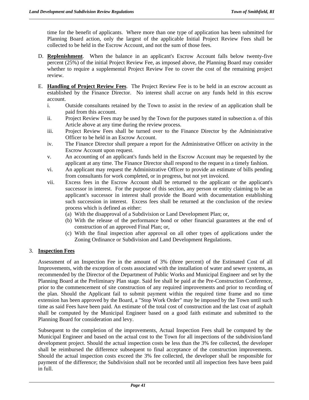time for the benefit of applicants. Where more than one type of application has been submitted for Planning Board action, only the largest of the applicable Initial Project Review Fees shall be collected to be held in the Escrow Account, and not the sum of those fees.

- D. **Replenishment**. When the balance in an applicant's Escrow Account falls below twenty-five percent (25%) of the initial Project Review Fee, as imposed above, the Planning Board may consider whether to require a supplemental Project Review Fee to cover the cost of the remaining project review.
- E. **Handling of Project Review Fees**. The Project Review Fee is to be held in an escrow account as established by the Finance Director. No interest shall accrue on any funds held in this escrow account.
	- i. Outside consultants retained by the Town to assist in the review of an application shall be paid from this account.
	- ii. Project Review Fees may be used by the Town for the purposes stated in subsection a. of this Article above at any time during the review process.
	- iii. Project Review Fees shall be turned over to the Finance Director by the Administrative Officer to be held in an Escrow Account.
	- iv. The Finance Director shall prepare a report for the Administrative Officer on activity in the Escrow Account upon request.
	- v. An accounting of an applicant's funds held in the Escrow Account may be requested by the applicant at any time. The Finance Director shall respond to the request in a timely fashion.
	- vi. An applicant may request the Administrative Officer to provide an estimate of bills pending from consultants for work completed, or in progress, but not yet invoiced.
	- vii. Excess fees in the Escrow Account shall be returned to the applicant or the applicant's successor in interest. For the purpose of this section, any person or entity claiming to be an applicant's successor in interest shall provide the Board with documentation establishing such succession in interest. Excess fees shall be returned at the conclusion of the review process which is defined as either:
		- (a) With the disapproval of a Subdivision or Land Development Plan; or,
		- (b) With the release of the performance bond or other financial guarantees at the end of construction of an approved Final Plan; or,
		- (c) With the final inspection after approval on all other types of applications under the Zoning Ordinance or Subdivision and Land Development Regulations.

# 3. **Inspection Fees**

Assessment of an Inspection Fee in the amount of 3% (three percent) of the Estimated Cost of all Improvements, with the exception of costs associated with the installation of water and sewer systems, as recommended by the Director of the Department of Public Works and Municipal Engineer and set by the Planning Board at the Preliminary Plan stage. Said fee shall be paid at the Pre-Construction Conference, prior to the commencement of site construction of any required improvements and prior to recording of the plan. Should the Applicant fail to submit payment within the required time frame and no time extension has been approved by the Board, a "Stop Work Order" may be imposed by the Town until such time as said Fees have been paid. An estimate of the total cost of construction and the last coat of asphalt shall be computed by the Municipal Engineer based on a good faith estimate and submitted to the Planning Board for consideration and levy.

 Subsequent to the completion of the improvements, Actual Inspection Fees shall be computed by the Municipal Engineer and based on the actual cost to the Town for all inspections of the subdivision/land development project. Should the actual inspection costs be less than the 3% fee collected, the developer shall be reimbursed the difference subsequent to final acceptance of the construction improvements. Should the actual inspection costs exceed the 3% fee collected, the developer shall be responsible for payment of the difference; the Subdivision shall not be recorded until all inspection fees have been paid in full.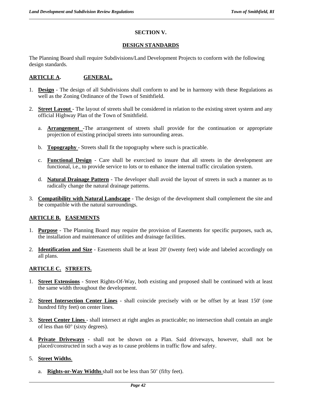# **SECTION V.**

## **DESIGN STANDARDS**

The Planning Board shall require Subdivisions/Land Development Projects to conform with the following design standards.

# **ARTICLE A. GENERAL.**

- 1. **Design** The design of all Subdivisions shall conform to and be in harmony with these Regulations as well as the Zoning Ordinance of the Town of Smithfield.
- 2. **Street Layout** The layout of streets shall be considered in relation to the existing street system and any official Highway Plan of the Town of Smithfield.
	- a. **Arrangement** -The arrangement of streets shall provide for the continuation or appropriate projection of existing principal streets into surrounding areas.
	- b. **Topography** Streets shall fit the topography where such is practicable.
	- c. **Functional Design** Care shall be exercised to insure that all streets in the development are functional, i.e., to provide service to lots or to enhance the internal traffic circulation system.
	- d. **Natural Drainage Pattern** The developer shall avoid the layout of streets in such a manner as to radically change the natural drainage patterns.
- 3. **Compatibility with Natural Landscape** The design of the development shall complement the site and be compatible with the natural surroundings.

## **ARTICLE B. EASEMENTS**

- 1. **Purpose** The Planning Board may require the provision of Easements for specific purposes, such as, the installation and maintenance of utilities and drainage facilities.
- 2. **Identification and Size** Easements shall be at least 20' (twenty feet) wide and labeled accordingly on all plans.

# **ARTICLE C. STREETS.**

- 1. **Street Extensions** Street Rights-Of-Way, both existing and proposed shall be continued with at least the same width throughout the development.
- 2. **Street Intersection Center Lines** shall coincide precisely with or be offset by at least 150' (one hundred fifty feet) on center lines.
- 3. **Street Center Lines** shall intersect at right angles as practicable; no intersection shall contain an angle of less than  $60^\circ$  (sixty degrees).
- 4. **Private Driveways** shall not be shown on a Plan. Said driveways, however, shall not be placed/constructed in such a way as to cause problems in traffic flow and safety.

## 5. **Street Widths**.

a. **Rights-or-Way Widths** shall not be less than 50' (fifty feet).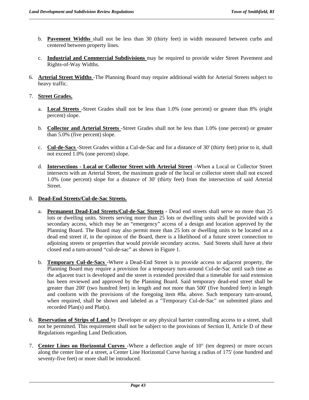- b. **Pavement Widths** shall not be less than 30 (thirty feet) in width measured between curbs and centered between property lines.
- c. **Industrial and Commercial Subdivisions** may be required to provide wider Street Pavement and Rights-of-Way Widths.
- 6. **Arterial Street Widths** -The Planning Board may require additional width for Arterial Streets subject to heavy traffic.

## 7. **Street Grades.**

- a. **Local Streets** -Street Grades shall not be less than 1.0% (one percent) or greater than 8% (eight percent) slope.
- b. **Collector and Arterial Streets** -Street Grades shall not be less than 1.0% (one percent) or greater than 5.0% (five percent) slope.
- c. **Cul-de-Sacs** -Street Grades within a Cul-de-Sac and for a distance of 30' (thirty feet) prior to it, shall not exceed 1.0% (one percent) slope.
- d. **Intersections Local or Collector Street with Arterial Street** –When a Local or Collector Street intersects with an Arterial Street, the maximum grade of the local or collector street shall not exceed 1.0% (one percent) slope for a distance of 30' (thirty feet) from the intersection of said Arterial Street.

## 8. **Dead-End Streets/Cul-de-Sac Streets.**

- a. **Permanent Dead-End Streets/Cul-de-Sac Streets -** Dead end streets shall serve no more than 25 lots or dwelling units. Streets serving more than 25 lots or dwelling units shall be provided with a secondary access, which may be an "emergency" access of a design and location approved by the Planning Board. The Board may also permit more than 25 lots or dwelling units to be located on a dead end street if, in the opinion of the Board, there is a likelihood of a future street connection to adjoining streets or properties that would provide secondary access. Said Streets shall have at their closed end a turn-around "cul-de-sac" as shown in Figure 1.
- b. **Temporary Cul-de-Sacs** -Where a Dead-End Street is to provide access to adjacent property, the Planning Board may require a provision for a temporary turn-around Cul-de-Sac until such time as the adjacent tract is developed and the street is extended provided that a timetable for said extension has been reviewed and approved by the Planning Board. Said temporary dead-end street shall be greater than 200' (two hundred feet) in length and not more than 500' (five hundred feet) in length and conform with the provisions of the foregoing item #8a. above. Such temporary turn-around, when required, shall be shown and labeled as a "Temporary Cul-de-Sac" on submitted plans and recorded Plan(s) and Plat(s).
- 6. **Reservation of Strips of Land** by Developer or any physical barrier controlling access to a street, shall not be permitted. This requirement shall not be subject to the provisions of Section II, Article D of these Regulations regarding Land Dedication.
- 7. **Center Lines on Horizontal Curves** -Where a deflection angle of 10<sup>°</sup> (ten degrees) or more occurs along the center line of a street, a Center Line Horizontal Curve having a radius of 175' (one hundred and seventy-five feet) or more shall be introduced.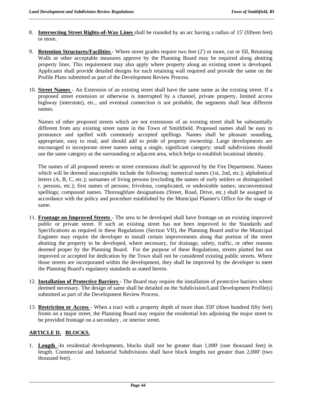- 8. **Intersecting Street Rights-of-Way Lines** shall be rounded by an arc having a radius of 15' (fifteen feet) or more.
- 9. **Retention Structures/Facilities** Where street grades require two feet (2') or more, cut or fill, Retaining Walls or other acceptable measures approve by the Planning Board may be required along abutting property lines. This requirement may also apply where property along an existing street is developed. Applicants shall provide detailed designs for each retaining wall required and provide the same on the Profile Plans submitted as part of the Development Review Process.
- 10. **Street Names** An Extension of an existing street shall have the same name as the existing street. If a proposed street extension or otherwise is interrupted by a channel, private property, limited access highway (interstate), etc., and eventual connection is not probable, the segments shall bear different names.

Names of other proposed streets which are not extensions of an existing street shall be substantially different from any existing street name in the Town of Smithfield. Proposed names shall be easy to pronounce and spelled with commonly accepted spellings. Names shall be pleasant sounding, appropriate, easy to read, and should add to pride of property ownership. Large developments are encouraged to incorporate street names using a single, significant category; small subdivisions should use the same category as the surrounding or adjacent area, which helps to establish locational identity.

The names of all proposed streets or street extensions shall be approved by the Fire Department. Names which will be deemed unacceptable include the following: numerical names (1st, 2nd, etc.); alphabetical letters (A, B, C, etc.); surnames of living persons (excluding the names of early settlers or distinguished r. persons, etc.); first names of persons; frivolous, complicated, or undesirable names; unconventional spellings; compound names. Thoroughfare designations (Street, Road, Drive, etc.) shall be assigned in accordance with the policy and procedure established by the Municipal Planner's Office for the usage of same.

- 11. **Frontage on Improved Streets** The area to be developed shall have frontage on an existing improved public or private street. If such an existing street has not been improved to the Standards and Specifications as required in these Regulations (Section VII), the Planning Board and/or the Municipal Engineer may require the developer to install certain improvements along that portion of the street abutting the property to be developed, where necessary, for drainage, safety, traffic, or other reasons deemed proper by the Planning Board. For the purpose of these Regulations, streets platted but not improved or accepted for dedication by the Town shall not be considered existing public streets. Where those streets are incorporated within the development, they shall be improved by the developer to meet the Planning Board's regulatory standards as stated herein.
- 12. **Installation of Protective Barriers** The Board may require the installation of protective barriers where deemed necessary. The design of same shall be detailed on the Subdivision/Land Development Profile(s) submitted as part of the Development Review Process.
- 13. **Restriction or Access** When a tract with a property depth of more than 350' (three hundred fifty feet) fronts on a major street, the Planning Board may require the residential lots adjoining the major street to be provided frontage on a secondary , or interior street.

## **ARTICLE D. BLOCKS.**

1. **Length** -In residential developments, blocks shall not be greater than 1,000' (one thousand feet) in length. Commercial and Industrial Subdivisions shall have block lengths not greater than 2,000' (two thousand feet).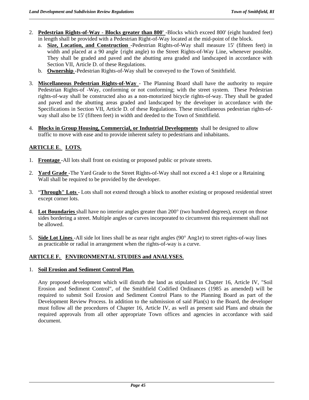- 2. **Pedestrian Rights-of-Way Blocks greater than 800'** -Blocks which exceed 800' (eight hundred feet) in length shall be provided with a Pedestrian Right-of-Way located at the mid-point of the block.
	- a. **Size, Location, and Construction** -Pedestrian Rights-of-Way shall measure 15' (fifteen feet) in width and placed at a 90 angle {right angle) to the Street Rights-of-Way Line, whenever possible. They shall be graded and paved and the abutting area graded and landscaped in accordance with Section VII, Article D. of these Regulations.
	- b. **Ownership** -Pedestrian Rights-of-Way shall be conveyed to the Town of Smithfield.
- 3. **Miscellaneous Pedestrian Rights-of-Way** The Planning Board shall have the authority to require Pedestrian Rights-of -Way, conforming or not conforming; with the street system*.* These Pedestrian rights-of-way shall be constructed also as a non-motorized bicycle rights-of-way. They shall be graded and paved and the abutting areas graded and landscaped by the developer in accordance with the Specifications in Section VII, Article D. of these Regulations. These miscellaneous pedestrian rights-ofway shall also be 15' (fifteen feet) in width and deeded to the Town of Smithfield.
- 4. **Blocks in Group Housing, Commercial, or Industrial Developments** shall be designed to allow traffic to move with ease and to provide inherent safety to pedestrians and inhabitants.

# **ARTICLE E**. **LOTS.**

- 1. **Frontage** -All lots shall front on existing or proposed public or private streets.
- 2. **Yard Grade** -The Yard Grade to the Street Rights-of-Way shall not exceed a 4:1 slope or a Retaining Wall shall be required to be provided by the developer.
- 3. "**Through" Lots** Lots shall not extend through a block to another existing or proposed residential street except corner lots.
- 4. **Lot Boundaries** shall have no interior angles greater than 200<sup>o</sup> (two hundred degrees), except on those sides bordering a street. Multiple angles or curves incorporated to circumvent this requirement shall not be allowed.
- 5. **Side Lot Lines** -All side lot lines shall be as near right angles (90° Ang1e) to street rights-of-way lines as practicable or radial in arrangement when the rights-of-way is a curve.

# **ARTICLE F. ENVIRONMENTAL STUDIES and ANALYSES**.

## 1. **Soil Erosion and Sediment Control Plan**.

Any proposed development which will disturb the land as stipulated in Chapter 16, Article IV, "Soil Erosion and Sediment Control", of the Smithfield Codified Ordinances (1985 as amended) will be required to submit Soil Erosion and Sediment Control Plans to the Planning Board as part of the Development Review Process. In addition to the submission of said Plan(s) to the Board, the developer must follow all the procedures of Chapter 16, Article IV, as well as present said Plans and obtain the required approvals from all other appropriate Town offices and agencies in accordance with said document.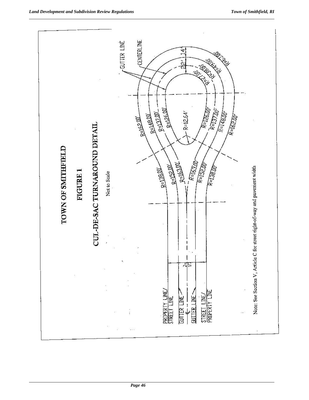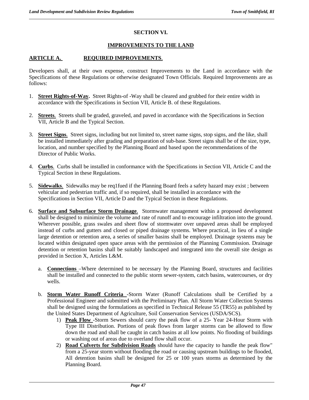# **SECTION VI.**

## **IMPROVEMENTS TO THE LAND**

## **ARTICLE A. REQUIRED IMPROVEMENTS**.

Developers shall, at their own expense, construct Improvements to the Land in accordance with the Specifications of these Regulations or otherwise designated Town Officials. Required Improvements are as follows:

- 1. **Street Rights-of-Way.** Street Rights-of -Way shall be cleared and grubbed for their entire width in accordance with the Specifications in Section VII, Article B. of these Regulations.
- 2. **Streets**. Streets shall be graded, graveled, and paved in accordance with the Specifications in Section VII, Article B and the Typical Section.
- 3. **Street Signs**. Street signs, including but not limited to, street name signs, stop signs, and the like, shall be installed immediately after grading and preparation of sub-base. Street signs shall be of the size, type, location, and number specified by the Planning Board and based upon the recommendations of the Director of Public Works.
- 4. **Curbs**. Curbs shall be installed in conformance with the Specifications in Section VII, Article C and the Typical Section in these Regulations.
- 5. **Sidewalks**. Sidewalks may be req1fued if the Planning Board feels a safety hazard may exist ; between vehicular and pedestrian traffic and, if so required, shall be installed in accordance with the Specifications in Section VII, Article D and the Typical Section in these Regulations.
- 6. **Surface and Subsurface Storm Drainage**. Stormwater management within a proposed development shall be designed to minimize the volume and rate of runoff and to encourage infiltration into the ground. Wherever possible, grass swales and sheet flow of stormwater over unpaved areas shall be employed instead of curbs and gutters and closed or piped drainage systems. Where practical, in lieu of a single large detention or retention area, a series of smaller basins shall be employed. Drainage systems may be located within designated open space areas with the permission of the Planning Commission. Drainage detention or retention basins shall be suitably landscaped and integrated into the overall site design as provided in Section X, Articles L&M.
	- a. **Connections** –Where determined to be necessary by the Planning Board, structures and facilities shall be installed and connected to the public storm sewer-system, catch basins, watercourses, or dry wells.
	- b. **Storm Water Runoff Criteria** -Storm Water (Runoff Calculations shall be Certified by a Professional Engineer and submitted with the Preliminary Plan. All Storm Water Collection Systems shall be designed using the formulations as specified in Technical Release 55 (TR55) as published by the United States Department of Agriculture, Soil Conservation Services (USDA/SCS).
		- 1) **Peak Flow** -Storm Sewers should carry the peak flow of a 25- Year 24-Hour Storm with Type III Distribution. Portions of peak flows from larger storms can be allowed to flow down the road and shall be caught in catch basins at all low points. No flooding of buildings or washing out of areas due to overland flow shall occur.
		- 2) **Road Culverts for Subdivision Roads** should have the capacity to handle the peak flow" from a 25-year storm without flooding the road or causing upstream buildings to be flooded, All detention basins shall be designed for 25 or 100 years storms as determined by the Planning Board.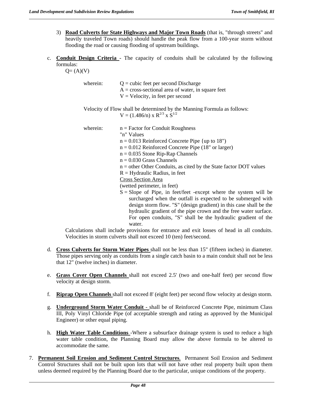- 3) **Road Culverts for State Highways and Major Town Roads** (that is, "through streets" and heavily traveled Town roads) should handle the peak flow from a 100-year storm without flooding the road or causing flooding of upstream buildings.
- c. **Conduit Design Criteria** The capacity of conduits shall be calculated by the following formulas:

 $Q = (A)(V)$ 

| wherein: | $Q =$ cubic feet per second Discharge               |
|----------|-----------------------------------------------------|
|          | $A = cross-sectional area of water, in square feet$ |
|          | $V = Velocity$ , in feet per second                 |

Velocity of Flow shall be determined by the Manning Formula as follows:  $V = (1.486/n) \times R^{2/3} \times S^{1/2}$ 

wherein:  $n = Factor for Conduit Roughness$ "n" Values  $n = 0.013$  Reinforced Concrete Pipe {up to 18")  $n = 0.012$  Reinforced Concrete Pipe (18" or larger) n = 0.035 Stone Rip-Rap Channels  $n = 0.030$  Grass Channels n = other Other Conduits, as cited by the State factor DOT values  $R = Hyd$ raulic Radius, in feet Cross Section Area (wetted perimeter, in feet)  $S =$  Slope of Pipe, in feet/feet -except where the system will be surcharged when the outfall is expected to be submerged with design storm flow. "S" (design gradient) in this case shall be the hydraulic gradient of the pipe crown and the free water surface. For open conduits, "S" shall be the hydraulic gradient of the

Calculations shall include provisions for entrance and exit losses of head in all conduits. Velocities in storm culverts shall not exceed 10 (ten) feet/second.

d. **Cross Culverts for Storm Water Pipes** shall not be less than 15" (fifteen inches) in diameter. Those pipes serving only as conduits from a single catch basin to a main conduit shall not be less that 12" (twelve inches) in diameter.

water.

- e. **Grass Cover Open Channels** shall not exceed 2.5' (two and one-half feet) per second flow velocity at design storm.
- f. **Riprap Open Channels** shall not exceed 8' (eight feet) per second flow velocity at design storm.
- g. **Underground Storm Water Conduit** shall be of Reinforced Concrete Pipe, minimum Class III, Poly Vinyl Chloride Pipe (of acceptable strength and rating as approved by the Municipal Engineer) or other equal piping.
- h. **High Water Table Conditions** -Where a subsurface drainage system is used to reduce a high water table condition, the Planning Board may allow the above formula to be altered to accommodate the same.
- 7. **Permanent Soil Erosion and Sediment Control Structures**. Permanent Soil Erosion and Sediment Control Structures shall not be built upon lots that will not have other real property built upon them unless deemed required by the Planning Board due to the particular, unique conditions of the property.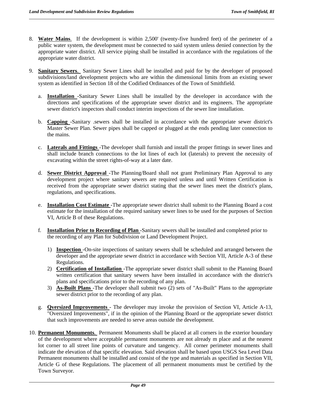- 8. **Water Mains**. If the development is within 2,500' (twenty-five hundred feet) of the perimeter of a public water system, the development must be connected to said system unless denied connection by the appropriate water district. All service piping shall be installed in accordance with the regulations of the appropriate water district.
- 9. **Sanitary Sewers**. Sanitary Sewer Lines shall be installed and paid for by the developer of proposed subdivisions/land development projects who are within the dimensional limits from an existing sewer system as identified in Section 18 of the Codified Ordinances of the Town of Smithfield.
	- a. **Installation** -Sanitary Sewer Lines shall be installed by the developer in accordance with the directions and specifications of the appropriate sewer district and its engineers. The appropriate sewer district's inspectors shall conduct interim inspections of the sewer line installation.
	- b. **Capping** -Sanitary .sewers shall be installed in accordance with the appropriate sewer district's Master Sewer Plan. Sewer pipes shall be capped or plugged at the ends pending later connection to the mains.
	- c. **Laterals and Fittings** -The developer shall furnish and install the proper fittings in sewer lines and shall include branch connections to the lot lines of each lot (laterals) to prevent the necessity of excavating within the street rights-of-way at a later date.
	- d. **Sewer District Approval** -The Planning/Board shall not grant Preliminary Plan Approval to any development project where sanitary sewers are required unless and until Written Certification is received from the appropriate sewer district stating that the sewer lines meet the district's plans, regulations, and specifications.
	- e. **Installation Cost Estimate** -The appropriate sewer district shall submit to the Planning Board a cost estimate for the installation of the required sanitary sewer lines to be used for the purposes of Section VI, Article B of these Regulations.
	- f*.* **Installation Prior to Recording of Plan** -Sanitary sewers shall be installed and completed prior to the recording of any Plan for Subdivision or Land Development Project.
		- 1) **Inspection** -On-site inspections of sanitary sewers shall be scheduled and arranged between the developer and the appropriate sewer district in accordance with Section VII, Article A-3 of these Regulations.
		- 2) **Certification of Installation** -The appropriate sewer district shall submit to the Planning Board written certification that sanitary sewers have been installed in accordance with the district's plans and specifications prior to the recording of any plan.
		- 3) **As-Built Plans** -The developer shall submit two (2) sets of "As-Built" Plans to the appropriate sewer district prior to the recording of any plan.
	- g. **Qversized Improvements** The developer may invoke the provision of Section VI, Article A-13, "Oversized Improvements", if in the opinion of the Planning Board or the appropriate sewer district that such improvements are needed to serve areas outside the development.
- 10. **Permanent Monuments**. Permanent Monuments shall be placed at all corners in the exterior boundary of the development where acceptable permanent monuments are not already m place and at the nearest lot corner to all street line points of curvature and tangency. All corner perimeter monuments shall indicate the elevation of that specific elevation. Said elevation shall be based upon USGS Sea Level Data Permanent monuments shall be installed and consist of the type and materials as specified in Section VII, Article G of these Regulations. The placement of all permanent monuments must be certified by the Town Surveyor.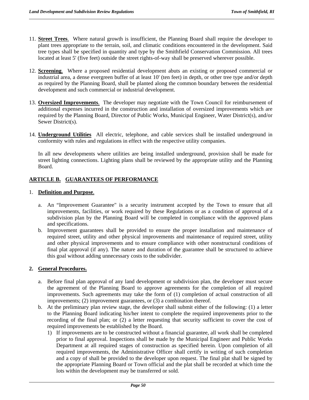- 11. **Street Trees**. Where natural growth is insufficient, the Planning Board shall require the developer to plant trees appropriate to the terrain, soil, and climatic conditions encountered in the development. Said tree types shall be specified in quantity and type by the Smithfield Conservation Commission. All trees located at least 5' (five feet) outside the street rights-of-way shall be preserved wherever possible.
- 12. **Screening**. Where a proposed residential development abuts an existing or proposed commercial or industrial area, a dense evergreen buffer of at least 10' (ten feet) in depth, or other tree type and/or depth as required by the Planning Board, shall be planted along the common boundary between the residential development and such commercial or industrial development.
- 13. **Oversized Improvements**. The developer may negotiate with the Town Council for reimbursement of additional expenses incurred in the construction and installation of oversized improvements which are required by the Planning Board, Director of Public Works, Municipal Engineer, Water District(s), and/or Sewer District(s).
- 14. **Underground Utilities** All electric, telephone, and cable services shall be installed underground in conformity with rules and regulations in effect with the respective utility companies.

In all new developments where utilities are being installed underground, provision shall be made for street lighting connections. Lighting plans shall be reviewed by the appropriate utility and the Planning Board.

# **ARTICLE B. GUARANTEES OF PERFORMANCE**

#### 1. **Definition and Purpose**.

- a. An "Improvement Guarantee" is a security instrument accepted by the Town to ensure that all improvements, facilities, or work required by these Regulations or as a condition of approval of a subdivision plan by the Planning Board will be completed in compliance with the approved plans and specifications.
- b. Improvement guarantees shall be provided to ensure the proper installation and maintenance of required street, utility and other physical improvements and maintenance of required street, utility and other physical improvements and to ensure compliance with other nonstructural conditions of final plat approval (if any). The nature and duration of the guarantee shall be structured to achieve this goal without adding unnecessary costs to the subdivider.

## **2. General Procedures.**

- a. Before final plan approval of any land development or subdivision plan, the developer must secure the agreement of the Planning Board to approve agreements for the completion of all required improvements. Such agreements may take the form of (1) completion of actual construction of all improvements; (2) improvement guarantees, or (3) a combination thereof.
- b. At the preliminary plan review stage, the developer shall submit either of the following: (1) a letter to the Planning Board indicating his/her intent to complete the required improvements prior to the recording of the final plan; or (2) a letter requesting that security sufficient to cover the cost of required improvements be established by the Board.
	- 1) If improvements are to be constructed without a financial guarantee, all work shall be completed prior to final approval. Inspections shall be made by the Municipal Engineer and Public Works Department at all required stages of construction as specified herein. Upon completion of all required improvements, the Administrative Officer shall certify in writing of such completion and a copy of shall be provided to the developer upon request. The final plat shall be signed by the appropriate Planning Board or Town official and the plat shall be recorded at which time the lots within the development may be transferred or sold.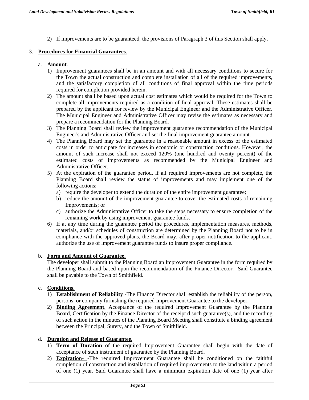2) If improvements are to be guaranteed, the provisions of Paragraph 3 of this Section shall apply.

## 3. **Procedures for Financial Guarantees**.

# a. **Amount**.

- 1) Improvement guarantees shall be in an amount and with all necessary conditions to secure for the Town the actual construction and complete installation of all of the required improvements, and the satisfactory completion of all conditions of final approval within the time periods required for completion provided herein.
- 2) The amount shall be based upon actual cost estimates which would be required for the Town to complete all improvements required as a condition of final approval. These estimates shall be prepared by the applicant for review by the Municipal Engineer and the Administrative Officer. The Municipal Engineer and Administrative Officer may revise the estimates as necessary and prepare a recommendation for the Planning Board.
- 3) The Planning Board shall review the improvement guarantee recommendation of the Municipal Engineer's and Administrative Officer and set the final improvement guarantee amount.
- 4) The Planning Board may set the guarantee in a reasonable amount in excess of the estimated costs in order to anticipate for increases in economic or construction conditions. However, the amount of such increase shall not exceed 120% (one hundred and twenty percent) of the estimated costs of improvements as recommended by the Municipal Engineer and Administrative Officer.
- 5) At the expiration of the guarantee period, if all required improvements are not complete, the Planning Board shall review the status of improvements and may implement one of the following actions:
	- a) require the developer to extend the duration of the entire improvement guarantee;
	- b) reduce the amount of the improvement guarantee to cover the estimated costs of remaining Improvements; or
	- c) authorize the Administrative Officer to take the steps necessary to ensure completion of the remaining work by using improvement guarantee funds.
- 6) If at any time during the guarantee period the procedures, implementation measures, methods, materials, and/or schedules of construction are determined by the Planning Board not to be in compliance with the approved plans, the Board may, after proper notification to the applicant, authorize the use of improvement guarantee funds to insure proper compliance.

## b. **Form and Amount of Guarantee.**

The developer shall submit to the Planning Board an Improvement Guarantee in the form required by the Planning Board and based upon the recommendation of the Finance Director. Said Guarantee shall be payable to the Town of Smithfield.

# c. **Conditions**.

- 1) **Establishment of Reliability** -The Finance Director shall establish the reliability of the person, persons, or company furnishing the required Improvement Guarantee to the developer.
- 2) **Binding Agreement**. Acceptance of the required Improvement Guarantee by the Planning Board, Certification by the Finance Director of the receipt d such guarantee(s), and the recording of such action in the minutes of the Planning Board Meeting shall constitute a binding agreement between the Principal, Surety, and the Town of Smithfield.

# d. **Duration and Release of Guarantee**.

- 1) **Term of Duration** of the required Improvement Guarantee shall begin with the date of acceptance of such instrument of guarantee by the Planning Board.
- 2) **Expiration** -The required Improvement Guarantee shall be conditioned on the faithful completion of construction and installation of required improvements to the land within a period of one (1) year. Said Guarantee shall have a minimum expiration date of one (1) year after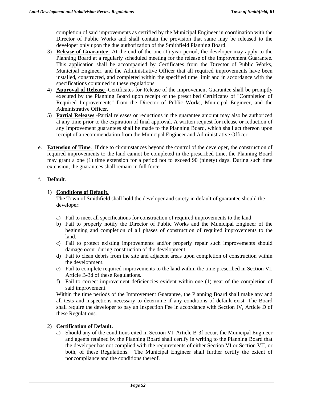completion of said improvements as certified by the Municipal Engineer in coordination with the Director of Public Works and shall contain the provision that same may be released to the developer only upon the due authorization of the Smithfield Planning Board.

- 3) **Release of Guarantee** -At the end of the one (1) year period, the developer may apply to the Planning Board at a regularly scheduled meeting for the release of the Improvement Guarantee. This application shall be accompanied by Certificates from the Director of Public Works, Municipal Engineer, and the Administrative Officer that all required improvements have been installed, constructed, and completed within the specified time limit and in accordance with the specifications contained in these regulations.
- 4) **Approval of Release** -Certificates for Release of the Improvement Guarantee shall be promptly executed by the Planning Board upon receipt of the prescribed Certificates of "Completion of Required Improvements" from the Director of Public Works, Municipal Engineer, and the Administrative Officer.
- 5) **Partial Releases** -Partial releases or reductions in the guarantee amount may also be authorized at any time prior to the expiration of final approval. A written request for release or reduction of any Improvement guarantees shall be made to the Planning Board, which shall act thereon upon receipt of a recommendation from the Municipal Engineer and Administrative Officer.
- e. **Extension of Time**. If due to circumstances beyond the control of the developer, the construction of required improvements to the land cannot be completed in the prescribed time, the Planning Board may grant a one (1) time extension for a period not to exceed 90 (ninety) days. During such time extension, the guarantees shall remain in full force.

# f. **Default**.

# 1) **Conditions of Default.**

The Town of Smithfield shall hold the developer and surety in default of guarantee should the developer:

- a) Fail to meet all specifications for construction of required improvements to the land.
- b) Fail to properly notify the Director of Public Works and the Municipal Engineer of the beginning and completion of all phases of construction of required improvements to the land.
- c) Fail to protect existing improvements and/or properly repair such improvements should damage occur during construction of the development.
- d) Fail to clean debris from the site and adjacent areas upon completion of construction within the development.
- e) Fail to complete required improvements to the land within the time prescribed in Section VI, Article B-3d of these Regulations.
- f) Fail to correct improvement deficiencies evident within one (1) year of the completion of said improvement.

Within the time periods of the Improvement Guarantee, the Planning Board shall make any and all tests and inspections necessary to determine if any conditions of default exist. The Board shall require the developer to pay an Inspection Fee in accordance with Section IV, Article D of these Regulations.

# 2) **Certification of Default.**

a) Should any of the conditions cited in Section VI, Article B-3f occur, the Municipal Engineer and agents retained by the Planning Board shall certify in writing to the Planning Board that the developer has not complied with the requirements of either Section VI or Section VII, or both, of these Regulations. The Municipal Engineer shall further certify the extent of noncompliance and the conditions thereof.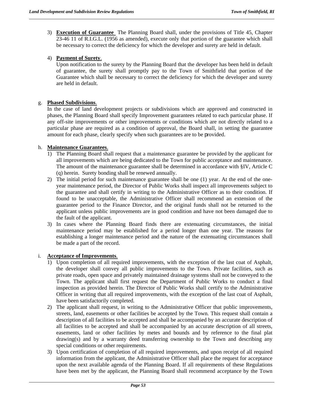3) **Execution of Guarantee** The Planning Board shall, under the provisions of Title 45, Chapter 23-46 11 of R.I.G.L. (1956 as amended), execute only that portion of the guarantee which shall be necessary to correct the deficiency for which the developer and surety are held in default.

# 4) **Payment of Surety**.

Upon notification to the surety by the Planning Board that the developer has been held in default of guarantee, the surety shall promptly pay to the Town of Smithfield that portion of the Guarantee which shall be necessary to correct the deficiency for which the developer and surety are held in default.

# g. **Phased Subdivisions**.

In the case of land development projects or subdivisions which are approved and constructed in phases, the Planning Board shall specify Improvement guarantees related to each particular phase. If any off-site improvements or other improvements or conditions which are not directly related to a particular phase are required as a condition of approval, the Board shall, in setting the guarantee amount for each phase, clearly specify when such guarantees are to be provided.

# h. **Maintenance Guarantees**.

- 1) The Planning Board shall request that a maintenance guarantee be provided by the applicant for all improvements which are being dedicated to the Town for public acceptance and maintenance. The amount of the maintenance guarantee shall be determined in accordance with §IV, Article C (q) herein. Surety bonding shall be renewed annually.
- 2) The initial period for such maintenance guarantee shall be one (1) year. At the end of the oneyear maintenance period, the Director of Public Works shall inspect all improvements subject to the guarantee and shall certify in writing to the Administrative Officer as to their condition. If found to be unacceptable, the Administrative Officer shall recommend an extension of the guarantee period to the Finance Director, and the original funds shall not be returned to the applicant unless public improvements are in good condition and have not been damaged due to the fault of the applicant.
- 3) In cases where the Planning Board finds there are extenuating circumstances, the initial maintenance period may be established for a period longer than one year. The reasons for establishing a longer maintenance period and the nature of the extenuating circumstances shall be made a part of the record.

## i. **Acceptance of Improvements**.

- 1) Upon completion of all required improvements, with the exception of the last coat of Asphalt, the developer shall convey all public improvements to the Town. Private facilities, such as private roads, open space and privately maintained drainage systems shall not be conveyed to the Town. The applicant shall first request the Department of Public Works to conduct a final inspection as provided herein. The Director of Public Works shall certify to the Administrative Officer in writing that all required improvements, with the exception of the last coat of Asphalt, have been satisfactorily completed.
- 2) The applicant shall request, in writing to the Administrative Officer that public improvements, streets, land, easements or other facilities be accepted by the Town. This request shall contain a description of all facilities to be accepted and shall be accompanied by an accurate description of all facilities to be accepted and shall be accompanied by an accurate description of all streets, easements, land or other facilities by metes and bounds and by reference to the final plat drawing(s) and by a warranty deed transferring ownership to the Town and describing any special conditions or other requirements.
- 3) Upon certification of completion of all required improvements, and upon receipt of all required information from the applicant, the Administrative Officer shall place the request for acceptance upon the next available agenda of the Planning Board. If all requirements of these Regulations have been met by the applicant, the Planning Board shall recommend acceptance by the Town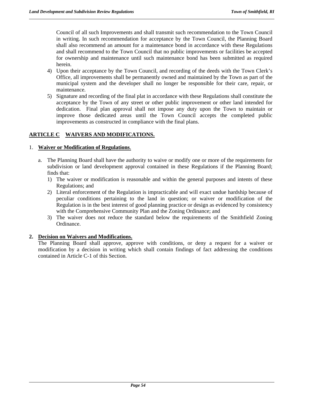Council of all such Improvements and shall transmit such recommendation to the Town Council in writing. In such recommendation for acceptance by the Town Council, the Planning Board shall also recommend an amount for a maintenance bond in accordance with these Regulations and shall recommend to the Town Council that no public improvements or facilities be accepted for ownership and maintenance until such maintenance bond has been submitted as required herein.

- 4) Upon their acceptance by the Town Council, and recording of the deeds with the Town Clerk's Office, all improvements shall be permanently owned and maintained by the Town as part of the municipal system and the developer shall no longer be responsible for their care, repair, or maintenance.
- 5) Signature and recording of the final plat in accordance with these Regulations shall constitute the acceptance by the Town of any street or other public improvement or other land intended for dedication. Final plan approval shall not impose any duty upon the Town to maintain or improve those dedicated areas until the Town Council accepts the completed public improvements as constructed in compliance with the final plans.

# **ARTICLE C WAIVERS AND MODIFICATIONS.**

## 1. **Waiver or Modification of Regulations**.

- a. The Planning Board shall have the authority to waive or modify one or more of the requirements for subdivision or land development approval contained in these Regulations if the Planning Board; finds that:
	- 1) The waiver or modification is reasonable and within the general purposes and intents of these Regulations; and
	- 2) Literal enforcement of the Regulation is impracticable and will exact undue hardship because of peculiar conditions pertaining to the land in question; or waiver or modification of the Regulation is in the best interest of good planning practice or design as evidenced by consistency with the Comprehensive Community Plan and the Zoning Ordinance; and
	- 3) The waiver does not reduce the standard below the requirements of the Smithfield Zoning Ordinance.

# **2. Decision on Waivers and Modifications.**

The Planning Board shall approve, approve with conditions, or deny a request for a waiver or modification by a decision in writing which shall contain findings of fact addressing the conditions contained in Article C-1 of this Section.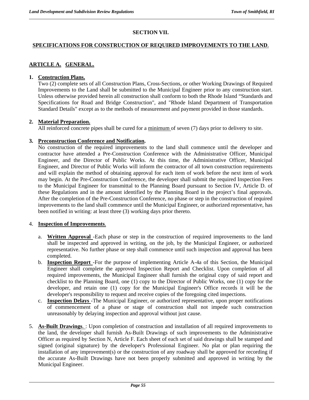# **SECTION VII.**

## **SPECIFICATIONS FOR CONSTRUCTION OF REQUIRED IMPROVEMENTS TO THE LAND**.

# **ARTICLE A. GENERAL.**

## **1. Construction Plans.**

Two (2) complete sets of all Construction Plans, Cross-Sections, or other Working Drawings of Required Improvements to the Land shall be submitted to the Municipal Engineer prior to any construction start. Unless otherwise provided herein all construction shall conform to both the Rhode Island "Standards and Specifications for Road and Bridge Construction", and "Rhode Island Department of Transportation Standard Details" except as to the methods of measurement and payment provided in those standards.

## **2. Material Preparation.**

All reinforced concrete pipes shall be cured for a minimum of seven (7) days prior to delivery to site.

## **3. Preconstruction Conference and Notification.**

No construction of the required improvements to the land shall commence until the developer and contractor have attended a Pre-Construction Conference with the Administrative Officer, Municipal Engineer, and the Director of Public Works. At this time, the Administrative Officer, Municipal Engineer, and Director of Public Works will inform the contractor of all town construction requirements and will explain the method of obtaining approval for each item of work before the next item of work may begin. At the Pre-Construction Conference, the developer shall submit the required Inspection Fees to the Municipal Engineer for transmittal to the Planning Board pursuant to Section IV, Article D. of these Regulations and in the amount identified by the Planning Board in the project's final approvals. After the completion of the Pre-Construction Conference, no phase or step in the construction of required improvements to the land shall commence until the Municipal Engineer, or authorized representative, has been notified in writing: at least three (3) working days prior thereto.

## 4. **Inspection of Improvements**.

- a. **Written Approval** -Each phase or step in the construction of required improvements to the land shall be inspected and approved in writing, on the job, by the Municipal Engineer, or authorized representative. No further phase or step shall commence until such inspection and approval has been completed.
- b. **Inspection Report** -For the purpose of implementing Article A-4a of this Section, the Municipal Engineer shall complete the approved Inspection Report and Checklist. Upon completion of all required improvements, the Municipal Engineer shall furnish the original copy of said report and checklist to the Planning Board, one (1) copy to the Director of Public Works, one (1) copy for the developer, and retain one (1) copy for the Municipal Engineer's Office records it will be the developer's responsibility to request and receive copies of the foregoing cited inspections.
- c. **Inspection Delays** -The Municipal Engineer, or authorized representative, upon proper notifications of commencement of a phase or stage of construction shall not impede such construction unreasonably by delaying inspection and approval without just cause.
- 5. **As-Built Drawings**. : Upon completion of construction and installation of all required improvements to the land, the developer shall furnish As-Built Drawings of such improvements to the Administrative Officer as required by Section N, Article F. Each sheet of each set of said drawings shall be stamped and signed (original signature) by the developer's Professional Engineer. No plat or plan requiring the installation of any improvement(s) or the construction of any roadway shall be approved for recording if the accurate As-Built Drawings have not been properly submitted and approved in writing by the Municipal Engineer.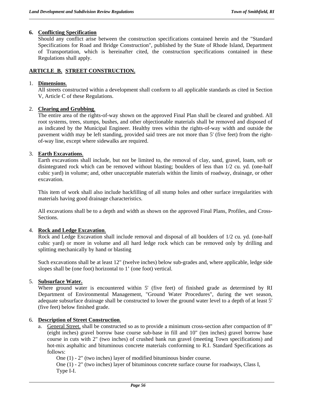## **6. Conflicting Specification**

Should any conflict arise between the construction specifications contained herein and the "Standard Specifications for Road and Bridge Construction", published by the State of Rhode Island, Department of Transportation, which is hereinafter cited, the construction specifications contained in these Regulations shall apply.

# **ARTICLE\_B. STREET CONSTRUCTION.**

## 1. **Dimensions**.

All streets constructed within a development shall conform to all applicable standards as cited in Section V, Article C of these Regulations.

## 2. **Clearing and Grubbing**.

The entire area of the rights-of-way shown on the approved Final Plan shall be cleared and grubbed. All root systems, trees, stumps, bushes, and other objectionable materials shall be removed and disposed of as indicated by the Municipal Engineer. Healthy trees within the rights-of-way width and outside the pavement width may be left standing, provided said trees are not more than 5' (five feet) from the rightof-way line, except where sidewalks are required.

## 3. **Earth Excavations**.

Earth excavations shall include, but not be limited to, the removal of clay, sand, gravel, loam, soft or disintegrated rock which can be removed without blasting; boulders of less than 1/2 cu. yd. (one-half cubic yard) in volume; and, other unacceptable materials within the limits of roadway, drainage, or other excavation.

This item of work shall also include backfilling of all stump holes and other surface irregularities with materials having good drainage characteristics.

All excavations shall be to a depth and width as shown on the approved Final Plans, Profiles, and Cross-Sections.

## 4. **Rock and Ledge Excavation**.

Rock and Ledge Excavation shall include removal and disposal of all boulders of 1/2 cu. yd. (one-half cubic yard) or more in volume and all hard ledge rock which can be removed only by drilling and splitting mechanically by hand or blasting

Such excavations shall be at least 12" (twelve inches) below sub-grades and, where applicable, ledge side slopes shall be (one foot) horizontal to 1' (one foot) vertical.

## 5. **Subsurface Water.**

Where ground water is encountered within 5' (five feet) of finished grade as determined by RI Department of Environmental Management, "Ground Water Procedures", during the wet season, adequate subsurface drainage shall be constructed to lower the ground water level to a depth of at least 5' (five feet) below finished grade.

## 6. **Description of Street Construction**.

a. General Street. shall be constructed so as to provide a minimum cross-section after compaction of 8" (eight inches) gravel borrow base course sub-base in fill and 10" (ten inches) gravel borrow base course in cuts with 2" (two inches) of crushed bank run gravel (meeting Town specifications) and hot-mix asphaltic and bituminous concrete materials conforming to R.I. Standard Specifications as follows:

One (1) - 2" (two inches) layer of modified bituminous binder course.

One (1) - 2" (two inches) layer of bituminous concrete surface course for roadways, Class I, Type I-I.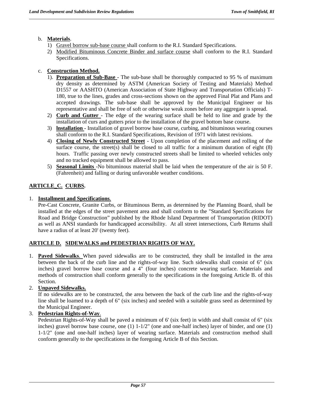# b. **Materials**.

- 1) Gravel borrow sub-base course shall conform to the R.I. Standard Specifications.
- 2) Modified Bituminous Concrete Binder and surface course shall conform to the R.I. Standard Specifications.

# c. **Construction Method.**

- 1). **Preparation of Sub-Base** The sub-base shall be thoroughly compacted to 95 % of maximum dry density as determined by ASTM (American Society of Testing and Materials) Method D1557 or AASHTO (American Association of State Highway and Transportation Officials) T-180, true to the lines, grades and cross-sections shown on the approved Final Plat and Plans and accepted drawings. The sub-base shall be approved by the Municipal Engineer or his representative and shall be free of soft or otherwise weak zones before any aggregate is spread.
- 2) **Curb and Gutter** The edge of the wearing surface shall be held to line and grade by the installation of curs and gutters prior to the installation of the gravel bottom base course.
- 3) **lnstallation**  Installation of gravel borrow base course, curbing, and bituminous wearing courses shall conform to the R.I. Standard Specifications, Revision of 1971 with latest revisions.
- 4) **Closing of Newly Constructed Street**  Upon completion of the placement and rolling of the surface course, the street(s) shall be closed to all traffic for a minimum duration of eight  $(8)$ hours. Traffic passing over newly constructed streets shall be limited to wheeled vehicles only and no tracked equipment shall be allowed to pass.
- 5) **Seasonal Limits** -No bituminous material shall be laid when the temperature of the air is 50 F. (Fahrenheit) and falling or during unfavorable weather conditions.

# **ARTICLE\_C. CURBS.**

# 1. **Installment and Specifications**.

Pre-Cast Concrete, Granite Curbs, or Bituminous Berm, as determined by the Planning Board, shall be installed at the edges of the street pavement area and shall conform to the "Standard Specifications for Road and Bridge Construction" published by the Rhode Island Department of Transportation (RIDOT) as well as ANSI standards for handicapped accessibility. At all street intersections, Curb Returns shall have a radius of at least 20' (twenty feet).

# **ARTICLE D. SIDEWALKS and PEDESTRIAN RIGHTS OF WAY.**

- 1. **Paved Sidewalks**. When paved sidewalks are to be constructed, they shall be installed in the area between the back of the curb line and the rights-of-way line. Such sidewalks shall consist of 6" (six inches) gravel borrow base course and a 4" (four inches) concrete wearing surface. Materials and methods of construction shall conform generally to the specifications in the foregoing Article B. of this Section.
- 2. **Unpaved Sidewalks.**

If no sidewalks are to be constructed, the area between the back of the curb line and the rights-of-way line shall be loamed to a depth of 6" (six inches) and seeded with a suitable grass seed as determined by the Municipal Engineer.

# 3. **Pedestrian Rights-of-Way**.

Pedestrian Rights-of-Way shall be paved a minimum of 6' (six feet) in width and shall consist of 6" (six inches) gravel borrow base course, one  $(1)$  1-1/2" (one and one-half inches) layer of binder, and one  $(1)$ 1-1/2" (one and one-half inches) layer of wearing surface. Materials and construction method shall conform generally to the specifications in the foregoing Article B of this Section.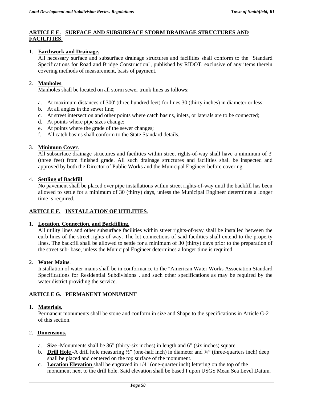# **ARTICLE E. SURFACE AND SUBSURFACE STORM DRAINAGE STRUCTURES AND FACILITIES**.

## 1. **Earthwork and Drainage.**

All necessary surface and subsurface drainage structures and facilities shall conform to the "Standard Specifications for Road and Bridge Construction", published by RIDOT, exclusive of any items therein covering methods of measurement, basis of payment.

## 2. **Manholes**.

Manholes shall be located on all storm sewer trunk lines as follows:

- a. At maximum distances of 300' (three hundred feet) for lines 30 (thirty inches) in diameter or less;
- b. At all angles in the sewer line;
- c. At street intersection and other points where catch basins, inlets, or laterals are to be connected;
- d. At points where pipe sizes change;
- e. At points where the grade of the sewer changes;
- f. All catch basins shall conform to the State Standard details.

## 3. **Minimum Cover**.

All subsurface drainage structures and facilities within street rights-of-way shall have a minimum of 3' (three feet) from finished grade. All such drainage structures and facilities shall be inspected and approved by both the Director of Public Works and the Municipal Engineer before covering.

## 4. **Settling of Backfill**

No pavement shall be placed over pipe installations within street rights-of-way until the backfill has been allowed to settle for a minimum of 30 (thirty) days, unless the Municipal Engineer determines a longer time is required.

# **ARTICLE F. INSTALLATION OF UTILITIES**.

## 1. **Location. Connection. and Backfilling.**

All utility lines and other subsurface facilities within street rights-of-way shall be installed between the curb lines of the street rights-of-way. The lot connections of said facilities shall extend to the property lines. The backfill shall be allowed to settle for a minimum of 30 (thirty) days prior to the preparation of the street sub- base, unless the Municipal Engineer determines a longer time is required.

## 2. **Water Mains**.

Installation of water mains shall be in conformance to the "American Water Works Association Standard Specifications for Residential Subdivisions", and such other specifications as may be required by the water district providing the service.

# **ARTICLE G. PERMANENT MONUMENT**

## 1. **Materials.**

Permanent monuments shall be stone and conform in size and Shape to the specifications in Article G-2 of this section.

## 2. **Dimensions.**

- a. **Size** -Monuments shall be 36" (thirty-six inches) in length and 6" (six inches) square.
- b. **Drill Hole** -A drill hole measuring ½" (one-half inch) in diameter and ¾" (three-quarters inch) deep shall be placed and centered on the top surface of the monument.
- c. **Location Elevation** shall be engraved in 1/4" (one-quarter inch) lettering on the top of the monument next to the drill hole. Said elevation shall be based I upon USGS Mean Sea Level Datum.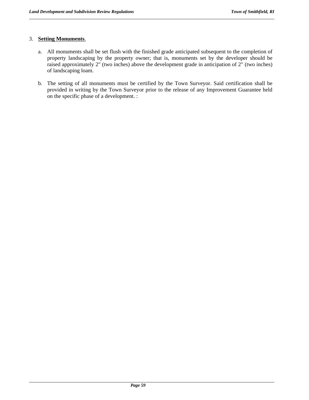# 3. **Setting Monuments**.

- a. All monuments shall be set flush with the finished grade anticipated subsequent to the completion of property landscaping by the property owner; that is, monuments set by the developer should be raised approximately 2" (two inches) above the development grade in anticipation of 2" (two inches) of landscaping loam.
- b. The setting of all monuments must be certified by the Town Surveyor. Said certification shall be provided in writing by the Town Surveyor prior to the release of any Improvement Guarantee held on the specific phase of a development. :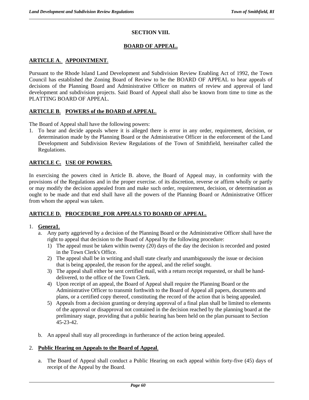# **SECTION VIII.**

## **BOARD OF APPEAL.**

# **ARTICLE A**. **APPOINTMENT**.

Pursuant to the Rhode Island Land Development and Subdivision Review Enabling Act of 1992, the Town Council has established the Zoning Board of Review to be the BOARD OF APPEAL to hear appeals of decisions of the Planning Board and Administrative Officer on matters of review and approval of land development and subdivision projects. Said Board of Appeal shall also be known from time to time as the PLATTING BOARD OF APPEAL.

## **ARTICLE B**. **POWERS of the BOARD of APPEAL**.

The Board of Appeal shall have the following powers:

1. To hear and decide appeals where it is alleged there is error in any order, requirement, decision, or determination made by the Planning Board or the Administrative Officer in the enforcement of the Land Development and Subdivision Review Regulations of the Town of Smithfield, hereinafter called the Regulations.

## **ARTICLE C. USE OF POWERS.**

In exercising the powers cited in Article B. above, the Board of Appeal may, in conformity with the provisions of the Regulations and in the proper exercise. of its discretion, reverse or affirm wholly or partly or may modify the decision appealed from and make such order, requirement, decision, or determination as ought to be made and that end shall have all the powers of the Planning Board or Administrative Officer from whom the appeal was taken.

## **ARTICLE D. PROCEDURE\_FOR APPEALS TO BOARD OF APPEAL.**

## 1. **Genera1**.

- a. Any party aggrieved by a decision of the Planning Board or the Administrative Officer shall have the right to appeal that decision to the Board of Appeal by the following procedure:
	- 1) The appeal must be taken within twenty (20) days of the day the decision is recorded and posted in the Town Clerk's Office.
	- 2) The appeal shall be in writing and shall state clearly and unambiguously the issue or decision that is being appealed, the reason for the appeal, and the relief sought.
	- 3) The appeal shall either be sent certified mail, with a return receipt requested, or shall be handdelivered, to the office of the Town Clerk.
	- 4) Upon receipt of an appeal, the Board of Appeal shall require the Planning Board or the Administrative Officer to transmit forthwith to the Board of Appeal all papers, documents and plans, or a certified copy thereof, constituting the record of the action that is being appealed.
	- 5) Appeals from a decision granting or denying approval of a final plan shall be limited to elements of the approval or disapproval not contained in the decision reached by the planning board at the preliminary stage, providing that a public hearing has been held on the plan pursuant to Section 45-23-42.
- b. An appeal shall stay all proceedings in furtherance of the action being appealed.

#### 2. **Public Hearing on Appeals to the Board of Appeal**.

a. The Board of Appeal shall conduct a Public Hearing on each appeal within forty-five (45) days of receipt of the Appeal by the Board.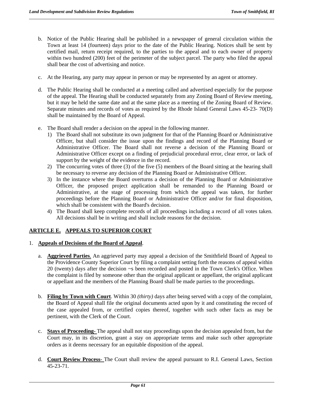- b. Notice of the Public Hearing shall be published in a newspaper of general circulation within the Town at least 14 (fourteen) days prior to the date of the Public Hearing. Notices shall be sent by certified mail, return receipt required, to the parties to the appeal and to each owner of property within two hundred (200) feet of the perimeter of the subject parcel. The party who filed the appeal shall bear the cost of advertising and notice.
- c. At the Hearing, any party may appear in person or may be represented by an agent or attorney.
- d. The Public Hearing shall be conducted at a meeting called and advertised especially for the purpose of the appeal. The Hearing shall be conducted separately from any Zoning Board of Review meeting, but it may be held the same date and at the same place as a meeting of the Zoning Board of Review. Separate minutes and records of votes as required by the Rhode Island General Laws 45-23- 70(D) shall be maintained by the Board of Appeal.
- e. The Board shall render a decision on the appeal in the following manner.
	- 1) The Board shall not substitute its own judgment for that of the Planning Board or Administrative Officer, but shall consider the issue upon the findings and record of the Planning Board or Administrative Officer. The Board shall not reverse a decision of the Planning Board or Administrative Officer except on a finding of prejudicial procedural error, clear error, or lack of support by the weight of the evidence in the record.
	- 2) The concurring votes of three (3) of the five (5) members of the Board sitting at the hearing shall be necessary to reverse any decision of the Planning Board or Administrative Officer.
	- 3) In the instance where the Board overturns a decision of the Planning Board or Administrative Officer, the proposed project application shall be remanded to the Planning Board or Administrative, at the stage of processing from which the appeal was taken, for further proceedings before the Planning Board or Administrative Officer and/or for final disposition, which shall be consistent with the Board's decision.
	- 4) The Board shall keep complete records of all proceedings including a record of all votes taken. All decisions shall be in writing and shall include reasons for the decision.

# **ARTICLE E. APPEALS TO SUPERIOR COURT**

- 1. **Appeals of Decisions of the Board of Appeal**.
	- a. **Aggrieved Parties**. An aggrieved party may appeal a decision of the Smithfield Board of Appeal to the Providence County Superior Court by filing a complaint setting forth the reasons of appeal within 20 (twenty) days after the decision ~s been recorded and posted in the Town Clerk's Office. When the complaint is filed by someone other than the original applicant or appellant, the original applicant or appellant and the members of the Planning Board shall be made parties to the proceedings.
	- b. **Filing by Town with Court**. Within 30 *(thirty)* days after being served with a copy of the complaint, the Board of Appeal shall file the original documents acted upon by it and constituting the record of the case appealed from, or certified copies thereof, together with such other facts as may be pertinent, with the Clerk of the Court.
	- c. **Stays of Proceeding** The appeal shall not stay proceedings upon the decision appealed from, but the Court may, in its discretion, grant a stay on appropriate terms and make such other appropriate orders as it deems necessary for an equitable disposition of the appeal.
	- d. **Court Review Process** The Court shall review the appeal pursuant to R.I. General Laws, Section 45-23-71.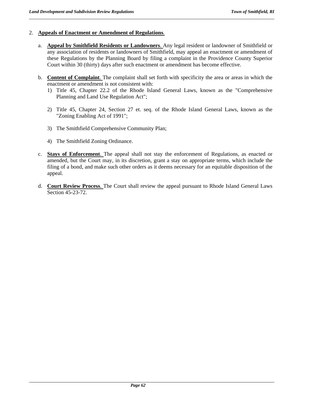## 2. **Appeals of Enactment or Amendment of Regulations**.

- a. **Appeal by Smithfield Residents or Landowners**. Any legal resident or landowner of Smithfield or any association of residents or landowners of Smithfield, may appeal an enactment or amendment of these Regulations by the Planning Board by filing a complaint in the Providence County Superior Court within 30 (thirty) days after such enactment or amendment has become effective.
- b. **Content of Complaint**. The complaint shall set forth with specificity the area or areas in which the enactment or amendment is not consistent with:
	- 1) Title 45, Chapter 22.2 of the Rhode Island General Laws, known as the "Comprehensive Planning and Land Use Regulation Act";
	- 2) Title 45, Chapter 24, Section 27 et. seq. of the Rhode Island General Laws, known as the "Zoning Enabling Act of 1991";
	- 3) The Smithfield Comprehensive Community Plan;
	- 4) The Smithfield Zoning Ordinance.
- c. **Stays of Enforcement**. The appeal shall not stay the enforcement of Regulations, as enacted or amended, but the Court may, in its discretion, grant a stay on appropriate terms, which include the filing of a bond, and make such other orders as it deems necessary for an equitable disposition of the appeal.
- d. **Court Review Process**. The Court shall review the appeal pursuant to Rhode Island General Laws Section 45-23-72.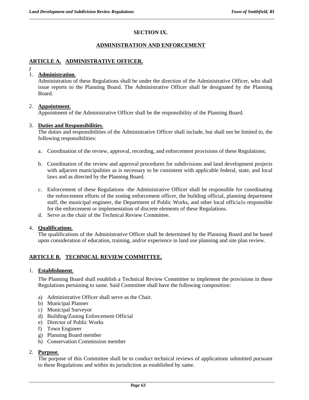# **SECTION IX.**

## **ADMINISTRATION AND ENFORCEMENT**

# **ARTICLE A. ADMINISTRATIVE OFFICER.**

*I* 

# 1. **Administration**.

Administration of these Regulations shall be under the direction of the Administrative Officer, who shall issue reports to the Planning Board. The Administrative Officer shall be designated by the Planning Board.

## 2. **Appointment**.

Appointment of the Administrative Officer shall be the responsibility of the Planning Board.

## 3. **Duties and Responsibilities**.

The duties and responsibilities of the Administrative Officer shall include, but shall not be limited to, the following responsibilities:

- a. Coordination of the review, approval, recording, and enforcement provisions of these Regulations;
- b. Coordination of the review and approval procedures for subdivisions and land development projects with adjacent municipalities as is necessary to be consistent with applicable federal, state, and local laws and as directed by the Planning Board.
- c. Enforcement of these Regulations -the Administrative Officer shall be responsible for coordinating the enforcement efforts of the zoning enforcement officer, the building official, planning department staff, the municipal engineer, the Department of Public Works, and other local officia1s responsible for the enforcement or implementation of discrete elements of these Regulations.
- d. Serve as the chair of the Technical Review Committee.

## 4. **Qualifications**.

The qualifications of the Administrative Officer shall be determined by the Planning Board and be based upon consideration of education, training, and/or experience in land use planning and site plan review.

# **ARTICLE B. TECHNICAL REVIEW COMMITTEE.**

## 1. **Establishment**.

The Planning Board shall establish a Technical Review Committee to implement the provisions in these Regulations pertaining to same. Said Committee shall have the following composition:

- a) Administrative Officer shall serve as the Chair.
- b) Municipal Planner
- c) Municipal Surveyor
- d) Building/Zoning Enforcement Official
- e) Director of Public Works
- f) Town Engineer
- g) Planning Board member
- h) Conservation Commission member

## 2. **Purpose**.

The purpose of this Committee shall be to conduct technical reviews of applications submitted pursuant to these Regulations and within its jurisdiction as established by same.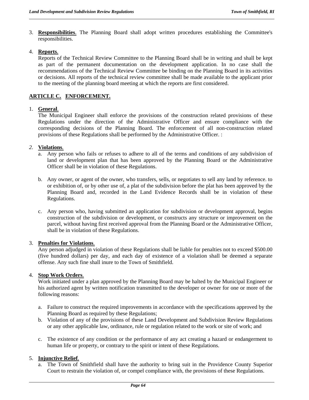3. **Responsibilities**. The Planning Board shall adopt written procedures establishing the Committee's responsibilities.

## 4. **Reports**.

Reports of the Technical Review Committee to the Planning Board shall be in writing and shall be kept as part of the permanent documentation on the development application. In no case shall the recommendations of the Technical Review Committee be binding on the Planning Board in its activities or decisions. All reports of the technical review committee shall be made available to the applicant prior to the meeting of the planning board meeting at which the reports are first considered.

# **ARTICLE C. ENFORCEMENT.**

# 1. **General**.

The Municipal Engineer shall enforce the provisions of the construction related provisions of these Regulations under the direction of the Administrative Officer and ensure compliance with the corresponding decisions of the Planning Board. The enforcement of all non-construction related provisions of these Regulations shall be performed by the Administrative Officer. :

## *2.* **Violations***.*

- a. Any person who fails or refuses to adhere to all of the terms and conditions of any subdivision of land or development plan that has been approved by the Planning Board or the Administrative Officer shall be in violation of these Regulations.
- b. Any owner, or agent of the owner, who transfers, sells, or negotiates to sell any land by reference. to or exhibition of, or by other use of, a plat of the subdivision before the plat has been approved by the Planning Board and, recorded in the Land Evidence Records shall be in violation of these Regulations.
- c. Any person who, having submitted an application for subdivision or development approval, begins construction of the subdivision or development, or constructs any structure or improvement on the parcel, without having first received approval from the Planning Board or the Administrative Officer, shall be in violation of these Regulations.

# 3. **Penalties for Violations**.

Any person adjudged in violation of these Regulations shall be liable for penalties not to exceed \$500.00 (five hundred dollars) per day, and each day of existence of a violation shall be deemed a separate offense. Any such fine shall inure to the Town of Smithfield.

# 4. **Stop Work Orders**.

Work initiated under a plan approved by the Planning Board may be halted by the Municipal Engineer or his authorized agent by written notification transmitted to the developer or owner for one or more of the following reasons:

- a. Failure to construct the required improvements in accordance with the specifications approved by the Planning Board as required by these Regulations;
- b. Violation of any of the provisions of these Land Development and Subdivision Review Regulations or any other applicable law, ordinance, rule or regulation related to the work or site of work; and
- c. The existence of any condition or the performance of any act creating a hazard or endangerment to human life or property, or contrary to the spirit or intent of these Regulations.

# 5. **Injunctive Relief**.

a. The Town of Smithfield shall have the authority to bring suit in the Providence County Superior Court to restrain the violation of, or compel compliance with, the provisions of these Regulations.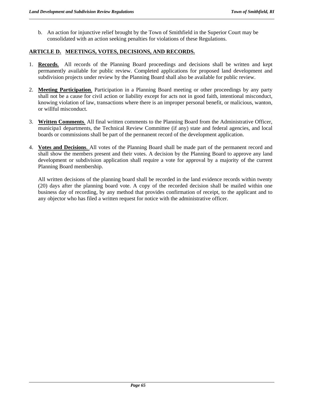b. An action for injunctive relief brought by the Town of Smithfield in the Superior Court may be consolidated with an action seeking penalties for violations of these Regulations.

### **ARTICLE D. MEETINGS, VOTES, DECISIONS, AND RECORDS.**

- 1. **Records**. All records of the Planning Board proceedings and decisions shall be written and kept permanently available for public review. Completed applications for proposed land development and subdivision projects under review by the Planning Board shall also be available for public review.
- 2. **Meeting Participation**. Participation in a Planning Board meeting or other proceedings by any party shall not be a cause for civil action or liability except for acts not in good faith, intentional misconduct, knowing violation of law, transactions where there is an improper personal benefit, or malicious, wanton, or willful misconduct.
- 3. **Written Comments**. All final written comments to the Planning Board from the Administrative Officer, municipa1 departments, the Technical Review Committee (if any) state and federal agencies, and local boards or commissions shall be part of the permanent record of the development application.
- 4. **Votes and Decisions**. All votes of the Planning Board shall be made part of the permanent record and shall show the members present and their votes. A decision by the Planning Board to approve any land development or subdivision application shall require a vote for approval by a majority of the current Planning Board membership.

All written decisions of the planning board shall be recorded in the land evidence records within twenty (20) days after the planning board vote. A copy of the recorded decision shall be mailed within one business day of recording, by any method that provides confirmation of receipt, to the applicant and to any objector who has filed a written request for notice with the administrative officer.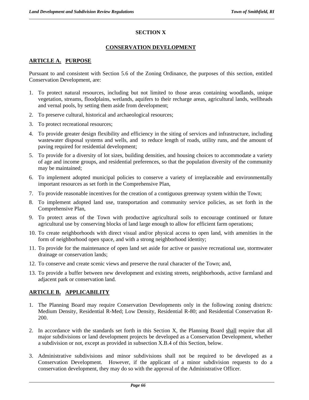## **SECTION X**

### **CONSERVATION DEVELOPMENT**

## **ARTICLE A. PURPOSE**

Pursuant to and consistent with Section 5.6 of the Zoning Ordinance, the purposes of this section, entitled Conservation Development, are:

- 1. To protect natural resources, including but not limited to those areas containing woodlands, unique vegetation, streams, floodplains, wetlands, aquifers to their recharge areas, agricultural lands, wellheads and vernal pools, by setting them aside from development;
- 2. To preserve cultural, historical and archaeological resources;
- 3. To protect recreational resources;
- 4. To provide greater design flexibility and efficiency in the siting of services and infrastructure, including wastewater disposal systems and wells, and to reduce length of roads, utility runs, and the amount of paving required for residential development;
- 5. To provide for a diversity of lot sizes, building densities, and housing choices to accommodate a variety of age and income groups, and residential preferences, so that the population diversity of the community may be maintained;
- 6. To implement adopted municipal policies to conserve a variety of irreplaceable and environmentally important resources as set forth in the Comprehensive Plan,
- 7. To provide reasonable incentives for the creation of a contiguous greenway system within the Town;
- 8. To implement adopted land use, transportation and community service policies, as set forth in the Comprehensive Plan,
- 9. To protect areas of the Town with productive agricultural soils to encourage continued or future agricultural use by conserving blocks of land large enough to allow for efficient farm operations;
- 10. To create neighborhoods with direct visual and/or physical access to open land, with amenities in the form of neighborhood open space, and with a strong neighborhood identity;
- 11. To provide for the maintenance of open land set aside for active or passive recreational use, stormwater drainage or conservation lands;
- 12. To conserve and create scenic views and preserve the rural character of the Town; and,
- 13. To provide a buffer between new development and existing streets, neighborhoods, active farmland and adjacent park or conservation land.

## **ARTICLE B. APPLICABILITY**

- 1. The Planning Board may require Conservation Developments only in the following zoning districts: Medium Density, Residential R-Med; Low Density, Residential R-80; and Residential Conservation R-200.
- 2. In accordance with the standards set forth in this Section X, the Planning Board shall require that all major subdivisions or land development projects be developed as a Conservation Development, whether a subdivision or not, except as provided in subsection X.B.4 of this Section, below.
- 3. Administrative subdivisions and minor subdivisions shall not be required to be developed as a Conservation Development. However, if the applicant of a minor subdivision requests to do a conservation development, they may do so with the approval of the Administrative Officer.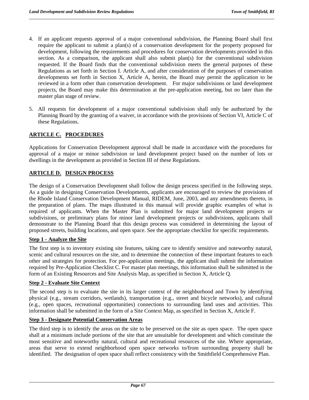- 4. If an applicant requests approval of a major conventional subdivision, the Planning Board shall first require the applicant to submit a plan(s) of a conservation development for the property proposed for development, following the requirements and procedures for conservation developments provided in this section. As a comparison, the applicant shall also submit plan(s) for the conventional subdivision requested. If the Board finds that the conventional subdivision meets the general purposes of these Regulations as set forth in Section I. Article A, and after consideration of the purposes of conservation developments set forth in Section X, Article A, herein, the Board may permit the application to be reviewed in a form other than conservation development. For major subdivisions or land development projects, the Board may make this determination at the pre-application meeting, but no later than the master plan stage of review.
- 5. All requests for development of a major conventional subdivision shall only be authorized by the Planning Board by the granting of a waiver, in accordance with the provisions of Section VI, Article C of these Regulations.

## **ARTICLE C. PROCEDURES**

Applications for Conservation Development approval shall be made in accordance with the procedures for approval of a major or minor subdivision or land development project based on the number of lots or dwellings in the development as provided in Section III of these Regulations.

#### **ARTICLE D. DESIGN PROCESS**

The design of a Conservation Development shall follow the design process specified in the following steps. As a guide in designing Conservation Developments, applicants are encouraged to review the provisions of the Rhode Island Conservation Development Manual, RIDEM, June, 2003, and any amendments thereto, in the preparation of plans. The maps illustrated in this manual will provide graphic examples of what is required of applicants. When the Master Plan is submitted for major land development projects or subdivisions, or preliminary plans for minor land development projects or subdivisions, applicants shall demonstrate to the Planning Board that this design process was considered in determining the layout of proposed streets, building locations, and open space. See the appropriate checklist for specific requirements.

### **Step 1 - Analyze the Site**

The first step is to inventory existing site features, taking care to identify sensitive and noteworthy natural, scenic and cultural resources on the site, and to determine the connection of these important features to each other and strategies for protection. For pre-application meetings, the applicant shall submit the information required by Pre-Application Checklist C. For master plan meetings, this information shall be submitted in the form of an Existing Resources and Site Analysis Map, as specified in Section X, Article Q.

#### **Step 2 - Evaluate Site Context**

The second step is to evaluate the site in its larger context of the neighborhood and Town by identifying physical (e.g., stream corridors, wetlands), transportation (e.g., street and bicycle networks), and cultural (e.g., open spaces, recreational opportunities) connections to surrounding land uses and activities. This information shall be submitted in the form of a Site Context Map, as specified in Section X, Article F.

#### **Step 3 - Designate Potential Conservation Areas**

The third step is to identify the areas on the site to be preserved on the site as open space. The open space shall at a minimum include portions of the site that are unsuitable for development and which constitute the most sensitive and noteworthy natural, cultural and recreational resources of the site. Where appropriate, areas that serve to extend neighborhood open space networks to/from surrounding property shall be identified. The designation of open space shall reflect consistency with the Smithfield Comprehensive Plan.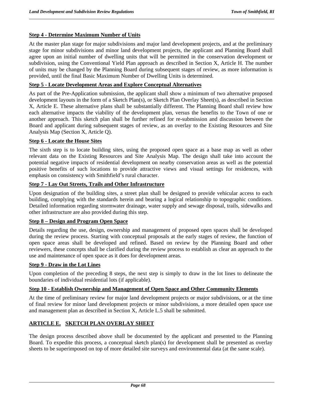### **Step 4 - Determine Maximum Number of Units**

At the master plan stage for major subdivisions and major land development projects, and at the preliminary stage for minor subdivisions and minor land development projects, the applicant and Planning Board shall agree upon an initial number of dwelling units that will be permitted in the conservation development or subdivision, using the Conventional Yield Plan approach as described in Section X, Article H. The number of units may be changed by the Planning Board during subsequent stages of review, as more information is provided, until the final Basic Maximum Number of Dwelling Units is determined.

#### **Step 5 - Locate Development Areas and Explore Conceptual Alternatives**

As part of the Pre-Application submission, the applicant shall show a minimum of two alternative proposed development layouts in the form of a Sketch Plan(s), or Sketch Plan Overlay Sheet(s), as described in Section X, Article E. These alternative plans shall be substantially different. The Planning Board shall review how each alternative impacts the viability of the development plan, versus the benefits to the Town of one or another approach. This sketch plan shall be further refined for re-submission and discussion between the Board and applicant during subsequent stages of review, as an overlay to the Existing Resources and Site Analysis Map (Section X, Article Q).

#### **Step 6 - Locate the House Sites**

The sixth step is to locate building sites, using the proposed open space as a base map as well as other relevant data on the Existing Resources and Site Analysis Map. The design shall take into account the potential negative impacts of residential development on nearby conservation areas as well as the potential positive benefits of such locations to provide attractive views and visual settings for residences, with emphasis on consistency with Smithfield's rural character.

## **Step 7 - Lay Out Streets, Trails and Other Infrastructure**

Upon designation of the building sites, a street plan shall be designed to provide vehicular access to each building, complying with the standards herein and bearing a logical relationship to topographic conditions. Detailed information regarding stormwater drainage, water supply and sewage disposal, trails, sidewalks and other infrastructure are also provided during this step.

#### **Step 8 – Design and Program Open Space**

Details regarding the use, design, ownership and management of proposed open spaces shall be developed during the review process. Starting with conceptual proposals at the early stages of review, the function of open space areas shall be developed and refined. Based on review by the Planning Board and other reviewers, these concepts shall be clarified during the review process to establish as clear an approach to the use and maintenance of open space as it does for development areas.

#### **Step 9 - Draw in the Lot Lines**

Upon completion of the preceding 8 steps, the next step is simply to draw in the lot lines to delineate the boundaries of individual residential lots (if applicable).

### **Step 10 - Establish Ownership and Management of Open Space and Other Community Elements**

At the time of preliminary review for major land development projects or major subdivisions, or at the time of final review for minor land development projects or minor subdivisions, a more detailed open space use and management plan as described in Section X, Article L.5 shall be submitted.

#### **ARTICLE E. SKETCH PLAN OVERLAY SHEET**

The design process described above shall be documented by the applicant and presented to the Planning Board. To expedite this process, a conceptual sketch plan(s) for development shall be presented as overlay sheets to be superimposed on top of more detailed site surveys and environmental data (at the same scale).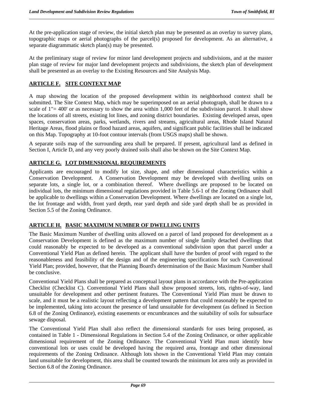At the pre-application stage of review, the initial sketch plan may be presented as an overlay to survey plans, topographic maps or aerial photographs of the parcel(s) proposed for development. As an alternative, a separate diagrammatic sketch plan(s) may be presented.

At the preliminary stage of review for minor land development projects and subdivisions, and at the master plan stage of review for major land development projects and subdivisions, the sketch plan of development shall be presented as an overlay to the Existing Resources and Site Analysis Map.

## **ARTICLE F. SITE CONTEXT MAP**

A map showing the location of the proposed development within its neighborhood context shall be submitted. The Site Context Map, which may be superimposed on an aerial photograph, shall be drawn to a scale of  $1" = 400'$  or as necessary to show the area within 1,000 feet of the subdivision parcel. It shall show the locations of all streets, existing lot lines, and zoning district boundaries. Existing developed areas, open spaces, conservation areas, parks, wetlands, rivers and streams, agricultural areas, Rhode Island Natural Heritage Areas, flood plains or flood hazard areas, aquifers, and significant public facilities shall be indicated on this Map. Topography at 10-foot contour intervals (from USGS maps) shall be shown.

A separate soils map of the surrounding area shall be prepared. If present, agricultural land as defined in Section I, Article D, and any very poorly drained soils shall also be shown on the Site Context Map.

## **ARTICLE G. LOT DIMENSIONAL REQUIREMENTS**

Applicants are encouraged to modify lot size, shape, and other dimensional characteristics within a Conservation Development. A Conservation Development may be developed with dwelling units on separate lots, a single lot, or a combination thereof. Where dwellings are proposed to be located on individual lots, the minimum dimensional regulations provided in Table 5.6-1 of the Zoning Ordinance shall be applicable to dwellings within a Conservation Development. Where dwellings are located on a single lot, the lot frontage and width, front yard depth, rear yard depth and side yard depth shall be as provided in Section 5.5 of the Zoning Ordinance.

## **ARTICLE H. BASIC MAXIMUM NUMBER OF DWELLING UNITS**

The Basic Maximum Number of dwelling units allowed on a parcel of land proposed for development as a Conservation Development is defined as the maximum number of single family detached dwellings that could reasonably be expected to be developed as a conventional subdivision upon that parcel under a Conventional Yield Plan as defined herein. The applicant shall have the burden of proof with regard to the reasonableness and feasibility of the design and of the engineering specifications for such Conventional Yield Plan; provided, however, that the Planning Board's determination of the Basic Maximum Number shall be conclusive.

Conventional Yield Plans shall be prepared as conceptual layout plans in accordance with the Pre-application Checklist (Checklist C). Conventional Yield Plans shall show proposed streets, lots, rights-of-way, land unsuitable for development and other pertinent features. The Conventional Yield Plan must be drawn to scale, and it must be a realistic layout reflecting a development pattern that could reasonably be expected to be implemented, taking into account the presence of land unsuitable for development (as defined in Section 6.8 of the Zoning Ordinance), existing easements or encumbrances and the suitability of soils for subsurface sewage disposal.

The Conventional Yield Plan shall also reflect the dimensional standards for uses being proposed, as contained in Table 1 - Dimensional Regulations in Section 5.4 of the Zoning Ordinance, or other applicable dimensional requirement of the Zoning Ordinance. The Conventional Yield Plan must identify how conventional lots or uses could be developed having the required area, frontage and other dimensional requirements of the Zoning Ordinance. Although lots shown in the Conventional Yield Plan may contain land unsuitable for development, this area shall be counted towards the minimum lot area only as provided in Section 6.8 of the Zoning Ordinance.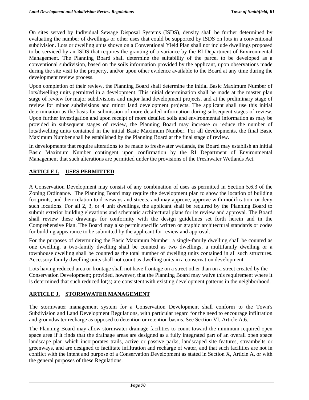On sites served by Individual Sewage Disposal Systems (ISDS), density shall be further determined by evaluating the number of dwellings or other uses that could be supported by ISDS on lots in a conventional subdivision. Lots or dwelling units shown on a Conventional Yield Plan shall not include dwellings proposed to be serviced by an ISDS that requires the granting of a variance by the RI Department of Environmental Management. The Planning Board shall determine the suitability of the parcel to be developed as a conventional subdivision, based on the soils information provided by the applicant, upon observations made during the site visit to the property, and/or upon other evidence available to the Board at any time during the development review process.

Upon completion of their review, the Planning Board shall determine the initial Basic Maximum Number of lots/dwelling units permitted in a development. This initial determination shall be made at the master plan stage of review for major subdivisions and major land development projects, and at the preliminary stage of review for minor subdivisions and minor land development projects. The applicant shall use this initial determination as the basis for submission of more detailed information during subsequent stages of review. Upon further investigation and upon receipt of more detailed soils and environmental information as may be provided in subsequent stages of review, the Planning Board may increase or reduce the number of lots/dwelling units contained in the initial Basic Maximum Number. For all developments, the final Basic Maximum Number shall be established by the Planning Board at the final stage of review.

In developments that require alterations to be made to freshwater wetlands, the Board may establish an initial Basic Maximum Number contingent upon confirmation by the RI Department of Environmental Management that such alterations are permitted under the provisions of the Freshwater Wetlands Act.

## **ARTICLE I. USES PERMITTED**

A Conservation Development may consist of any combination of uses as permitted in Section 5.6.3 of the Zoning Ordinance. The Planning Board may require the development plan to show the location of building footprints, and their relation to driveways and streets, and may approve, approve with modification, or deny such locations. For all 2, 3, or 4 unit dwellings, the applicant shall be required by the Planning Board to submit exterior building elevations and schematic architectural plans for its review and approval. The Board shall review these drawings for conformity with the design guidelines set forth herein and in the Comprehensive Plan. The Board may also permit specific written or graphic architectural standards or codes for building appearance to be submitted by the applicant for review and approval.

For the purposes of determining the Basic Maximum Number, a single-family dwelling shall be counted as one dwelling, a two-family dwelling shall be counted as two dwellings, a multifamily dwelling or a townhouse dwelling shall be counted as the total number of dwelling units contained in all such structures. Accessory family dwelling units shall not count as dwelling units in a conservation development.

Lots having reduced area or frontage shall not have frontage on a street other than on a street created by the Conservation Development; provided, however, that the Planning Board may waive this requirement where it is determined that such reduced lot(s) are consistent with existing development patterns in the neighborhood.

# **ARTICLE J. STORMWATER MANAGEMENT**

The stormwater management system for a Conservation Development shall conform to the Town's Subdivision and Land Development Regulations, with particular regard for the need to encourage infiltration and groundwater recharge as opposed to detention or retention basins. See Section VI, Article A.6.

The Planning Board may allow stormwater drainage facilities to count toward the minimum required open space area if it finds that the drainage areas are designed as a fully integrated part of an overall open space landscape plan which incorporates trails, active or passive parks, landscaped site features, streambelts or greenways, and are designed to facilitate infiltration and recharge of water, and that such facilities are not in conflict with the intent and purpose of a Conservation Development as stated in Section X, Article A, or with the general purposes of these Regulations.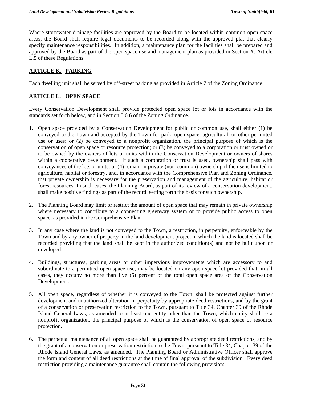Where stormwater drainage facilities are approved by the Board to be located within common open space areas, the Board shall require legal documents to be recorded along with the approved plat that clearly specify maintenance responsibilities. In addition, a maintenance plan for the facilities shall be prepared and approved by the Board as part of the open space use and management plan as provided in Section X, Article L.5 of these Regulations.

# **ARTICLE K. PARKING**

Each dwelling unit shall be served by off-street parking as provided in Article 7 of the Zoning Ordinance.

## **ARTICLE L. OPEN SPACE**

Every Conservation Development shall provide protected open space lot or lots in accordance with the standards set forth below, and in Section 5.6.6 of the Zoning Ordinance.

- 1. Open space provided by a Conservation Development for public or common use, shall either (1) be conveyed to the Town and accepted by the Town for park, open space, agricultural, or other permitted use or uses; or (2) be conveyed to a nonprofit organization, the principal purpose of which is the conservation of open space or resource protection; or (3) be conveyed to a corporation or trust owned or to be owned by the owners of lots or units within the Conservation Development or owners of shares within a cooperative development. If such a corporation or trust is used, ownership shall pass with conveyances of the lots or units; or (4) remain in private (non-common) ownership if the use is limited to agriculture, habitat or forestry, and, in accordance with the Comprehensive Plan and Zoning Ordinance, that private ownership is necessary for the preservation and management of the agriculture, habitat or forest resources. In such cases, the Planning Board, as part of its review of a conservation development, shall make positive findings as part of the record, setting forth the basis for such ownership.
- 2. The Planning Board may limit or restrict the amount of open space that may remain in private ownership where necessary to contribute to a connecting greenway system or to provide public access to open space, as provided in the Comprehensive Plan.
- 3. In any case where the land is not conveyed to the Town, a restriction, in perpetuity, enforceable by the Town and by any owner of property in the land development project in which the land is located shall be recorded providing that the land shall be kept in the authorized condition(s) and not be built upon or developed.
- 4. Buildings, structures, parking areas or other impervious improvements which are accessory to and subordinate to a permitted open space use, may be located on any open space lot provided that, in all cases, they occupy no more than five (5) percent of the total open space area of the Conservation Development.
- 5. All open space, regardless of whether it is conveyed to the Town, shall be protected against further development and unauthorized alteration in perpetuity by appropriate deed restrictions, and by the grant of a conservation or preservation restriction to the Town, pursuant to Title 34, Chapter 39 of the Rhode Island General Laws, as amended to at least one entity other than the Town, which entity shall be a nonprofit organization, the principal purpose of which is the conservation of open space or resource protection.
- 6. The perpetual maintenance of all open space shall be guaranteed by appropriate deed restrictions, and by the grant of a conservation or preservation restriction to the Town, pursuant to Title 34, Chapter 39 of the Rhode Island General Laws, as amended. The Planning Board or Administrative Officer shall approve the form and content of all deed restrictions at the time of final approval of the subdivision. Every deed restriction providing a maintenance guarantee shall contain the following provision: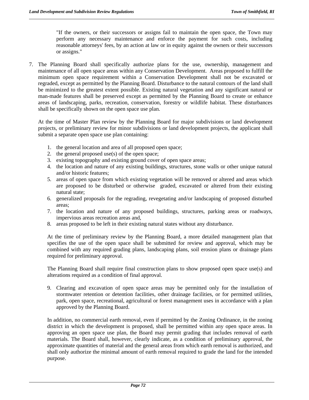"If the owners, or their successors or assigns fail to maintain the open space, the Town may perform any necessary maintenance and enforce the payment for such costs, including reasonable attorneys' fees, by an action at law or in equity against the owners or their successors or assigns."

7. The Planning Board shall specifically authorize plans for the use, ownership, management and maintenance of all open space areas within any Conservation Development. Areas proposed to fulfill the minimum open space requirement within a Conservation Development shall not be excavated or regraded, except as permitted by the Planning Board. Disturbance to the natural contours of the land shall be minimized to the greatest extent possible. Existing natural vegetation and any significant natural or man-made features shall be preserved except as permitted by the Planning Board to create or enhance areas of landscaping, parks, recreation, conservation, forestry or wildlife habitat. These disturbances shall be specifically shown on the open space use plan.

At the time of Master Plan review by the Planning Board for major subdivisions or land development projects, or preliminary review for minor subdivisions or land development projects, the applicant shall submit a separate open space use plan containing:

- 1. the general location and area of all proposed open space;
- 2. the general proposed use(s) of the open space;
- 3. existing topography and existing ground cover of open space areas;
- 4. the location and nature of any existing buildings, structures, stone walls or other unique natural and/or historic features;
- 5. areas of open space from which existing vegetation will be removed or altered and areas which are proposed to be disturbed or otherwise graded, excavated or altered from their existing natural state;
- 6. generalized proposals for the regrading, revegetating and/or landscaping of proposed disturbed areas;
- 7. the location and nature of any proposed buildings, structures, parking areas or roadways, impervious areas recreation areas and,
- 8. areas proposed to be left in their existing natural states without any disturbance.

 At the time of preliminary review by the Planning Board, a more detailed management plan that specifies the use of the open space shall be submitted for review and approval, which may be combined with any required grading plans, landscaping plans, soil erosion plans or drainage plans required for preliminary approval.

 The Planning Board shall require final construction plans to show proposed open space use(s) and alterations required as a condition of final approval.

9. Clearing and excavation of open space areas may be permitted only for the installation of stormwater retention or detention facilities, other drainage facilities, or for permitted utilities, park, open space, recreational, agricultural or forest management uses in accordance with a plan approved by the Planning Board.

In addition, no commercial earth removal, even if permitted by the Zoning Ordinance, in the zoning district in which the development is proposed, shall be permitted within any open space areas. In approving an open space use plan, the Board may permit grading that includes removal of earth materials. The Board shall, however, clearly indicate, as a condition of preliminary approval, the approximate quantities of material and the general areas from which earth removal is authorized, and shall only authorize the minimal amount of earth removal required to grade the land for the intended purpose.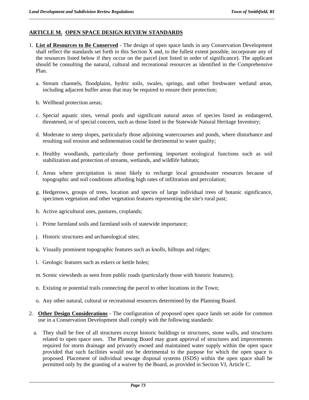## **ARTICLE M. OPEN SPACE DESIGN REVIEW STANDARDS**

- 1. **List of Resources to Be Conserved** The design of open space lands in any Conservation Development shall reflect the standards set forth in this Section X and, to the fullest extent possible, incorporate any of the resources listed below if they occur on the parcel (not listed in order of significance). The applicant should be consulting the natural, cultural and recreational resources as identified in the Comprehensive Plan.
	- a. Stream channels, floodplains, hydric soils, swales, springs, and other freshwater wetland areas, including adjacent buffer areas that may be required to ensure their protection;
	- b. Wellhead protection areas;
	- c. Special aquatic sites, vernal pools and significant natural areas of species listed as endangered, threatened, or of special concern, such as those listed in the Statewide Natural Heritage Inventory;
	- d. Moderate to steep slopes, particularly those adjoining watercourses and ponds, where disturbance and resulting soil erosion and sedimentation could be detrimental to water quality;
	- e. Healthy woodlands, particularly those performing important ecological functions such as soil stabilization and protection of streams, wetlands, and wildlife habitats;
	- f. Areas where precipitation is most likely to recharge local groundwater resources because of topographic and soil conditions affording high rates of infiltration and percolation;
	- g. Hedgerows, groups of trees, location and species of large individual trees of botanic significance, specimen vegetation and other vegetation features representing the site's rural past;
	- h. Active agricultural uses, pastures, croplands;
	- i. Prime farmland soils and farmland soils of statewide importance;
	- j. Historic structures and archaeological sites;
	- k. Visually prominent topographic features such as knolls, hilltops and ridges;
	- l. Geologic features such as eskers or kettle holes;
	- m. Scenic viewsheds as seen from public roads (particularly those with historic features);
	- n. Existing or potential trails connecting the parcel to other locations in the Town;
	- o. Any other natural, cultural or recreational resources determined by the Planning Board.
- 2. **Other Design Considerations** The configuration of proposed open space lands set aside for common use in a Conservation Development shall comply with the following standards:
	- a. They shall be free of all structures except historic buildings or structures, stone walls, and structures related to open space uses. The Planning Board may grant approval of structures and improvements required for storm drainage and privately owned and maintained water supply within the open space provided that such facilities would not be detrimental to the purpose for which the open space is proposed. Placement of individual sewage disposal systems (ISDS) within the open space shall be permitted only by the granting of a waiver by the Board, as provided in Section VI, Article C.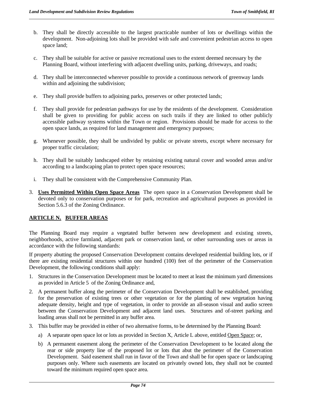- b. They shall be directly accessible to the largest practicable number of lots or dwellings within the development. Non-adjoining lots shall be provided with safe and convenient pedestrian access to open space land;
- c. They shall be suitable for active or passive recreational uses to the extent deemed necessary by the Planning Board, without interfering with adjacent dwelling units, parking, driveways, and roads;
- d. They shall be interconnected wherever possible to provide a continuous network of greenway lands within and adjoining the subdivision;
- e. They shall provide buffers to adjoining parks, preserves or other protected lands;
- f. They shall provide for pedestrian pathways for use by the residents of the development. Consideration shall be given to providing for public access on such trails if they are linked to other publicly accessible pathway systems within the Town or region. Provisions should be made for access to the open space lands, as required for land management and emergency purposes;
- g. Whenever possible, they shall be undivided by public or private streets, except where necessary for proper traffic circulation;
- h. They shall be suitably landscaped either by retaining existing natural cover and wooded areas and/or according to a landscaping plan to protect open space resources;
- i. They shall be consistent with the Comprehensive Community Plan.
- 3. **Uses Permitted Within Open Space Areas** The open space in a Conservation Development shall be devoted only to conservation purposes or for park, recreation and agricultural purposes as provided in Section 5.6.3 of the Zoning Ordinance.

## **ARTICLE N. BUFFER AREAS**

The Planning Board may require a vegetated buffer between new development and existing streets, neighborhoods, active farmland, adjacent park or conservation land, or other surrounding uses or areas in accordance with the following standards:

If property abutting the proposed Conservation Development contains developed residential building lots, or if there are existing residential structures within one hundred (100) feet of the perimeter of the Conservation Development, the following conditions shall apply:

- 1. Structures in the Conservation Development must be located to meet at least the minimum yard dimensions as provided in Article 5 of the Zoning Ordinance and,
- 2. A permanent buffer along the perimeter of the Conservation Development shall be established, providing for the preservation of existing trees or other vegetation or for the planting of new vegetation having adequate density, height and type of vegetation, in order to provide an all-season visual and audio screen between the Conservation Development and adjacent land uses. Structures and of-street parking and loading areas shall not be permitted in any buffer area.
- 3. This buffer may be provided in either of two alternative forms, to be determined by the Planning Board:
	- a) A separate open space lot or lots as provided in Section X, Article L above, entitled Open Space; or,
	- b) A permanent easement along the perimeter of the Conservation Development to be located along the rear or side property line of the proposed lot or lots that abut the perimeter of the Conservation Development. Said easement shall run in favor of the Town and shall be for open space or landscaping purposes only. Where such easements are located on privately owned lots, they shall not be counted toward the minimum required open space area.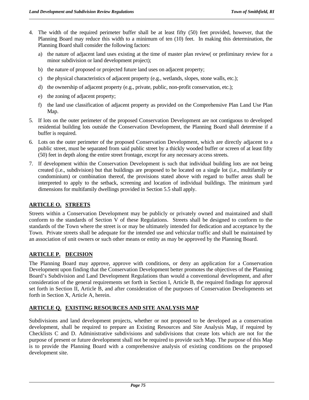- 4. The width of the required perimeter buffer shall be at least fifty (50) feet provided, however, that the Planning Board may reduce this width to a minimum of ten (10) feet. In making this determination, the Planning Board shall consider the following factors:
	- a) the nature of adjacent land uses existing at the time of master plan review( or preliminary review for a minor subdivision or land development project);
	- b) the nature of proposed or projected future land uses on adjacent property;
	- c) the physical characteristics of adjacent property (e.g., wetlands, slopes, stone walls, etc.);
	- d) the ownership of adjacent property (e.g., private, public, non-profit conservation, etc.);
	- e) the zoning of adjacent property;
	- f) the land use classification of adjacent property as provided on the Comprehensive Plan Land Use Plan Map.
- 5. If lots on the outer perimeter of the proposed Conservation Development are not contiguous to developed residential building lots outside the Conservation Development, the Planning Board shall determine if a buffer is required.
- 6. Lots on the outer perimeter of the proposed Conservation Development, which are directly adjacent to a public street, must be separated from said public street by a thickly wooded buffer or screen of at least fifty (50) feet in depth along the entire street frontage, except for any necessary access streets.
- 7. If development within the Conservation Development is such that individual building lots are not being created (i.e., subdivision) but that buildings are proposed to be located on a single lot (i.e., multifamily or condominium) or combination thereof, the provisions stated above with regard to buffer areas shall be interpreted to apply to the setback, screening and location of individual buildings. The minimum yard dimensions for multifamily dwellings provided in Section 5.5 shall apply.

## **ARTICLE O. STREETS**

Streets within a Conservation Development may be publicly or privately owned and maintained and shall conform to the standards of Section V of these Regulations. Streets shall be designed to conform to the standards of the Town where the street is or may be ultimately intended for dedication and acceptance by the Town. Private streets shall be adequate for the intended use and vehicular traffic and shall be maintained by an association of unit owners or such other means or entity as may be approved by the Planning Board.

# **ARTICLE P. DECISION**

The Planning Board may approve, approve with conditions, or deny an application for a Conservation Development upon finding that the Conservation Development better promotes the objectives of the Planning Board's Subdivision and Land Development Regulations than would a conventional development, and after consideration of the general requirements set forth in Section I, Article B, the required findings for approval set forth in Section II, Article B, and after consideration of the purposes of Conservation Developments set forth in Section X, Article A, herein.

## **ARTICLE Q. EXISTING RESOURCES AND SITE ANALYSIS MAP**

Subdivisions and land development projects, whether or not proposed to be developed as a conservation development, shall be required to prepare an Existing Resources and Site Analysis Map, if required by Checklists C and D. Administrative subdivisions and subdivisions that create lots which are not for the purpose of present or future development shall not be required to provide such Map. The purpose of this Map is to provide the Planning Board with a comprehensive analysis of existing conditions on the proposed development site.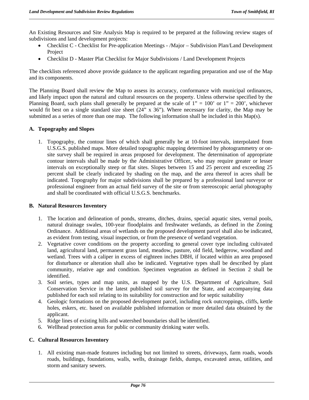An Existing Resources and Site Analysis Map is required to be prepared at the following review stages of subdivisions and land development projects:

- Checklist C Checklist for Pre-application Meetings /Major Subdivision Plan/Land Development **Project**
- Checklist D Master Plat Checklist for Major Subdivisions / Land Development Projects

The checklists referenced above provide guidance to the applicant regarding preparation and use of the Map and its components.

The Planning Board shall review the Map to assess its accuracy, conformance with municipal ordinances, and likely impact upon the natural and cultural resources on the property. Unless otherwise specified by the Planning Board, such plans shall generally be prepared at the scale of  $1" = 100'$  or  $1" = 200'$ , whichever would fit best on a single standard size sheet (24" x 36"). Where necessary for clarity, the Map may be submitted as a series of more than one map. The following information shall be included in this Map(s).

### **A. Topography and Slopes**

1. Topography, the contour lines of which shall generally be at 10-foot intervals, interpolated from U.S.G.S. published maps. More detailed topographic mapping determined by photogrammetry or onsite survey shall be required in areas proposed for development. The determination of appropriate contour intervals shall be made by the Administrative Officer, who may require greater or lesser intervals on exceptionally steep or flat sites. Slopes between 15 and 25 percent and exceeding 25 percent shall be clearly indicated by shading on the map, and the area thereof in acres shall be indicated. Topography for major subdivisions shall be prepared by a professional land surveyor or professional engineer from an actual field survey of the site or from stereoscopic aerial photography and shall be coordinated with official U.S.G.S. benchmarks.

### **B. Natural Resources Inventory**

- 1. The location and delineation of ponds, streams, ditches, drains, special aquatic sites, vernal pools, natural drainage swales, 100-year floodplains and freshwater wetlands, as defined in the Zoning Ordinance. Additional areas of wetlands on the proposed development parcel shall also be indicated, as evident from testing, visual inspection, or from the presence of wetland vegetation.
- 2. Vegetative cover conditions on the property according to general cover type including cultivated land, agricultural land, permanent grass land, meadow, pasture, old field, hedgerow, woodland and wetland. Trees with a caliper in excess of eighteen inches DBH, if located within an area proposed for disturbance or alteration shall also be indicated. Vegetative types shall be described by plant community, relative age and condition. Specimen vegetation as defined in Section 2 shall be identified.
- 3. Soil series, types and map units, as mapped by the U.S. Department of Agriculture, Soil Conservation Service in the latest published soil survey for the State, and accompanying data published for each soil relating to its suitability for construction and for septic suitability
- 4. Geologic formations on the proposed development parcel, including rock outcroppings, cliffs, kettle holes, eskers, etc. based on available published information or more detailed data obtained by the applicant.
- 5. Ridge lines of existing hills and watershed boundaries shall be identified.
- 6. Wellhead protection areas for public or community drinking water wells.

#### **C. Cultural Resources Inventory**

1. All existing man-made features including but not limited to streets, driveways, farm roads, woods roads, buildings, foundations, walls, wells, drainage fields, dumps, excavated areas, utilities, and storm and sanitary sewers.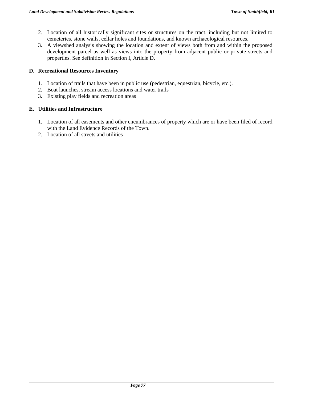- 2. Location of all historically significant sites or structures on the tract, including but not limited to cemeteries, stone walls, cellar holes and foundations, and known archaeological resources.
- 3. A viewshed analysis showing the location and extent of views both from and within the proposed development parcel as well as views into the property from adjacent public or private streets and properties. See definition in Section I, Article D.

## **D. Recreational Resources Inventory**

- 1. Location of trails that have been in public use (pedestrian, equestrian, bicycle, etc.).
- 2. Boat launches, stream access locations and water trails
- 3. Existing play fields and recreation areas

## **E. Utilities and Infrastructure**

- 1. Location of all easements and other encumbrances of property which are or have been filed of record with the Land Evidence Records of the Town.
- 2. Location of all streets and utilities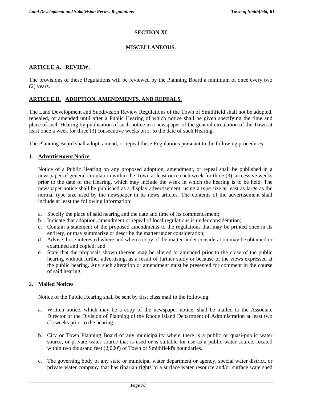## **SECTION XI**

## **MISCELLANEOUS.**

## **ARTICLE A. REVIEW.**

The provisions of these Regulations will be reviewed by the Planning Board a minimum of once every two (2) years.

### **ARTICLE B. ADOPTION, AMENDMENTS, AND REPEALS**.

The Land Development and Subdivision Review Regulations of the Town of Smithfield shall not be adopted, repealed, or amended until after a Public Hearing of which notice shall be given specifying the time and place of such Hearing by publication of such notice in a newspaper of the general circulation of the Town at least once a week for three (3) consecutive weeks prior to the date of such Hearing.

The Planning Board shall adopt, amend, or repeal these Regulations pursuant to the following procedures:

#### 1. **Advertisement Notice**.

Notice of a Public Hearing on any proposed adoption, amendment, or repeal shall be published in a newspaper of general circulation within the Town at least once each week for three (3) successive weeks prior to the date of the Hearing, which may include the week in which the hearing is to be held. The newspaper notice shall be published as a display advertisement, using a type size at least as large as the normal type size used by the newspaper in its news articles. The contents of the advertisement shall include at least the following information:

- a. Specify the place of said hearing and the date and time of its commencement;
- b. Indicate that adoption, amendment or repeal of local regulations is under consideration;
- c. Contain a statement of the proposed amendments to the regulations that may be printed once in its entirety, or may summarize or describe the matter under consideration;
- d. Advise those interested where and when a copy of the matter under consideration may be obtained or examined and copied; and
- e. State that the proposals shown thereon may be altered or amended prior to the close of the public hearing without further advertising, as a result of further study or because of the views expressed at the public hearing. Any such alteration or amendment must be presented for comment in the course of said hearing.

#### 2. **Mailed Notices**.

Notice of the Public Hearing shall be sent by first class mail to the following:

- a. Written notice, which may be a copy of the newspaper notice, shall be mailed to the Associate Director of the Division of Planning of the Rhode Island Department of Administration at least two (2) weeks prior to the hearing.
- b. City or Town Planning Board of any municipality where there is a public or quasi-public water source, or private water source that is used or is suitable for use as a public water source, located within two thousand feet (2,000') of Town of Smithfield's boundaries.
- c. The governing body of any state or municipal water department or agency, special water district, or private water company that has riparian rights to a surface water resource and/or surface watershed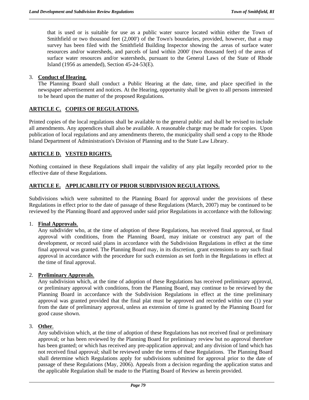that is used or is suitable for use as a public water source located within either the Town of Smithfield or two thousand feet (2,000') of the Town's boundaries, provided, however, that a map survey has been filed with the Smithfield Building Inspector showing the .areas of surface water resources and/or watersheds, and parcels of land within 2000' (two thousand feet) of the areas of surface water resources and/or watersheds, pursuant to the General Laws of the State of Rhode Island (1956 as amended), Section 45-24-53(E).

### 3. **Conduct of Hearing**.

The Planning Board shall conduct a Public Hearing at the date, time, and place specified in the newspaper advertisement and notices. At the Hearing, opportunity shall be given to all persons interested to be heard upon the matter of the proposed Regulations.

### **ARTICLE C. COPIES OF REGULATIONS.**

Printed copies of the local regulations shall be available to the general public and shall be revised to include all amendments. Any appendices shall also be available. A reasonable charge may be made for copies. Upon publication of local regulations and any amendments thereto, the municipality shall send a copy to the Rhode Island Department of Administration's Division of Planning and to the State Law Library.

## **ARTICLE D. VESTED RIGHTS.**

Nothing contained in these Regulations shall impair the validity of any plat legally recorded prior to the effective date of these Regulations.

### **ARTICLE E. APPLICABILITY OF PRIOR SUBDIVISION REGULATIONS.**

Subdivisions which were submitted to the Planning Board for approval under the provisions of these Regulations in effect prior to the date of passage of these Regulations (March, 2007) may be continued to be reviewed by the Planning Board and approved under said prior Regulations in accordance with the following:

#### 1. **Final Approvals**.

Any subdivider who, at the time of adoption of these Regulations, has received final approval, or final approval with conditions, from the Planning Board, may initiate or construct any part of the development, or record said plans in accordance with the Subdivision Regulations in effect at the time final approval was granted. The Planning Board may, in its discretion, grant extensions to any such final approval in accordance with the procedure for such extension as set forth in the Regulations in effect at the time of final approval.

#### 2. **Preliminary Approvals**.

Any subdivision which, at the time of adoption of these Regulations has received preliminary approval, or preliminary approval with conditions, from the Planning Board, may continue to be reviewed by the Planning Board in accordance with the Subdivision Regulations in effect at the time preliminary approval was granted provided that the final plat must be approved and recorded within one (1) year from the date of preliminary approval, unless an extension of time is granted by the Planning Board for good cause shown.

#### 3. **Other**.

Any subdivision which, at the time of adoption of these Regulations has not received final or preliminary approval; or has been reviewed by the Planning Board for preliminary review but no approval therefore has been granted; or which has received any pre-application approval; and any division of land which has not received final approval; shall be reviewed under the terms of these Regulations. The Planning Board shall determine which Regulations apply for subdivisions submitted for approval prior to the date of passage of these Regulations (May, 2006). Appeals from a decision regarding the application status and the applicable Regulation shall be made to the Platting Board of Review as herein provided.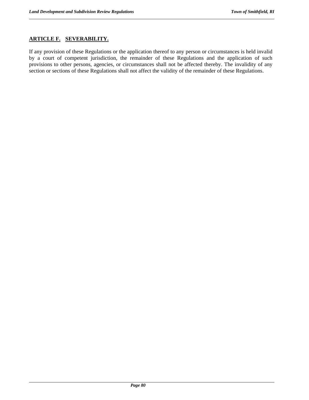## **ARTICLE F. SEVERABILITY.**

If any provision of these Regulations or the application thereof to any person or circumstances is held invalid by a court of competent jurisdiction, the remainder of these Regulations and the application of such provisions to other persons, agencies, or circumstances shall not be affected thereby. The invalidity of any section or sections of these Regulations shall not affect the validity of the remainder of these Regulations.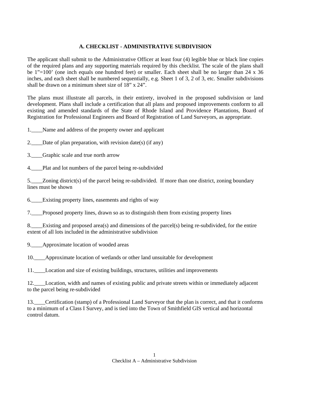## **A. CHECKLIST - ADMINISTRATIVE SUBDIVISION**

The applicant shall submit to the Administrative Officer at least four (4) legible blue or black line copies of the required plans and any supporting materials required by this checklist. The scale of the plans shall be 1"=100' (one inch equals one hundred feet) or smaller. Each sheet shall be no larger than 24 x 36 inches, and each sheet shall be numbered sequentially, e.g. Sheet 1 of 3, 2 of 3, etc. Smaller subdivisions shall be drawn on a minimum sheet size of 18" x 24".

The plans must illustrate all parcels, in their entirety, involved in the proposed subdivision or land development. Plans shall include a certification that all plans and proposed improvements conform to all existing and amended standards of the State of Rhode Island and Providence Plantations, Board of Registration for Professional Engineers and Board of Registration of Land Surveyors, as appropriate.

1.\_\_\_\_Name and address of the property owner and applicant

2. Date of plan preparation, with revision date(s) (if any)

3.\_\_\_\_Graphic scale and true north arrow

4. Plat and lot numbers of the parcel being re-subdivided

5.\_\_\_\_Zoning district(s) of the parcel being re-subdivided. If more than one district, zoning boundary lines must be shown

6.\_\_\_\_Existing property lines, easements and rights of way

7.\_\_\_\_Proposed property lines, drawn so as to distinguish them from existing property lines

8.\_\_\_\_Existing and proposed area(s) and dimensions of the parcel(s) being re-subdivided, for the entire extent of all lots included in the administrative subdivision

9.\_\_\_\_Approximate location of wooded areas

10.\_\_\_\_Approximate location of wetlands or other land unsuitable for development

11. Location and size of existing buildings, structures, utilities and improvements

12.\_\_\_\_Location, width and names of existing public and private streets within or immediately adjacent to the parcel being re-subdivided

13.\_\_\_\_Certification (stamp) of a Professional Land Surveyor that the plan is correct, and that it conforms to a minimum of a Class I Survey, and is tied into the Town of Smithfield GIS vertical and horizontal control datum.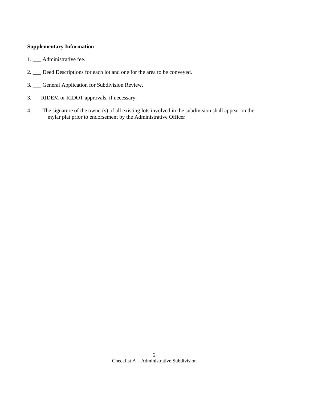#### **Supplementary Information**

- 1. \_\_\_ Administrative fee.
- 2. \_\_\_ Deed Descriptions for each lot and one for the area to be conveyed.
- 3. \_\_\_ General Application for Subdivision Review.
- 3.\_\_\_ RIDEM or RIDOT approvals, if necessary.
- 4. The signature of the owner(s) of all existing lots involved in the subdivision shall appear on the mylar plat prior to endorsement by the Administrative Officer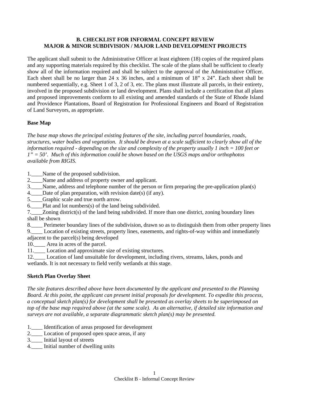### **B. CHECKLIST FOR INFORMAL CONCEPT REVIEW MAJOR & MINOR SUBDIVISION / MAJOR LAND DEVELOPMENT PROJECTS**

The applicant shall submit to the Administrative Officer at least eighteen (18) copies of the required plans and any supporting materials required by this checklist. The scale of the plans shall be sufficient to clearly show all of the information required and shall be subject to the approval of the Administrative Officer. Each sheet shall be no larger than 24 x 36 inches, and a minimum of 18" x 24". Each sheet shall be numbered sequentially, e.g. Sheet 1 of 3, 2 of 3, etc. The plans must illustrate all parcels, in their entirety, involved in the proposed subdivision or land development. Plans shall include a certification that all plans and proposed improvements conform to all existing and amended standards of the State of Rhode Island and Providence Plantations, Board of Registration for Professional Engineers and Board of Registration of Land Surveyors, as appropriate.

#### **Base Map**

*The base map shows the principal existing features of the site, including parcel boundaries, roads, structures, water bodies and vegetation. It should be drawn at a scale sufficient to clearly show all of the information required - depending on the size and complexity of the property usually 1 inch = 100 feet or 1" = 50'. Much of this information could be shown based on the USGS maps and/or orthophotos available from RIGIS.* 

- 1.\_\_\_\_Name of the proposed subdivision.
- 2.\_\_\_\_Name and address of property owner and applicant.
- 3.\_\_\_\_Name, address and telephone number of the person or firm preparing the pre-application plan(s)
- 4. Date of plan preparation, with revision date(s) (if any).
- 5. Graphic scale and true north arrow.
- 6. Plat and lot numbers(s) of the land being subdivided.
- 7.\_\_\_\_Zoning district(s) of the land being subdivided. If more than one district, zoning boundary lines shall be shown
- 8.\_\_\_\_ Perimeter boundary lines of the subdivision, drawn so as to distinguish them from other property lines
- 9.\_\_\_\_ Location of existing streets, property lines, easements, and rights-of-way within and immediately adjacent to the parcel(s) being developed
- 10.\_\_\_\_ Area in acres of the parcel.
- 11.\_\_\_\_ Location and approximate size of existing structures.
- 12.\_\_\_\_ Location of land unsuitable for development, including rivers, streams, lakes, ponds and wetlands. It is not necessary to field verify wetlands at this stage.

#### **Sketch Plan Overlay Sheet**

*The site features described above have been documented by the applicant and presented to the Planning Board. At this point, the applicant can present initial proposals for development. To expedite this process, a conceptual sketch plan(s) for development shall be presented as overlay sheets to be superimposed on top of the base map required above (at the same scale). As an alternative, if detailed site information and surveys are not available, a separate diagrammatic sketch plan(s) may be presented.* 

- 1.\_\_\_\_ Identification of areas proposed for development
- 2.\_\_\_\_ Location of proposed open space areas, if any
- 3.\_\_\_\_ Initial layout of streets
- 4. Initial number of dwelling units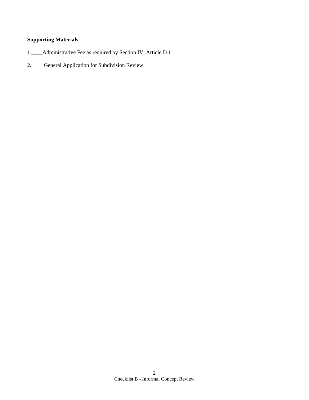# **Supporting Materials**

- 1.\_\_\_\_Administrative Fee as required by Section IV, Article D.1
- 2. General Application for Subdivision Review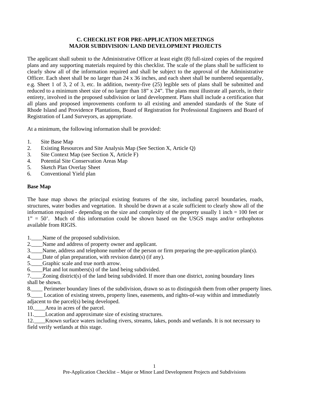#### **C. CHECKLIST FOR PRE-APPLICATION MEETINGS MAJOR SUBDIVISION/ LAND DEVELOPMENT PROJECTS**

The applicant shall submit to the Administrative Officer at least eight (8) full-sized copies of the required plans and any supporting materials required by this checklist. The scale of the plans shall be sufficient to clearly show all of the information required and shall be subject to the approval of the Administrative Officer. Each sheet shall be no larger than 24 x 36 inches, and each sheet shall be numbered sequentially, e.g. Sheet 1 of 3, 2 of 3, etc. In addition, twenty-five (25) legible sets of plans shall be submitted and reduced to a minimum sheet size of no larger than 18" x 24". The plans must illustrate all parcels, in their entirety, involved in the proposed subdivision or land development. Plans shall include a certification that all plans and proposed improvements conform to all existing and amended standards of the State of Rhode Island and Providence Plantations, Board of Registration for Professional Engineers and Board of Registration of Land Surveyors, as appropriate.

At a minimum, the following information shall be provided:

- 1. Site Base Map
- 2. Existing Resources and Site Analysis Map (See Section X, Article Q)
- 3. Site Context Map (see Section X, Article F)
- 4. Potential Site Conservation Areas Map
- 5. Sketch Plan Overlay Sheet
- 6. Conventional Yield plan

#### **Base Map**

The base map shows the principal existing features of the site, including parcel boundaries, roads, structures, water bodies and vegetation. It should be drawn at a scale sufficient to clearly show all of the information required - depending on the size and complexity of the property usually 1 inch  $= 100$  feet or  $1'' = 50'$ . Much of this information could be shown based on the USGS maps and/or orthophotos available from RIGIS.

1.\_\_\_\_Name of the proposed subdivision.

- 2. Name and address of property owner and applicant.
- 3.\_\_\_\_Name, address and telephone number of the person or firm preparing the pre-application plan(s).
- 4. Date of plan preparation, with revision date(s) (if any).
- 5. Graphic scale and true north arrow.
- 6.\_\_\_\_Plat and lot numbers(s) of the land being subdivided.
- 7.\_\_\_\_Zoning district(s) of the land being subdivided. If more than one district, zoning boundary lines shall be shown.
- 8.\_\_\_\_ Perimeter boundary lines of the subdivision, drawn so as to distinguish them from other property lines.

9. Location of existing streets, property lines, easements, and rights-of-way within and immediately adjacent to the parcel(s) being developed.

10.\_\_\_\_Area in acres of the parcel.

11.\_\_\_\_Location and approximate size of existing structures.

12.\_\_\_\_Known surface waters including rivers, streams, lakes, ponds and wetlands. It is not necessary to field verify wetlands at this stage.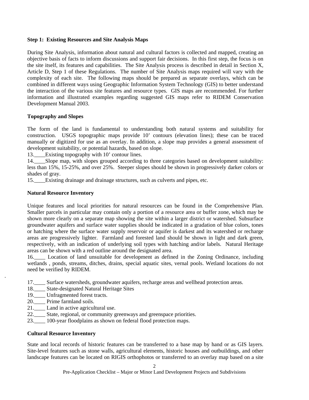#### **Step 1: Existing Resources and Site Analysis Maps**

During Site Analysis, information about natural and cultural factors is collected and mapped, creating an objective basis of facts to inform discussions and support fair decisions. In this first step, the focus is on the site itself, its features and capabilities. The Site Analysis process is described in detail in Section X, Article D, Step 1 of these Regulations. The number of Site Analysis maps required will vary with the complexity of each site. The following maps should be prepared as separate overlays, which can be combined in different ways using Geographic Information System Technology (GIS) to better understand the interaction of the various site features and resource types. GIS maps are recommended. For further information and illustrated examples regarding suggested GIS maps refer to RIDEM Conservation Development Manual 2003.

#### **Topography and Slopes**

The form of the land is fundamental to understanding both natural systems and suitability for construction. USGS topographic maps provide 10' contours (elevation lines); these can be traced manually or digitized for use as an overlay. In addition, a slope map provides a general assessment of development suitability, or potential hazards, based on slope.

13.\_\_\_\_Existing topography with 10' contour lines.

14.\_\_\_\_Slope map, with slopes grouped according to three categories based on development suitability: less than 15%, 15-25%, and over 25%. Steeper slopes should be shown in progressively darker colors or shades of gray.

15.\_\_\_\_Existing drainage and drainage structures, such as culverts and pipes, etc.

### **Natural Resource Inventory**

Unique features and local priorities for natural resources can be found in the Comprehensive Plan. Smaller parcels in particular may contain only a portion of a resource area or buffer zone, which may be shown more clearly on a separate map showing the site within a larger district or watershed. Subsurface groundwater aquifers and surface water supplies should be indicated in a gradation of blue colors, tones or hatching where the surface water supply reservoir or aquifer is darkest and its watershed or recharge areas are progressively lighter. Farmland and forested land should be shown in light and dark green, respectively, with an indication of underlying soil types with hatching and/or labels. Natural Heritage areas can be shown with a red outline around the designated area.

16.\_\_\_\_ Location of land unsuitable for development as defined in the Zoning Ordinance, including wetlands , ponds, streams, ditches, drains, special aquatic sites, vernal pools. Wetland locations do not need be verified by RIDEM.

- 17.\_\_\_\_ Surface watersheds, groundwater aquifers, recharge areas and wellhead protection areas.
- 18.\_\_\_\_ State-designated Natural Heritage Sites
- 19. Unfragmented forest tracts.
- 20.\_\_\_\_ Prime farmland soils.

.

- 21.\_\_\_\_ Land in active agricultural use.
- 22.\_\_\_\_ State, regional, or community greenways and greenspace priorities.
- 23.\_\_\_\_ 100-year floodplains as shown on federal flood protection maps.

#### **Cultural Resource Inventory**

State and local records of historic features can be transferred to a base map by hand or as GIS layers. Site-level features such as stone walls, agricultural elements, historic houses and outbuildings, and other landscape features can be located on RIGIS orthophotos or transferred to an overlay map based on a site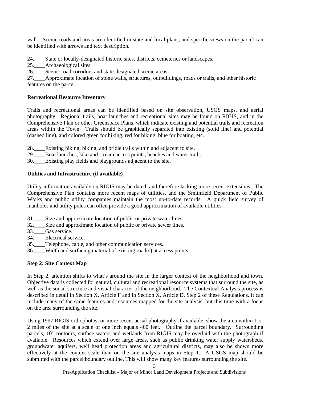walk. Scenic roads and areas are identified in state and local plans, and specific views on the parcel can be identified with arrows and text description.

24. State or locally-designated historic sites, districts, cemeteries or landscapes.

25.\_\_\_\_Archaeological sites.

26. Scenic road corridors and state-designated scenic areas.

27.\_\_\_\_Approximate location of stone walls, structures, outbuildings, roads or trails, and other historic features on the parcel.

#### **Recreational Resource Inventory**

Trails and recreational areas can be identified based on site observation, USGS maps, and aerial photography. Regional trails, boat launches and recreational sites may be found on RIGIS, and in the Comprehensive Plan or other Greenspace Plans, which indicate existing and potential trails and recreation areas within the Town. Trails should be graphically separated into existing (solid line) and potential (dashed line), and colored green for hiking, red for biking, blue for boating, etc.

28.\_\_\_\_Existing hiking, biking, and bridle trails within and adjacent to site.

29.\_\_\_\_Boat launches, lake and stream access points, beaches and water trails.

30. Existing play fields and playgrounds adjacent to the site.

#### **Utilities and Infrastructure (if available)**

Utility information available on RIGIS may be dated, and therefore lacking more recent extensions. The Comprehensive Plan contains more recent maps of utilities, and the Smithfield Department of Public Works and public utility companies maintain the most up-to-date records. A quick field survey of manholes and utility poles can often provide a good approximation of available utilities.

- 31.\_\_\_\_Size and approximate location of public or private water lines.
- 32.\_\_\_\_Size and approximate location of public or private sewer lines.
- 33. Gas service.
- 34. Electrical service.
- 35.\_\_\_\_Telephone, cable, and other communication services.
- 36.\_\_\_\_Width and surfacing material of existing road(s) at access points.

## **Step 2: Site Context Map**

In Step 2, attention shifts to what's around the site in the larger context of the neighborhood and town. Objective data is collected for natural, cultural and recreational resource systems that surround the site, as well as the social structure and visual character of the neighborhood. The Contextual Analysis process is described in detail in Section X, Article F and in Section X, Article D, Step 2 of these Regulations. It can include many of the same features and resources mapped for the site analysis, but this time with a focus on the area surrounding the site.

Using 1997 RIGIS orthophotos, or more recent aerial photography if available, show the area within 1 or 2 miles of the site at a scale of one inch equals 400 feet.. Outline the parcel boundary. Surrounding parcels, 10' contours, surface waters and wetlands from RIGIS may be overlaid with the photograph if available. Resources which extend over large areas, such as public drinking water supply watersheds, groundwater aquifers, well head protection areas and agricultural districts, may also be shown more effectively at the context scale than on the site analysis maps in Step 1. A USGS map should be submitted with the parcel boundary outline. This will show many key features surrounding the site.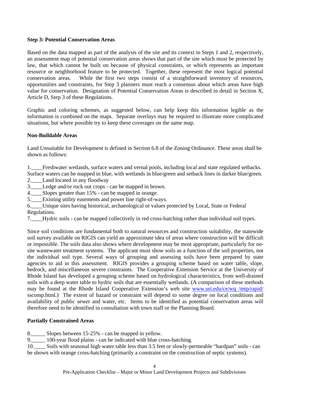#### **Step 3: Potential Conservation Areas**

Based on the data mapped as part of the analysis of the site and its context in Steps 1 and 2, respectively, an assessment map of potential conservation areas shows that part of the site which must be protected by law, that which cannot be built on because of physical constraints, or which represents an important resource or neighborhood feature to be protected. Together, these represent the most logical potential conservation areas. While the first two steps consist of a straightforward inventory of resources, opportunities and constraints, for Step 3 planners must reach a consensus about which areas have high value for conservation. Designation of Potential Conservation Areas is described in detail in Section X, Article D, Step 3 of these Regulations.

Graphic and coloring schemes, as suggested below, can help keep this information legible as the information is combined on the maps. Separate overlays may be required to illustrate more complicated situations, but where possible try to keep these coverages on the same map.

#### **Non-Buildable Areas**

Land Unsuitable for Development is defined in Section 6.8 of the Zoning Ordinance. These areas shall be shown as follows:

1.\_\_\_\_Freshwater wetlands, surface waters and vernal pools, including local and state regulated setbacks. Surface waters can be mapped in blue, with wetlands in blue/green and setback lines in darker blue/green. 2.\_\_\_\_Land located in any floodway

3.\_\_\_\_Ledge and/or rock out crops - can be mapped in brown.

4. Slopes greater than 15% - can be mapped in orange.

5. Existing utility easements and power line right-of-ways.

6.\_\_\_\_Unique sites having historical, archaeological or values protected by Local, State or Federal Regulations.

7.\_\_\_\_Hydric soils - can be mapped collectively in red cross-hatching rather than individual soil types.

Since soil conditions are fundamental both to natural resources and construction suitability, the statewide soil survey available on RIGIS can yield an approximate idea of areas where construction will be difficult or impossible. The soils data also shows where development may be most appropriate, particularly for onsite wastewater treatment systems. The applicant must show soils as a function of the soil properties, not the individual soil type. Several ways of grouping and assessing soils have been prepared by state agencies to aid in this assessment. RIGIS provides a grouping scheme based on water table, slope, bedrock, and miscellaneous severe constraints. The Cooperative Extension Service at the University of Rhode Island has developed a grouping scheme based on hydrological characteristics, from well-drained soils with a deep water table to hydric soils that are essentially wetlands. (A comparison of these methods may be found at the Rhode Island Cooperative Extension's web site www.uri.edu/ce/wq /mtp/rapid/ sscomp.html.) The extent of hazard or constraint will depend to some degree on local conditions and availability of public sewer and water, etc. Items to be identified as potential conservation areas will therefore need to be identified in consultation with town staff or the Planning Board.

#### **Partially Constrained Areas**

8.\_\_\_\_\_ Slopes between 15-25% - can be mapped in yellow.

9.\_\_\_\_\_ 100-year flood plains - can be indicated with blue cross-hatching.

10. Soils with seasonal high water table less than 3.5 feet or slowly-permeable "hardpan" soils - can be shown with orange cross-hatching (primarily a constraint on the construction of septic systems).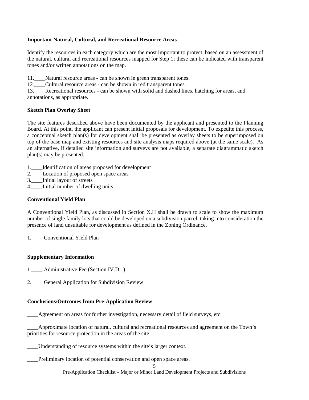#### **Important Natural, Cultural, and Recreational Resource Areas**

Identify the resources in each category which are the most important to protect, based on an assessment of the natural, cultural and recreational resources mapped for Step 1; these can be indicated with transparent tones and/or written annotations on the map.

11. Natural resource areas - can be shown in green transparent tones.

12.\_\_\_\_Cultural resource areas - can be shown in red transparent tones.

13.\_\_\_\_Recreational resources - can be shown with solid and dashed lines, hatching for areas, and annotations, as appropriate.

#### **Sketch Plan Overlay Sheet**

The site features described above have been documented by the applicant and presented to the Planning Board. At this point, the applicant can present initial proposals for development. To expedite this process, a conceptual sketch plan(s) for development shall be presented as overlay sheets to be superimposed on top of the base map and existing resources and site analysis maps required above (at the same scale). As an alternative, if detailed site information and surveys are not available, a separate diagrammatic sketch plan(s) may be presented.

- 1.\_\_\_\_Identification of areas proposed for development
- 2.\_\_\_\_Location of proposed open space areas
- 3.\_\_\_\_Initial layout of streets
- 4. Initial number of dwelling units

#### **Conventional Yield Plan**

A Conventional Yield Plan, as discussed in Section X.H shall be drawn to scale to show the maximum number of single family lots that could be developed on a subdivision parcel, taking into consideration the presence of land unsuitable for development as defined in the Zoning Ordinance.

1. Conventional Yield Plan

#### **Supplementary Information**

1.\_\_\_\_ Administrative Fee (Section IV.D.1)

2. General Application for Subdivision Review

#### **Conclusions/Outcomes from Pre-Application Review**

\_\_\_\_Agreement on areas for further investigation, necessary detail of field surveys, etc.

\_\_\_\_Approximate location of natural, cultural and recreational resources and agreement on the Town's priorities for resource protection in the areas of the site.

Understanding of resource systems within the site's larger context.

Preliminary location of potential conservation and open space areas.

Pre-Application Checklist – Major or Minor Land Development Projects and Subdivisions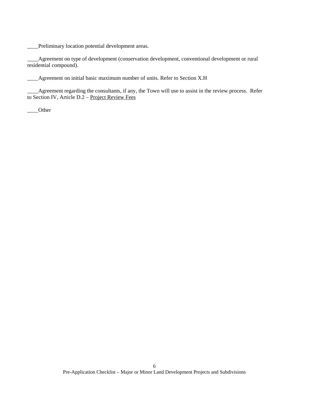\_\_\_\_Preliminary location potential development areas.

\_\_\_\_Agreement on type of development (conservation development, conventional development or rural residential compound).

Agreement on initial basic maximum number of units. Refer to Section X.H

\_\_\_\_Agreement regarding the consultants, if any, the Town will use to assist in the review process. Refer to Section IV, Article D.2 – Project Review Fees

\_\_\_\_Other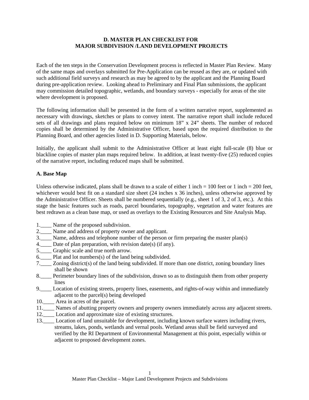#### **D. MASTER PLAN CHECKLIST FOR MAJOR SUBDIVISION /LAND DEVELOPMENT PROJECTS**

Each of the ten steps in the Conservation Development process is reflected in Master Plan Review. Many of the same maps and overlays submitted for Pre-Application can be reused as they are, or updated with such additional field surveys and research as may be agreed to by the applicant and the Planning Board during pre-application review. Looking ahead to Preliminary and Final Plan submissions, the applicant may commission detailed topographic, wetlands, and boundary surveys - especially for areas of the site where development is proposed.

The following information shall be presented in the form of a written narrative report, supplemented as necessary with drawings, sketches or plans to convey intent. The narrative report shall include reduced sets of all drawings and plans required below on minimum 18" x 24" sheets. The number of reduced copies shall be determined by the Administrative Officer, based upon the required distribution to the Planning Board, and other agencies listed in D. Supporting Materials, below.

Initially, the applicant shall submit to the Administrative Officer at least eight full-scale (8) blue or blackline copies of master plan maps required below. In addition, at least twenty-five (25) reduced copies of the narrative report, including reduced maps shall be submitted.

### **A. Base Map**

Unless otherwise indicated, plans shall be drawn to a scale of either 1 inch = 100 feet or 1 inch = 200 feet, whichever would best fit on a standard size sheet (24 inches x 36 inches), unless otherwise approved by the Administrative Officer. Sheets shall be numbered sequentially (e.g., sheet 1 of 3, 2 of 3, etc.). At this stage the basic features such as roads, parcel boundaries, topography, vegetation and water features are best redrawn as a clean base map, or used as overlays to the Existing Resources and Site Analysis Map.

- 1.\_\_\_\_ Name of the proposed subdivision.
- 2. Name and address of property owner and applicant.
- 3.\_\_\_\_ Name, address and telephone number of the person or firm preparing the master plan(s)
- 4.\_\_\_\_ Date of plan preparation, with revision date(s) (if any).
- 5.\_\_\_\_ Graphic scale and true north arrow.
- 6. Plat and lot numbers $(s)$  of the land being subdivided.
- 7.\_\_\_\_ Zoning district(s) of the land being subdivided. If more than one district, zoning boundary lines shall be shown
- 8.\_\_\_\_ Perimeter boundary lines of the subdivision, drawn so as to distinguish them from other property lines
- 9.\_\_\_\_ Location of existing streets, property lines, easements, and rights-of-way within and immediately adjacent to the parcel(s) being developed
- 10.\_\_\_\_ Area in acres of the parcel.
- 11.\_\_\_\_ Names of abutting property owners and property owners immediately across any adjacent streets.
- 12.\_\_\_\_ Location and approximate size of existing structures.
- 13.\_\_\_\_ Location of land unsuitable for development, including known surface waters including rivers, streams, lakes, ponds, wetlands and vernal pools. Wetland areas shall be field surveyed and verified by the RI Department of Environmental Management at this point, especially within or adjacent to proposed development zones.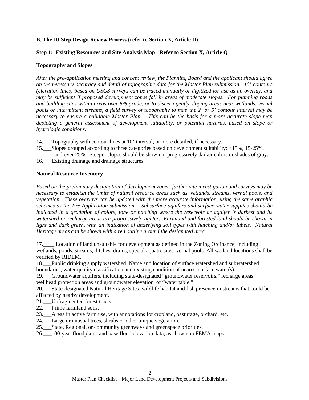#### **B. The 10-Step Design Review Process (refer to Section X, Article D)**

### **Step 1: Existing Resources and Site Analysis Map - Refer to Section X, Article Q**

### **Topography and Slopes**

*After the pre-application meeting and concept review, the Planning Board and the applicant should agree on the necessary accuracy and detail of topographic data for the Master Plan submission. 10' contours (elevation lines) based on USGS surveys can be traced manually or digitized for use as an overlay, and may be sufficient if proposed development zones fall in areas of moderate slopes. For planning roads and building sites within areas over 8% grade, or to discern gently-sloping areas near wetlands, vernal pools or intermittent streams, a field survey of topography to map the 2' or 5' contour interval may be necessary to ensure a buildable Master Plan. This can be the basis for a more accurate slope map depicting a general assessment of development suitability, or potential hazards, based on slope or hydrologic conditions.* 

- 14.\_\_\_Topography with contour lines at 10' interval, or more detailed, if necessary.
- 15.\_\_\_Slopes grouped according to three categories based on development suitability: <15%, 15-25%, and over 25%. Steeper slopes should be shown in progressively darker colors or shades of gray.
- 16. Existing drainage and drainage structures.

### **Natural Resource Inventory**

*Based on the preliminary designation of development zones, further site investigation and surveys may be necessary to establish the limits of natural resource areas such as wetlands, streams, vernal pools, and vegetation. These overlays can be updated with the more accurate information, using the same graphic schemes as the Pre-Application submission. Subsurface aquifers and surface water supplies should be indicated in a gradation of colors, tone or hatching where the reservoir or aquifer is darkest and its watershed or recharge areas are progressively lighter. Farmland and forested land should be shown in light and dark green, with an indication of underlying soil types with hatching and/or labels. Natural Heritage areas can be shown with a red outline around the designated area.* 

17.\_\_\_\_ Location of land unsuitable for development as defined in the Zoning Ordinance, including wetlands, ponds, streams, ditches, drains, special aquatic sites, vernal pools. All wetland locations shall be verified by RIDEM.

18.\_\_\_Public drinking supply watershed. Name and location of surface watershed and subwatershed boundaries, water quality classification and existing condition of nearest surface water(s).

19.\_\_\_Groundwater aquifers, including state-designated "groundwater reservoirs," recharge areas, wellhead protection areas and groundwater elevation, or "water table."

20.\_\_\_State-designated Natural Heritage Sites, wildlife habitat and fish presence in streams that could be affected by nearby development.

21. Unfragmented forest tracts.

- 22. Prime farmland soils.
- 23.\_\_\_Areas in active farm use, with annotations for cropland, pasturage, orchard, etc.
- 24.\_\_\_Large or unusual trees, shrubs or other unique vegetation.

25.\_\_\_State, Regional, or community greenways and greenspace priorities.

26.\_\_\_100-year floodplains and base flood elevation data, as shown on FEMA maps.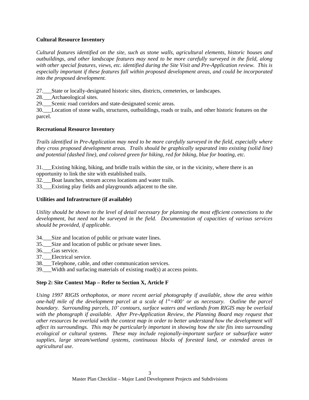### **Cultural Resource Inventory**

*Cultural features identified on the site, such as stone walls, agricultural elements, historic houses and outbuildings, and other landscape features may need to be more carefully surveyed in the field, along with other special features, views, etc. identified during the Site Visit and Pre-Application review. This is especially important if these features fall within proposed development areas, and could be incorporated into the proposed development.* 

27.\_\_\_State or locally-designated historic sites, districts, cemeteries, or landscapes.

28. Archaeological sites.

29. Scenic road corridors and state-designated scenic areas.

30.\_\_\_Location of stone walls, structures, outbuildings, roads or trails, and other historic features on the parcel.

### **Recreational Resource Inventory**

*Trails identified in Pre-Application may need to be more carefully surveyed in the field, especially where they cross proposed development areas. Trails should be graphically separated into existing (solid line) and potential (dashed line), and colored green for hiking, red for biking, blue for boating, etc.* 

31.\_\_\_Existing hiking, biking, and bridle trails within the site, or in the vicinity, where there is an opportunity to link the site with established trails.

32.\_\_\_Boat launches, stream access locations and water trails.

33. Existing play fields and playgrounds adjacent to the site.

#### **Utilities and Infrastructure (if available)**

*Utility should be shown to the level of detail necessary for planning the most efficient connections to the development, but need not be surveyed in the field. Documentation of capacities of various services should be provided, if applicable.* 

- 34.\_\_\_Size and location of public or private water lines.
- 35. Size and location of public or private sewer lines.
- 36.\_\_\_Gas service.
- 37. Electrical service.
- 38. Telephone, cable, and other communication services.

39.\_\_\_Width and surfacing materials of existing road(s) at access points.

#### **Step 2: Site Context Map – Refer to Section X, Article F**

*Using 1997 RIGIS orthophotos, or more recent aerial photography if available, show the area within one-half mile of the development parcel at a scale of l"=400' or as necessary. Outline the parcel boundary. Surrounding parcels, 10' contours, surface waters and wetlands from RIGIS may be overlaid with the photograph if available. After Pre-Application Review, the Planning Board may request that other resources be overlaid with the context map in order to better understand how the development will affect its surroundings. This may be particularly important in showing how the site fits into surrounding ecological or cultural systems. These may include regionally-important surface or subsurface water supplies, large stream/wetland systems, continuous blocks of forested land, or extended areas in agricultural use.*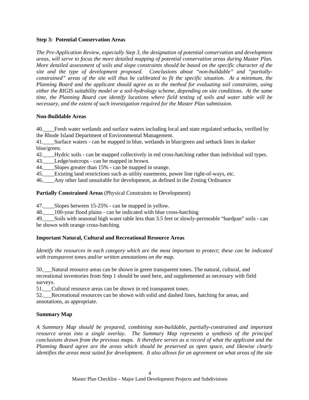#### **Step 3: Potential Conservation Areas**

*The Pre-Application Review, especially Step 3, the designation of potential conservation and development areas, will serve to focus the more detailed mapping of potential conservation areas during Master Plan. More detailed assessment of soils and slope constraints should be based on the specific character of the site and the type of development proposed. Conclusions about "non-buildable" and "partiallyconstrained" areas of the site will thus be calibrated to fit the specific situation. At a minimum, the Planning Board and the applicant should agree as to the method for evaluating soil constraints, using either the RIGIS suitability model or a soil-hydrology scheme, depending on site conditions. At the same time, the Planning Board can identify locations where field testing of soils and water table will be necessary, and the extent of such investigation required for the Master Plan submission.* 

### **Non-Buildable Areas**

40.\_\_\_\_Fresh water wetlands and surface waters including local and state regulated setbacks, verified by the Rhode Island Department of Environmental Management.

41.\_\_\_\_Surface waters - can be mapped in blue, wetlands in blue/green and setback lines in darker blue/green.

- 42.\_\_\_\_Hydric soils can be mapped collectively in red cross-hatching rather than individual soil types.
- 43.\_\_\_\_Ledge/outcrops can be mapped in brown.
- 44. Slopes greater than 15% can be mapped in orange.
- 45.\_\_\_\_Existing land restrictions such as utility easements, power line right-of-ways, etc.
- 46.\_\_\_\_Any other land unsuitable for development, as defined in the Zoning Ordinance

### **Partially Constrained Areas** (Physical Constraints to Development)

47.\_\_\_\_Slopes between 15-25% - can be mapped in yellow.

48.  $100$ -year flood plains - can be indicated with blue cross-hatching

49.\_\_\_\_Soils with seasonal high water table less than 3.5 feet or slowly-permeable "hardpan" soils - can be shown with orange cross-hatching.

## **Important Natural, Cultural and Recreational Resource Areas**

*Identify the resources in each category which are the most important to protect; these can be indicated with transparent tones and/or written annotations on the map.* 

50.\_\_\_Natural resource areas can be shown in green transparent tones. The natural, cultural, and recreational inventories from Step 1 should be used here, and supplemented as necessary with field surveys.

51. Cultural resource areas can be shown in red transparent tones.

52.\_\_\_Recreational resources can be shown with solid and dashed lines, hatching for areas, and annotations, as appropriate.

## **Summary Map**

*A Summary Map should be prepared, combining non-buildable, partially-constrained and important resource areas into a single overlay. The Summary Map represents a synthesis of the principal conclusions drawn from the previous maps. It therefore serves as a record of what the applicant and the Planning Board agree are the areas which should be preserved as open space, and likewise clearly identifies the areas most suited for development. It also allows for an agreement on what areas of the site*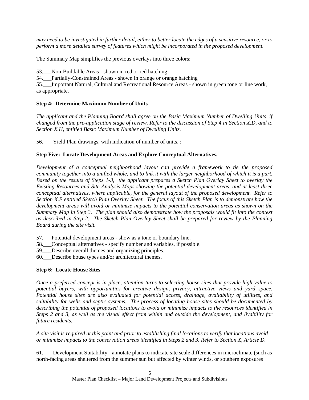*may need to be investigated in further detail, either to better locate the edges of a sensitive resource, or to perform a more detailed survey of features which might be incorporated in the proposed development.* 

The Summary Map simplifies the previous overlays into three colors:

53. Non-Buildable Areas - shown in red or red hatching

54.\_\_\_Partially-Constrained Areas - shown in orange or orange hatching

55.\_\_\_Important Natural, Cultural and Recreational Resource Areas - shown in green tone or line work, as appropriate.

## **Step 4: Determine Maximum Number of Units**

*The applicant and the Planning Board shall agree on the Basic Maximum Number of Dwelling Units, if changed from the pre-application stage of review. Refer to the discussion of Step 4 in Section X.D, and to Section X.H, entitled Basic Maximum Number of Dwelling Units.* 

56.\_\_\_ Yield Plan drawings, with indication of number of units. :

## **Step Five: Locate Development Areas and Explore Conceptual Alternatives.**

*Development of a conceptual neighborhood layout can provide a framework to tie the proposed community together into a unified whole, and to link it with the larger neighborhood of which it is a part. Based on the results of Steps 1-3, the applicant prepares a Sketch Plan Overlay Sheet to overlay the Existing Resources and Site Analysis Maps showing the potential development areas, and at least three conceptual alternatives, where applicable, for the general layout of the proposed development. Refer to Section X.E entitled Sketch Plan Overlay Sheet. The focus of this Sketch Plan is to demonstrate how the development areas will avoid or minimize impacts to the potential conservation areas as shown on the Summary Map in Step 3. The plan should also demonstrate how the proposals would fit into the context as described in Step 2. The Sketch Plan Overlay Sheet shall be prepared for review by the Planning Board during the site visit.* 

57. Potential development areas - show as a tone or boundary line.

58.\_\_\_Conceptual alternatives - specify number and variables, if possible.

59. Describe overall themes and organizing principles.

60.\_\_\_Describe house types and/or architectural themes.

## **Step 6: Locate House Sites**

*Once a preferred concept is in place, attention turns to selecting house sites that provide high value to potential buyers, with opportunities for creative design, privacy, attractive views and yard space. Potential house sites are also evaluated for potential access, drainage, availability of utilities, and suitability for wells and septic systems. The process of locating house sites should be documented by describing the potential of proposed locations to avoid or minimize impacts to the resources identified in Steps 2 and 3, as well as the visual effect from within and outside the development, and livability for future residents.* 

*A site visit is required at this point and prior to establishing final locations to verify that locations avoid or minimize impacts to the conservation areas identified in Steps 2 and 3. Refer to Section X, Article D.* 

61.\_\_\_ Development Suitability - annotate plans to indicate site scale differences in microclimate (such as north-facing areas sheltered from the summer sun but affected by winter winds, or southern exposures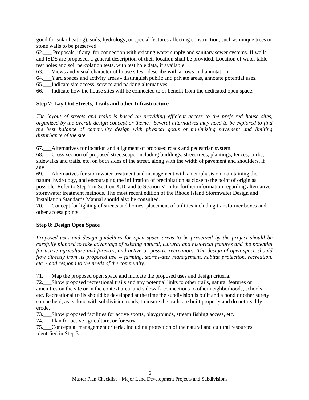good for solar heating), soils, hydrology, or special features affecting construction, such as unique trees or stone walls to be preserved.

62.\_\_\_ Proposals, if any, for connection with existing water supply and sanitary sewer systems. If wells and ISDS are proposed, a general description of their location shall be provided. Location of water table test holes and soil percolation tests, with test hole data, if available.

63.\_\_\_Views and visual character of house sites - describe with arrows and annotation.

64.\_\_\_Yard spaces and activity areas - distinguish public and private areas, annotate potential uses.

65.\_\_\_Indicate site access, service and parking alternatives.

66.\_\_\_Indicate how the house sites will be connected to or benefit from the dedicated open space.

#### **Step 7: Lay Out Streets, Trails and other Infrastructure**

*The layout of streets and trails is based on providing efficient access to the preferred house sites, organized by the overall design concept or theme. Several alternatives may need to be explored to find the best balance of community design with physical goals of minimizing pavement and limiting disturbance of the site.* 

67.\_\_\_Alternatives for location and alignment of proposed roads and pedestrian system.

68.\_\_\_Cross-section of proposed streetscape, including buildings, street trees, plantings, fences, curbs, sidewalks and trails, etc. on both sides of the street, along with the width of pavement and shoulders, if any.

69.\_\_\_Alternatives for stormwater treatment and management with an emphasis on maintaining the natural hydrology, and encouraging the infiltration of precipitation as close to the point of origin as possible. Refer to Step 7 in Section X.D, and to Section VI.6 for further information regarding alternative stormwater treatment methods. The most recent edition of the Rhode Island Stormwater Design and Installation Standards Manual should also be consulted.

70.\_\_\_Concept for lighting of streets and homes, placement of utilities including transformer boxes and other access points.

#### **Step 8: Design Open Space**

*Proposed uses and design guidelines for open space areas to be preserved by the project should be carefully planned to take advantage of existing natural, cultural and historical features and the potential for active agriculture and forestry, and active or passive recreation. The design of open space should flow directly from its proposed use -- farming, stormwater management, habitat protection, recreation, etc. - and respond to the needs of the community.* 

71.\_\_\_Map the proposed open space and indicate the proposed uses and design criteria.

72.\_\_\_Show proposed recreational trails and any potential links to other trails, natural features or amenities on the site or in the context area, and sidewalk connections to other neighborhoods, schools, etc. Recreational trails should be developed at the time the subdivision is built and a bond or other surety can be held, as is done with subdivision roads, to insure the trails are built properly and do not readily erode.

73.\_\_\_Show proposed facilities for active sports, playgrounds, stream fishing access, etc.

74.\_\_\_Plan for active agriculture, or forestry.

75.\_\_\_Conceptual management criteria, including protection of the natural and cultural resources identified in Step 3.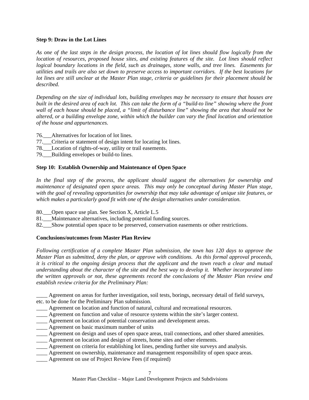#### **Step 9: Draw in the Lot Lines**

*As one of the last steps in the design process, the location of lot lines should flow logically from the location of resources, proposed house sites, and existing features of the site. Lot lines should reflect logical boundary locations in the field, such as drainages, stone walls, and tree lines. Easements for utilities and trails are also set down to preserve access to important corridors. If the best locations for lot lines are still unclear at the Master Plan stage, criteria or guidelines for their placement should be described.* 

*Depending on the size of individual lots, building envelopes may be necessary to ensure that houses are built in the desired area of each lot. This can take the form of a "build-to line" showing where the front wall of each house should be placed, a "limit of disturbance line" showing the area that should not be altered, or a building envelope zone, within which the builder can vary the final location and orientation of the house and appurtenances.* 

- 76. Alternatives for location of lot lines.
- 77.\_\_\_Criteria or statement of design intent for locating lot lines.
- 78. Location of rights-of-way, utility or trail easements.
- 79. Building envelopes or build-to lines.

#### **Step 10: Establish Ownership and Maintenance of Open Space**

*In the final step of the process, the applicant should suggest the alternatives for ownership and maintenance of designated open space areas. This may only be conceptual during Master Plan stage, with the goal of revealing opportunities for ownership that may take advantage of unique site features, or which makes a particularly good fit with one of the design alternatives under consideration.* 

80.\_\_\_Open space use plan. See Section X, Article L.5

- 81.\_\_\_Maintenance alternatives, including potential funding sources.
- 82.\_\_\_Show potential open space to be preserved, conservation easements or other restrictions.

#### **Conclusions/outcomes from Master Plan Review**

*Following certification of a complete Master Plan submission, the town has 120 days to approve the Master Plan as submitted, deny the plan, or approve with conditions. As this formal approval proceeds, it is critical to the ongoing design process that the applicant and the town reach a clear and mutual understanding about the character of the site and the best way to develop it. Whether incorporated into the written approvals or not, these agreements record the conclusions of the Master Plan review and establish review criteria for the Preliminary Plan:* 

Agreement on areas for further investigation, soil tests, borings, necessary detail of field surveys, etc. to be done for the Preliminary Plan submission.

- Agreement on location and function of natural, cultural and recreational resources.
- \_\_\_\_ Agreement on function and value of resource systems within the site's larger context.
- \_\_\_\_ Agreement on location of potential conservation and development areas.
- \_\_\_\_ Agreement on basic maximum number of units
- \_\_\_\_ Agreement on design and uses of open space areas, trail connections, and other shared amenities.
- \_\_\_\_ Agreement on location and design of streets, home sites and other elements.
- \_\_\_\_ Agreement on criteria for establishing lot lines, pending further site surveys and analysis.
- \_\_\_\_ Agreement on ownership, maintenance and management responsibility of open space areas.
- Agreement on use of Project Review Fees (if required)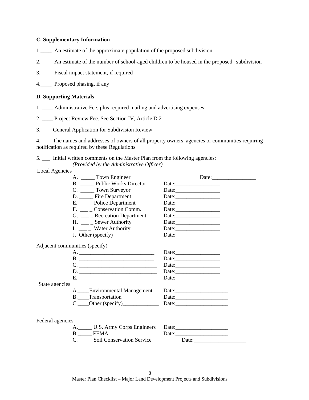#### **C. Supplementary Information**

- 1.\_\_\_\_ An estimate of the approximate population of the proposed subdivision
- 2.\_\_\_\_ An estimate of the number of school-aged children to be housed in the proposed subdivision
- 3.\_\_\_\_ Fiscal impact statement, if required

4.\_\_\_\_ Proposed phasing, if any

#### **D. Supporting Materials**

- 1. \_\_\_\_ Administrative Fee, plus required mailing and advertising expenses
- 2. \_\_\_\_ Project Review Fee. See Section IV, Article D.2
- 3.\_\_\_\_ General Application for Subdivision Review

4.\_\_\_\_ The names and addresses of owners of all property owners, agencies or communities requiring notification as required by these Regulations

5. \_\_\_ Initial written comments on the Master Plan from the following agencies: *(Provided by the Administrative Officer)*

Local Agencies

| A. _______ Town Engineer       | Date: |
|--------------------------------|-------|
| B. Public Works Director       |       |
| C. ______ Town Surveyor        |       |
| D. Fire Department             |       |
| E. ____ Police Department      |       |
| F. Conservation Comm.          |       |
| G. ___ Recreation Department   |       |
| H. ____ _ Sewer Authority      |       |
| I. $\_\_\_\_$ Water Authority  |       |
|                                |       |
| Adjacent communities (specify) |       |
|                                |       |
| B.                             | Date: |
|                                |       |
|                                |       |
|                                | Date: |
| State agencies                 |       |
| A. Environmental Management    |       |
| B. Transportation              |       |
| $C.$ Other (specify)           |       |
|                                |       |
| Federal agencies               |       |
| A. U.S. Army Corps Engineers   |       |
| B. FEMA                        | Date: |
| C. Soil Conservation Service   | Date: |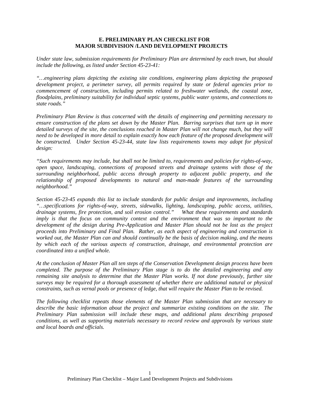#### **E. PRELIMINARY PLAN CHECKLIST FOR MAJOR SUBDIVISION /LAND DEVELOPMENT PROJECTS**

*Under state law, submission requirements for Preliminary Plan are determined by each town, but should include the following, as listed under Section 45-23-41:* 

*"…engineering plans depicting the existing site conditions, engineering plans depicting the proposed development project, a perimeter survey, all permits required by state or federal agencies prior to commencement of construction, including permits related to freshwater wetlands, the coastal zone, floodplains, preliminary suitability for individual septic systems, public water systems, and connections to state roads."* 

*Preliminary Plan Review is thus concerned with the details of engineering and permitting necessary to ensure construction of the plans set down by the Master Plan. Barring surprises that turn up in more detailed surveys of the site, the conclusions reached in Master Plan will not change much, but they will need to be developed in more detail to explain exactly how each feature of the proposed development will be constructed. Under Section 45-23-44, state law lists requirements towns may adopt for physical design:* 

*"Such requirements may include, but shall not be limited to, requirements and policies for rights-of-way, open space, landscaping, connections of proposed streets and drainage systems with those of the surrounding neighborhood, public access through property to adjacent public property, and the relationship of proposed developments to natural and man-made features of the surrounding neighborhood."* 

*Section 45-23-45 expands this list to include standards for public design and improvements, including "…specifications for rights-of-way, streets, sidewalks, lighting, landscaping, public access, utilities, drainage systems, fire protection, and soil erosion control." What these requirements and standards imply is that the focus on community context and the environment that was so important to the development of the design during Pre-Application and Master Plan should not be lost as the project proceeds into Preliminary and Final Plan. Rather, as each aspect of engineering and construction is worked out, the Master Plan can and should continually be the basis of decision making, and the means by which each of the various aspects of construction, drainage, and environmental protection are coordinated into a unified whole.* 

*At the conclusion of Master Plan all ten steps of the Conservation Development design process have been completed. The purpose of the Preliminary Plan stage is to do the detailed engineering and any remaining site analysis to determine that the Master Plan works. If not done previously, further site surveys may be required for a thorough assessment of whether there are additional natural or physical constraints, such as vernal pools or presence of ledge, that will require the Master Plan to be revised.* 

*The following checklist repeats those elements of the Master Plan submission that are necessary to describe the basic information about the project and summarize existing conditions on the site. The Preliminary Plan submission will include these maps, and additional plans describing proposed conditions, as well as supporting materials necessary to record review and approvals by various state and local boards and officials.*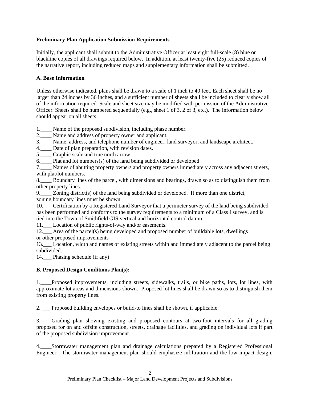### **Preliminary Plan Application Submission Requirements**

Initially, the applicant shall submit to the Administrative Officer at least eight full-scale (8) blue or blackline copies of all drawings required below. In addition, at least twenty-five (25) reduced copies of the narrative report, including reduced maps and supplementary information shall be submitted.

### **A. Base Information**

Unless otherwise indicated, plans shall be drawn to a scale of 1 inch to 40 feet. Each sheet shall be no larger than 24 inches by 36 inches, and a sufficient number of sheets shall be included to clearly show all of the information required. Scale and sheet size may be modified with permission of the Administrative Officer. Sheets shall be numbered sequentially (e.g., sheet 1 of 3, 2 of 3, etc.). The information below should appear on all sheets.

1. Name of the proposed subdivision, including phase number.

2.\_\_\_\_ Name and address of property owner and applicant.

3.\_\_\_\_ Name, address, and telephone number of engineer, land surveyor, and landscape architect.

4. Date of plan preparation, with revision dates.

5.\_\_\_\_ Graphic scale and true north arrow.

6.\_\_\_\_ Plat and lot numbers(s) of the land being subdivided or developed

7.\_\_\_\_ Names of abutting property owners and property owners immediately across any adjacent streets, with plat/lot numbers.

8.\_\_\_\_ Boundary lines of the parcel, with dimensions and bearings, drawn so as to distinguish them from other property lines.

9.\_\_\_\_ Zoning district(s) of the land being subdivided or developed. If more than one district, zoning boundary lines must be shown

10.\_\_\_ Certification by a Registered Land Surveyor that a perimeter survey of the land being subdivided has been performed and conforms to the survey requirements to a minimum of a Class I survey, and is tied into the Town of Smithfield GIS vertical and horizontal control datum.

11.\_\_\_ Location of public rights-of-way and/or easements.

12.\_\_\_ Area of the parcel(s) being developed and proposed number of buildable lots, dwellings or other proposed improvements

13.\_\_\_ Location, width and names of existing streets within and immediately adjacent to the parcel being subdivided.

14. Phasing schedule (if any)

## **B. Proposed Design Conditions Plan(s):**

1.\_\_\_\_Proposed improvements, including streets, sidewalks, trails, or bike paths, lots, lot lines, with approximate lot areas and dimensions shown. Proposed lot lines shall be drawn so as to distinguish them from existing property lines.

2. \_\_\_ Proposed building envelopes or build-to lines shall be shown, if applicable.

3.\_\_\_\_Grading plan showing existing and proposed contours at two-foot intervals for all grading proposed for on and offsite construction, streets, drainage facilities, and grading on individual lots if part of the proposed subdivision improvement.

4.\_\_\_\_Stormwater management plan and drainage calculations prepared by a Registered Professional Engineer. The stormwater management plan should emphasize infiltration and the low impact design,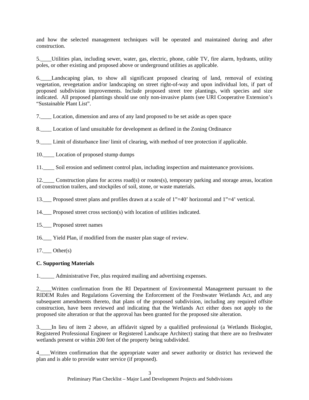and how the selected management techniques will be operated and maintained during and after construction.

5.\_\_\_\_Utilities plan, including sewer, water, gas, electric, phone, cable TV, fire alarm, hydrants, utility poles, or other existing and proposed above or underground utilities as applicable.

6.\_\_\_\_Landscaping plan, to show all significant proposed clearing of land, removal of existing vegetation, revegetation and/or landscaping on street right-of-way and upon individual lots, if part of proposed subdivision improvements. Include proposed street tree plantings, with species and size indicated. All proposed plantings should use only non-invasive plants (see URI Cooperative Extension's "Sustainable Plant List".

7.\_\_\_\_ Location, dimension and area of any land proposed to be set aside as open space

8.\_\_\_\_ Location of land unsuitable for development as defined in the Zoning Ordinance

9.\_\_\_\_ Limit of disturbance line/ limit of clearing, with method of tree protection if applicable.

10. Location of proposed stump dumps

11. Soil erosion and sediment control plan, including inspection and maintenance provisions.

12.\_\_\_\_ Construction plans for access road(s) or routes(s), temporary parking and storage areas, location of construction trailers, and stockpiles of soil, stone, or waste materials.

13.\_\_\_ Proposed street plans and profiles drawn at a scale of 1"=40' horizontal and 1"=4' vertical.

14. Proposed street cross section(s) with location of utilities indicated.

15.\_\_\_ Proposed street names

16.\_\_\_ Yield Plan, if modified from the master plan stage of review.

17. Other(s)

#### **C. Supporting Materials**

1.\_\_\_\_\_ Administrative Fee, plus required mailing and advertising expenses.

2.\_\_\_\_Written confirmation from the RI Department of Environmental Management pursuant to the RIDEM Rules and Regulations Governing the Enforcement of the Freshwater Wetlands Act, and any subsequent amendments thereto, that plans of the proposed subdivision, including any required offsite construction, have been reviewed and indicating that the Wetlands Act either does not apply to the proposed site alteration or that the approval has been granted for the proposed site alteration.

3.\_\_\_\_In lieu of item 2 above, an affidavit signed by a qualified professional (a Wetlands Biologist, Registered Professional Engineer or Registered Landscape Architect) stating that there are no freshwater wetlands present or within 200 feet of the property being subdivided.

4\_\_\_\_Written confirmation that the appropriate water and sewer authority or district has reviewed the plan and is able to provide water service (if proposed).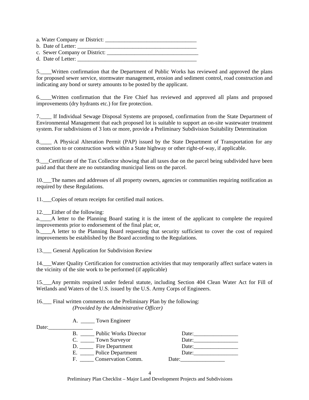a. Water Company or District: \_\_\_\_\_\_\_\_\_\_\_\_\_\_\_\_\_\_\_\_\_\_\_\_\_\_\_\_\_\_\_\_\_ b. Date of Letter: c. Sewer Company or District: \_\_\_\_\_\_\_\_\_\_\_\_\_\_\_\_\_\_\_\_\_\_\_\_\_\_\_\_\_\_\_\_\_

d. Date of Letter:

5.\_\_\_\_Written confirmation that the Department of Public Works has reviewed and approved the plans for proposed sewer service, stormwater management, erosion and sediment control, road construction and indicating any bond or surety amounts to be posted by the applicant.

6.\_\_\_\_Written confirmation that the Fire Chief has reviewed and approved all plans and proposed improvements (dry hydrants etc.) for fire protection.

7.\_\_\_\_ If Individual Sewage Disposal Systems are proposed, confirmation from the State Department of Environmental Management that each proposed lot is suitable to support an on-site wastewater treatment system. For subdivisions of 3 lots or more, provide a Preliminary Subdivision Suitability Determination

8. A Physical Alteration Permit (PAP) issued by the State Department of Transportation for any connection to or construction work within a State highway or other right-of-way, if applicable.

9.\_\_\_Certificate of the Tax Collector showing that all taxes due on the parcel being subdivided have been paid and that there are no outstanding municipal liens on the parcel.

10.\_\_\_The names and addresses of all property owners, agencies or communities requiring notification as required by these Regulations.

11.\_\_\_Copies of return receipts for certified mail notices.

12. Either of the following:

a.\_\_\_\_A letter to the Planning Board stating it is the intent of the applicant to complete the required improvements prior to endorsement of the final plat; or,

b.\_\_\_\_A letter to the Planning Board requesting that security sufficient to cover the cost of required improvements be established by the Board according to the Regulations.

13. General Application for Subdivision Review

14.\_\_\_Water Quality Certification for construction activities that may temporarily affect surface waters in the vicinity of the site work to be performed (if applicable)

15.\_\_\_Any permits required under federal statute, including Section 404 Clean Water Act for Fill of Wetlands and Waters of the U.S. issued by the U.S. Army Corps of Engineers.

16.\_\_\_ Final written comments on the Preliminary Plan by the following: *(Provided by the Administrative Officer)* 

|  |  | <b>Town Engineer</b> |
|--|--|----------------------|
|--|--|----------------------|

| Date: |                                 |       |
|-------|---------------------------------|-------|
|       | <b>Public Works Director</b>    | Date: |
|       | Town Surveyor                   | Date: |
|       | Fire Department                 | Date: |
|       | <b>Police Department</b><br>Е.  | Date: |
|       | <b>Conservation Comm.</b><br>н. | Date: |

4

Preliminary Plan Checklist – Major Land Development Projects and Subdivisions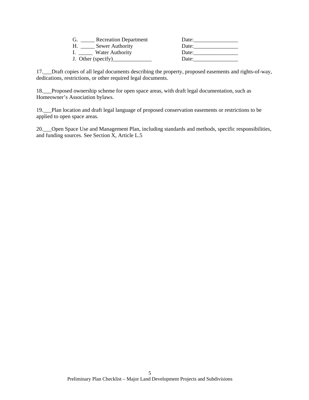| <b>Recreation Department</b> | Date: |
|------------------------------|-------|
| Sewer Authority              | Date: |
| Water Authority              | Date: |
|                              | Date: |

17.\_\_\_Draft copies of all legal documents describing the property, proposed easements and rights-of-way, dedications, restrictions, or other required legal documents.

18.\_\_\_Proposed ownership scheme for open space areas, with draft legal documentation, such as Homeowner's Association bylaws.

19.\_\_\_Plan location and draft legal language of proposed conservation easements or restrictions to be applied to open space areas.

20.\_\_\_Open Space Use and Management Plan, including standards and methods, specific responsibilities, and funding sources. See Section X, Article L.5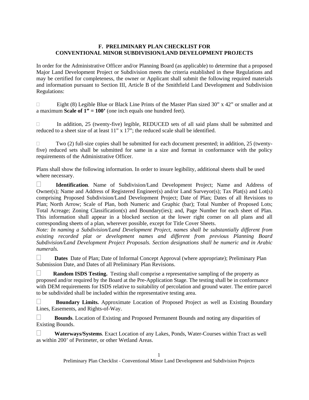#### **F. PRELIMINARY PLAN CHECKLIST FOR CONVENTIONAL MINOR SUBDIVISION/LAND DEVELOPMENT PROJECTS**

In order for the Administrative Officer and/or Planning Board (as applicable) to determine that a proposed Major Land Development Project or Subdivision meets the criteria established in these Regulations and may be certified for completeness, the owner or Applicant shall submit the following required materials and information pursuant to Section III, Article B of the Smithfield Land Development and Subdivision Regulations:

Eight (8) Legible Blue or Black Line Prints of the Master Plan sized 30" x 42" or smaller and at a maximum **Scale of 1" = 100'** (one inch equals one hundred feet).

 $\Box$  In addition, 25 (twenty-five) legible, REDUCED sets of all said plans shall be submitted and reduced to a sheet size of at least 11" x 17"; the reduced scale shall be identified.

 $\Box$  Two (2) full-size copies shall be submitted for each document presented; in addition, 25 (twentyfive) reduced sets shall be submitted for same in a size and format in conformance with the policy requirements of the Administrative Officer.

Plans shall show the following information. In order to insure legibility, additional sheets shall be used where necessary.

 **Identification**. Name of Subdivision/Land Development Project; Name and Address of Owner(s); Name and Address of Registered Engineer(s) and/or Land Surveyor(s); Tax Plat(s) and Lot(s) comprising Proposed Subdivision/Land Development Project; Date of Plan; Dates of all Revisions to Plan; North Arrow; Scale of Plan, both Numeric and Graphic (bar); Total Number of Proposed Lots; Total Acreage; Zoning Classification(s) and Boundary(ies); and, Page Number for each sheet of Plan. This information shall appear in a blocked section at the lower right corner on all plans and all corresponding sheets of a plan, wherever possible, except for Title Cover Sheets.

*Note: In naming a Subdivision/Land Development Project, names shall be substantially different from existing recorded plat or development names and different from previous Planning Board Subdivision/Land Development Project Proposals. Section designations shall be numeric and in Arabic numerals.* 

Dates Date of Plan; Date of Informal Concept Approval (where appropriate); Preliminary Plan Submission Date, and Dates of all Preliminary Plan Revisions.

**Random ISDS Testing.** Testing shall comprise a representative sampling of the property as proposed and/or required by the Board at the Pre-Application Stage. The testing shall be in conformance with DEM requirements for ISDS relative to suitability of percolation and ground water. The entire parcel to be subdivided shall be included within the representative testing area.

 **Boundary Limits.** Approximate Location of Proposed Project as well as Existing Boundary Lines, Easements, and Rights-of-Way.

 **Bounds**. Location of Existing and Proposed Permanent Bounds and noting any disparities of Existing Bounds.

 **Waterways/Systems**. Exact Location of any Lakes, Ponds, Water-Courses within Tract as well as within 200' of Perimeter, or other Wetland Areas.

Preliminary Plan Checklist - Conventional Minor Land Development and Subdivision Projects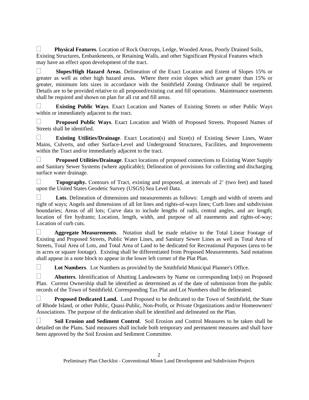**Physical Features**. Location of Rock Outcrops, Ledge, Wooded Areas, Poorly Drained Soils, Existing Structures, Embankments, or Retaining Walls, and other Significant Physical Features which may have an effect upon development of the tract.

 **Slopes/High Hazard Areas**. Delineation of the Exact Location and Extent of Slopes 15% or greater as well as other high hazard areas. Where there exist slopes which are greater than 15% or greater, minimum lots sizes in accordance with the Smithfield Zoning Ordinance shall be required. Details are to be provided relative to all proposed/existing cut and fill operations. Maintenance easements shall be required and shown on plan for all cut and fill areas.

 **Existing Public Ways**. Exact Location and Names of Existing Streets or other Public Ways within or immediately adjacent to the tract.

 **Proposed Public Ways**. Exact Location and Width of Proposed Streets. Proposed Names of Streets shall be identified.

 **Existing Utilities/Drainage**. Exact Location(s) and Size(s) of Existing Sewer Lines, Water Mains, Culverts, and other Surface-Level and Underground Structures, Facilities, and Improvements within the Tract and/or immediately adjacent to the tract.

**Proposed Utilities/Drainage.** Exact locations of proposed connections to Existing Water Supply and Sanitary Sewer Systems (where applicable); Delineation of provisions for collecting and discharging surface water drainage.

**Topography.** Contours of Tract, existing and proposed, at intervals of 2' (two feet) and based upon the United States Geodetic Survey (USGS) Sea Level Data.

 **Lots**. Delineation of dimensions and measurements as follows: Length and width of streets and right of ways; Angels and dimensions of all lot lines and rights-of-ways lines; Curb lines and subdivision boundaries; Areas of all lots; Curve data to include lengths of radii, central angles, and arc length; location of fire hydrants; Location, length, width, and purpose of all easements and rights-of-way; Location of curb cuts.

 **Aggregate Measurements**. Notation shall be made relative to the Total Linear Footage of Existing and Proposed Streets, Public Water Lines, and Sanitary Sewer Lines as well as Total Area of Streets, Total Area of Lots, and Total Area of Land to be dedicated for Recreational Purposes (area to be in acres or square footage). Existing shall be differentiated from Proposed Measurements. Said notations shall appear in a note block to appear in the lower left corner of the Plat Plan.

**Lot Numbers**. Lot Numbers as provided by the Smithfield Municipal Planner's Office.

**Abutters**. Identification of Abutting Landowners by Name on corresponding lot(s) on Proposed Plan. Current Ownership shall be identified as determined as of the date of submission from the public records of the Town of Smithfield. Corresponding Tax Plat and Lot Numbers shall be delineated.

**Proposed Dedicated Land.** Land Proposed to be dedicated to the Town of Smithfield, the State of Rhode Island, or other Public, Quasi-Public, Non-Profit, or Private Organizations and/or Homeowners' Associations. The purpose of the dedication shall be identified and delineated on the Plan.

 **Soil Erosion and Sediment Control**. Soil Erosion and Control Measures to be taken shall be detailed on the Plans. Said measures shall include both temporary and permanent measures and shall have been approved by the Soil Erosion and Sediment Committee.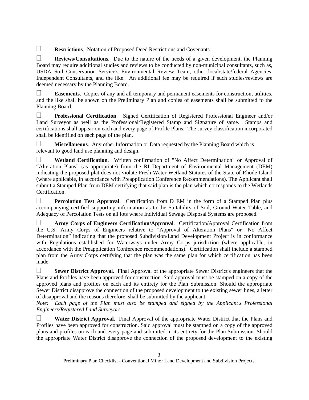**Restrictions.** Notation of Proposed Deed Restrictions and Covenants.

 **Reviews/Consultations**. Due to the nature of the needs of a given development, the Planning Board may require additional studies and reviews to be conducted by non-municipal consultants, such as, USDA Soil Conservation Service's Environmental Review Team, other local/state/federal Agencies, Independent Consultants, and the like. An additional fee may be required if such studies/reviews are deemed necessary by the Planning Board.

 **Easements**. Copies of any and all temporary and permanent easements for construction, utilities, and the like shall be shown on the Preliminary Plan and copies of easements shall be submitted to the Planning Board.

 **Professional Certification**. Signed Certification of Registered Professional Engineer and/or Land Surveyor as well as the Professional/Registered Stamp and Signature of same. Stamps and certifications shall appear on each and every page of Profile Plans. The survey classification incorporated shall be identified on each page of the plan.

**Miscellaneous**. Any other Information or Data requested by the Planning Board which is relevant to good land use planning and design.

 **Wetland Certification**. Written confirmation of "No Affect Determination" or Approval of "Alteration Plans" (as appropriate) from the RI Department of Environmental Management (DEM) indicating the proposed plat does not violate Fresh Water Wetland Statutes of the State of Rhode Island (where applicable, in accordance with Preapplication Conference Recommendations). The Applicant shall submit a Stamped Plan from DEM certifying that said plan is the plan which corresponds to the Wetlands Certification.

 **Percolation Test Approval**. Certification from D EM in the form of a Stamped Plan plus accompanying certified supporting information as to the Suitability of Soil, Ground Water Table, and Adequacy of Percolation Tests on all lots where Individual Sewage Disposal Systems are proposed.

 **Army Corps of Engineers Certification/Approval**. Certification/Approval Certification from the U.S. Army Corps of Engineers relative to "Approval of Alteration Plans" or "No Affect Determination" indicating that the proposed Subdivision/Land Development Project is in conformance with Regulations established for Waterways under Army Corps jurisdiction (where applicable, in accordance with the Preapplication Conference recommendations). Certification shall include a stamped plan from the Army Corps certifying that the plan was the same plan for which certification has been made.

 **Sewer District Approval**. Final Approval of the appropriate Sewer District's engineers that the Plans and Profiles have been approved for construction. Said approval must be stamped on a copy of the approved plans and profiles on each and its entirety for the Plan Submission. Should the appropriate Sewer District disapprove the connection of the proposed development to the existing sewer lines, a letter of disapproval and the reasons therefore, shall be submitted by the applicant.

*Note:* Each page of the Plan must also be stamped and signed by the Applicant's Professional *Engineers/Registered Land Surveyors.* 

 **Water District Approval**. Final Approval of the appropriate Water District that the Plans and Profiles have been approved for construction. Said approval must be stamped on a copy of the approved plans and profiles on each and every page and submitted in its entirety for the Plan Submission. Should the appropriate Water District disapprove the connection of the proposed development to the existing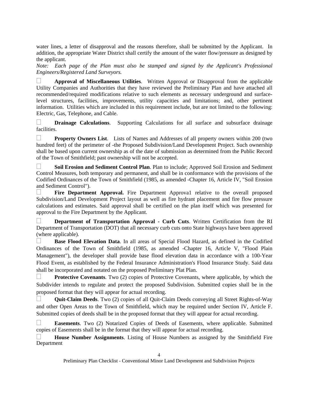water lines, a letter of disapproval and the reasons therefore, shall be submitted by the Applicant. In addition, the appropriate Water District shall certify the amount of the water flow/pressure as designed by the applicant.

*Note: Each page of the Plan must also be stamped and signed by the Applicant's Professional Engineers/Registered Land Surveyors.* 

 **Approval of Miscellaneous Utilities**. Written Approval or Disapproval from the applicable Utility Companies and Authorities that they have reviewed the Preliminary Plan and have attached all recommended/required modifications relative to such elements as necessary underground and surfacelevel structures, facilities, improvements, utility capacities and limitations; and, other pertinent information. Utilities which are included in this requirement include, but are not limited to the following: Electric, Gas, Telephone, and Cable.

**Drainage Calculations.** Supporting Calculations for all surface and subsurface drainage facilities.

**Property Owners List.** Lists of Names and Addresses of all property owners within 200 (two hundred feet) of the perimeter of -the Proposed Subdivision/Land Development Project. Such ownership shall be based upon current ownership as of the date of submission as determined from the Public Record of the Town of Smithfield; past ownership will not be accepted.

 **Soil Erosion and Sediment Control Plan**. Plan to include; Approved Soil Erosion and Sediment Control Measures, both temporary and permanent, and shall be in conformance with the provisions of the Codified Ordinances of the Town of Smithfield (1985, as amended -Chapter 16, Article IV, "Soil Erosion and Sediment Control").

**Fire Department Approval.** Fire Department Approval relative to the overall proposed Subdivision/Land Development Project layout as well as fire hydrant placement and fire flow pressure calculations and estimates. Said approval shall be certified on the plan itself which was presented for approval to the Fire Department by the Applicant.

 **Department of Transportation Approval - Curb Cuts**. Written Certification from the RI Department of Transportation (DOT) that all necessary curb cuts onto State highways have been approved (where applicable).

 **Base Flood Elevation Data**. In all areas of Special Flood Hazard, as defined in the Codified Ordinances of the Town of Smithfield (1985, as amended -Chapter 16, Article V, "Flood Plain Management"), the developer shall provide base flood elevation data in accordance with a 100-Year Flood Event, as established by the Federal Insurance Administration's Flood Insurance Study. Said data shall be incorporated and notated on the proposed Preliminary Plat Plan.

**Protective Covenants**. Two (2) copies of Protective Covenants, where applicable, by which the Subdivider intends to regulate and protect the proposed Subdivision. Submitted copies shall be in the proposed format that they will appear for actual recording.

 **Quit-Claim Deeds**. Two (2) copies of all Quit-Claim Deeds conveying all Street Rights-of-Way and other Open Areas to the Town of Smithfield, which may be required under Section IV, Article F. Submitted copies of deeds shall be in the proposed format that they will appear for actual recording.

 **Easements**. Two (2) Notarized Copies of Deeds of Easements, where applicable. Submitted copies of Easements shall be in the format that they will appear for actual recording.

 **House Number Assignments**. Listing of House Numbers as assigned by the Smithfield Fire Department

Preliminary Plan Checklist - Conventional Minor Land Development and Subdivision Projects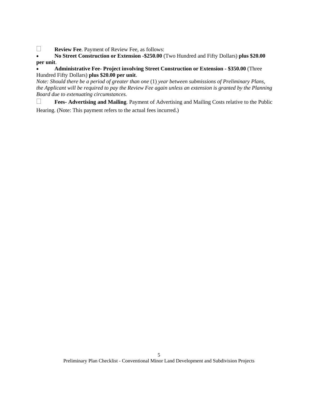**Review Fee. Payment of Review Fee, as follows:** 

 **No Street Construction or Extension -\$250.00** (Two Hundred and Fifty Dollars) **plus \$20.00 per unit**.

# **Administrative Fee- Project involving Street Construction or Extension - \$350.00** (Three Hundred Fifty Dollars) **plus \$20.00 per unit**.

*Note: Should there be a period of greater than one* (1) *year between submissions of Preliminary Plans, the Applicant will be required to pay the Review Fee again unless an extension is granted by the Planning Board due to extenuating circumstances.* 

**Fees- Advertising and Mailing**. Payment of Advertising and Mailing Costs relative to the Public Hearing. (Note: This payment refers to the actual fees incurred.)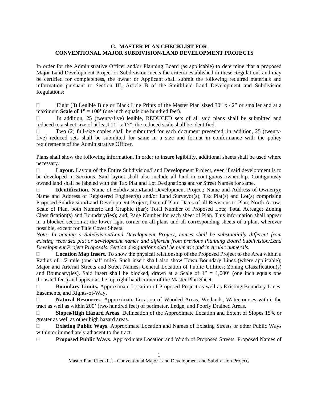#### **G. MASTER PLAN CHECKLIST FOR CONVENTIONAL MAJOR SUBDIVISION/LAND DEVELOPMENT PROJECTS**

In order for the Administrative Officer and/or Planning Board (as applicable) to determine that a proposed Major Land Development Project or Subdivision meets the criteria established in these Regulations and may be certified for completeness, the owner or Applicant shall submit the following required materials and information pursuant to Section III, Article B of the Smithfield Land Development and Subdivision Regulations:

Eight (8) Legible Blue or Black Line Prints of the Master Plan sized 30" x 42" or smaller and at a maximum **Scale of**  $1" = 100'$  (one inch equals one hundred feet).

 $\Box$  In addition, 25 (twenty-five) legible, REDUCED sets of all said plans shall be submitted and reduced to a sheet size of at least 11" x 17"; the reduced scale shall be identified.

 $\Box$  Two (2) full-size copies shall be submitted for each document presented; in addition, 25 (twentyfive) reduced sets shall be submitted for same in a size and format in conformance with the policy requirements of the Administrative Officer.

Plans shall show the following information. In order to insure legibility, additional sheets shall be used where necessary.

□ **Layout.** Layout of the Entire Subdivision/Land Development Project, even if said development is to be developed in Sections. Said layout shall also include all land in contiguous ownership. Contiguously owned land shall be labeled with the Tax Plat and Lot Designations and/or Street Names for same.

□ **Identification**. Name of Subdivision/Land Development Project; Name and Address of Owner(s); Name and Address of Registered Engineer(s) and/or Land Surveyor(s); Tax Plat(s) and Lot(s) comprising Proposed Subdivision/Land Development Project; Date of Plan; Dates of all Revisions to Plan; North Arrow; Scale of Plan, both Numeric and Graphic (bar); Total Number of Proposed Lots; Total Acreage; Zoning Classification(s) and Boundary(ies); and, Page Number for each sheet of Plan. This information shall appear in a blocked section at the lower right corner on all plans and all corresponding sheets of a plan, wherever possible, except for Title Cover Sheets.

*Note: In naming a Subdivision/Land Development Project, names shall be substantially different from existing recorded plat or development names and different from previous Planning Board Subdivision/Land Development Project Proposals. Section designations shall be numeric and in Arabic numerals.* 

**Location Map Insert**. To show the physical relationship of the Proposed Project to the Area within a Radius of 1/2 mile (one-half mile). Such insert shall also show Town Boundary Lines (where applicable); Major and Arterial Streets and Street Names; General Location of Public Utilities; Zoning Classification(s) and Boundary(ies). Said insert shall be blocked, drawn at a Scale of  $1'' = 1,000'$  (one inch equals one thousand feet) and appear at the top right-hand corner of the Master Plan Sheet.

**Boundary Limits.** Approximate Location of Proposed Project as well as Existing Boundary Lines, Easements, and Rights-of-Way.

 **Natural Resources**. Approximate Location of Wooded Areas, Wetlands, Watercourses within the tract as well as within 200' (two hundred feet) of perimeter, Ledge, and Poorly Drained Areas.

 **Slopes/High Hazard Areas**. Delineation of the Approximate Location and Extent of Slopes 15% or greater as well as other high hazard areas.

 **Existing Public Ways**. Approximate Location and Names of Existing Streets or other Public Ways within or immediately adjacent to the tract.

**Proposed Public Ways.** Approximate Location and Width of Proposed Streets. Proposed Names of

Master Plan Checklist - Conventional Major Land Development and Subdivision Projects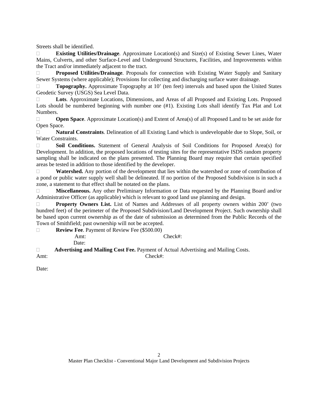Streets shall be identified.

 **Existing Utilities/Drainage**. Approximate Location(s) and Size(s) of Existing Sewer Lines, Water Mains, Culverts, and other Surface-Level and Underground Structures, Facilities, and Improvements within the Tract and/or immediately adjacent to the tract.

 **Proposed Utilities/Drainage**. Proposals for connection with Existing Water Supply and Sanitary Sewer Systems (where applicable); Provisions for collecting and discharging surface water drainage.

□ **Topography.** Approximate Topography at 10' (ten feet) intervals and based upon the United States Geodetic Survey (USGS) Sea Level Data.

□ Lots. Approximate Locations, Dimensions, and Areas of all Proposed and Existing Lots. Proposed Lots should be numbered beginning with number one  $(\#1)$ . Existing Lots shall identify Tax Plat and Lot Numbers.

**Open Space**. Approximate Location(s) and Extent of Area(s) of all Proposed Land to be set aside for Open Space.

 **Natural Constraints**. Delineation of all Existing Land which is undevelopable due to Slope, Soil, or Water Constraints.

 **Soil Conditions.** Statement of General Analysis of Soil Conditions for Proposed Area(s) for Development. In addition, the proposed locations of testing sites for the representative ISDS random property sampling shall be indicated on the plans presented. The Planning Board may require that certain specified areas be tested in addition to those identified by the developer.

 **Watershed.** Any portion of the development that lies within the watershed or zone of contribution of a pond or public water supply well shall be delineated. If no portion of the Proposed Subdivision is in such a zone, a statement to that effect shall be notated on the plans.

 **Miscellaneous.** Any other Preliminary Information or Data requested by the Planning Board and/or Administrative Officer (as applicable) which is relevant to good land use planning and design.

**Property Owners List.** List of Names and Addresses of all property owners within 200' (two hundred feet) of the perimeter of the Proposed Subdivision/Land Development Project. Such ownership shall be based upon current ownership as of the date of submission as determined from the Public Records of the Town of Smithfield; past ownership will not be accepted.

**Review Fee.** Payment of Review Fee (\$500.00)

Amt: Check#: Date:

 **Advertising and Mailing Cost Fee.** Payment of Actual Advertising and Mailing Costs. Amt: Check#:

Date: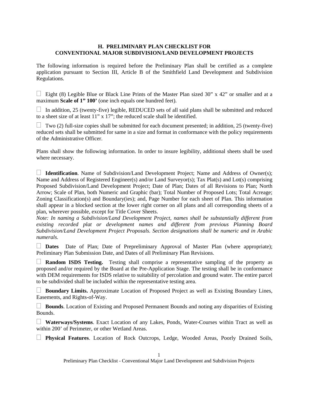#### **H. PRELIMINARY PLAN CHECKLIST FOR CONVENTIONAL MAJOR SUBDIVISION/LAND DEVELOPMENT PROJECTS**

The following information is required before the Preliminary Plan shall be certified as a complete application pursuant to Section III, Article B of the Smithfield Land Development and Subdivision Regulations.

 $\Box$  Eight (8) Legible Blue or Black Line Prints of the Master Plan sized 30" x 42" or smaller and at a maximum **Scale of 1" 100'** (one inch equals one hundred feet).

 $\Box$  In addition, 25 (twenty-five) legible, REDUCED sets of all said plans shall be submitted and reduced to a sheet size of at least 11" x 17"; the reduced scale shall be identified.

 $\Box$  Two (2) full-size copies shall be submitted for each document presented; in addition, 25 (twenty-five) reduced sets shall be submitted for same in a size and format in conformance with the policy requirements of the Administrative Officer.

Plans shall show the following information. In order to insure legibility, additional sheets shall be used where necessary.

□ **Identification**. Name of Subdivision/Land Development Project; Name and Address of Owner(s); Name and Address of Registered Engineer(s) and/or Land Surveyor(s); Tax Plat(s) and Lot(s) comprising Proposed Subdivision/Land Development Project; Date of Plan; Dates of all Revisions to Plan; North Arrow; Scale of Plan, both Numeric and Graphic (bar); Total Number of Proposed Lots; Total Acreage; Zoning Classification(s) and Boundary(ies); and, Page Number for each sheet of Plan. This information shall appear in a blocked section at the lower right corner on all plans and all corresponding sheets of a plan, wherever possible, except for Title Cover Sheets.

*Note: In naming a Subdivision/Land Development Project, names shall be substantially different from existing recorded plat or development names and different from previous Planning Board Subdivision/Land Development Project Proposals. Section designations shall be numeric and in Arabic numerals.* 

 **Dates** Date of Plan; Date of Prepreliminary Approval of Master Plan (where appropriate); Preliminary Plan Submission Date, and Dates of all Preliminary Plan Revisions.

 **Random ISDS Testing.** Testing shall comprise a representative sampling of the property as proposed and/or required by the Board at the Pre-Application Stage. The testing shall be in conformance with DEM requirements for ISDS relative to suitability of percolation and ground water. The entire parcel to be subdivided shall be included within the representative testing area.

 **Boundary Limits.** Approximate Location of Proposed Project as well as Existing Boundary Lines, Easements, and Rights-of-Way.

 **Bounds**. Location of Existing and Proposed Permanent Bounds and noting any disparities of Existing Bounds.

 **Waterways/Systems**. Exact Location of any Lakes, Ponds, Water-Courses within Tract as well as within 200' of Perimeter, or other Wetland Areas.

**Physical Features**. Location of Rock Outcrops, Ledge, Wooded Areas, Poorly Drained Soils,

Preliminary Plan Checklist - Conventional Major Land Development and Subdivision Projects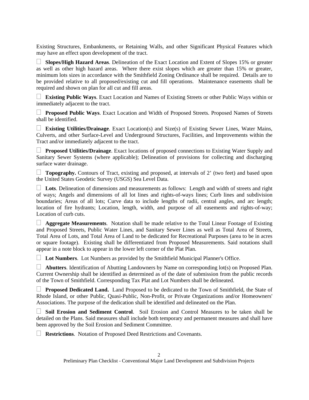Existing Structures, Embankments, or Retaining Walls, and other Significant Physical Features which may have an effect upon development of the tract.

 **Slopes/High Hazard Areas**. Delineation of the Exact Location and Extent of Slopes 15% or greater as well as other high hazard areas. Where there exist slopes which are greater than 15% or greater, minimum lots sizes in accordance with the Smithfield Zoning Ordinance shall be required. Details are to be provided relative to all proposed/existing cut and fill operations. Maintenance easements shall be required and shown on plan for all cut and fill areas.

 **Existing Public Ways**. Exact Location and Names of Existing Streets or other Public Ways within or immediately adjacent to the tract.

 **Proposed Public Ways**. Exact Location and Width of Proposed Streets. Proposed Names of Streets shall be identified.

 **Existing Utilities/Drainage**. Exact Location(s) and Size(s) of Existing Sewer Lines, Water Mains, Culverts, and other Surface-Level and Underground Structures, Facilities, and Improvements within the Tract and/or immediately adjacent to the tract.

**Proposed Utilities/Drainage.** Exact locations of proposed connections to Existing Water Supply and Sanitary Sewer Systems (where applicable); Delineation of provisions for collecting and discharging surface water drainage.

**Topography.** Contours of Tract, existing and proposed, at intervals of 2' (two feet) and based upon the United States Geodetic Survey (USGS) Sea Level Data.

 **Lots**. Delineation of dimensions and measurements as follows: Length and width of streets and right of ways; Angels and dimensions of all lot lines and rights-of-ways lines; Curb lines and subdivision boundaries; Areas of all lots; Curve data to include lengths of radii, central angles, and arc length; location of fire hydrants; Location, length, width, and purpose of all easements and rights-of-way; Location of curb cuts.

 $\Box$  **Aggregate Measurements**. Notation shall be made relative to the Total Linear Footage of Existing and Proposed Streets, Public Water Lines, and Sanitary Sewer Lines as well as Total Area of Streets, Total Area of Lots, and Total Area of Land to be dedicated for Recreational Purposes (area to be in acres or square footage). Existing shall be differentiated from Proposed Measurements. Said notations shall appear in a note block to appear in the lower left corner of the Plat Plan.

**Lot Numbers**. Lot Numbers as provided by the Smithfield Municipal Planner's Office.

 **Abutters**. Identification of Abutting Landowners by Name on corresponding lot(s) on Proposed Plan. Current Ownership shall be identified as determined as of the date of submission from the public records of the Town of Smithfield. Corresponding Tax Plat and Lot Numbers shall be delineated.

 **Proposed Dedicated Land.** Land Proposed to be dedicated to the Town of Smithfield, the State of Rhode Island, or other Public, Quasi-Public, Non-Profit, or Private Organizations and/or Homeowners' Associations. The purpose of the dedication shall be identified and delineated on the Plan.

 **Soil Erosion and Sediment Control**. Soil Erosion and Control Measures to be taken shall be detailed on the Plans. Said measures shall include both temporary and permanent measures and shall have been approved by the Soil Erosion and Sediment Committee.

**Restrictions**. Notation of Proposed Deed Restrictions and Covenants.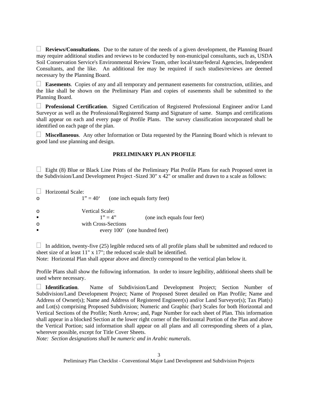**Reviews/Consultations**. Due to the nature of the needs of a given development, the Planning Board may require additional studies and reviews to be conducted by non-municipal consultants, such as, USDA Soil Conservation Service's Environmental Review Team, other local/state/federal Agencies, Independent Consultants, and the like. An additional fee may be required if such studies/reviews are deemed necessary by the Planning Board.

 **Easements**. Copies of any and all temporary and permanent easements for construction, utilities, and the like shall be shown on the Preliminary Plan and copies of easements shall be submitted to the Planning Board.

 **Professional Certification**. Signed Certification of Registered Professional Engineer and/or Land Surveyor as well as the Professional/Registered Stamp and Signature of same. Stamps and certifications shall appear on each and every page of Profile Plans. The survey classification incorporated shall be identified on each page of the plan.

 **Miscellaneous**. Any other Information or Data requested by the Planning Board which is relevant to good land use planning and design.

#### **PRELIMINARY PLAN PROFILE**

 $\Box$  Eight (8) Blue or Black Line Prints of the Preliminary Plat Profile Plans for each Proposed street in the Subdivision/Land Development Project -Sized 30" x 42" or smaller and drawn to a scale as follows:

**Horizontal Scale:** o  $1" = 40'$  (one inch equals forty feet) o Vertical Scale:<br> $1" = 4"$  $1" = 4"$  (one inch equals four feet) o with Cross-Sections every 100' (one hundred feet)

 $\Box$  In addition, twenty-five (25) legible reduced sets of all profile plans shall be submitted and reduced to sheet size of at least 11" x 17"; the reduced scale shall be identified.

Note: Horizontal Plan shall appear above and directly correspond to the vertical plan below it.

Profile Plans shall show the following information. In order to insure legibility, additional sheets shall be used where necessary.

 **Identification**. Name of Subdivision/Land Development Project; Section Number of Subdivision/Land Development Project; Name of Proposed Street detailed on Plan Profile; Name and Address of Owner(s); Name and Address of Registered Engineer(s) and/or Land Surveyor(s); Tax Plat(s) and Lot(s) comprising Proposed Subdivision; Numeric and Graphic (bar) Scales for both Horizontal and Vertical Sections of the Profile; North Arrow; and, Page Number for each sheet of Plan. This information shall appear in a blocked Section at the lower right corner of the Horizontal Portion of the Plan and above the Vertical Portion; said information shall appear on all plans and all corresponding sheets of a plan, wherever possible, except for Title Cover Sheets.

*Note: Section designations shall be numeric and in Arabic numerals.*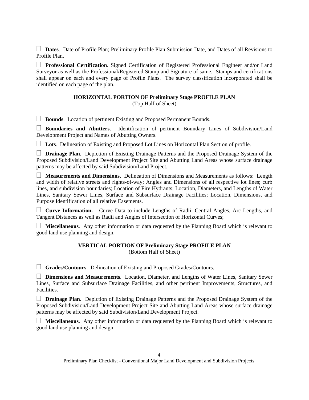**Dates**. Date of Profile Plan; Preliminary Profile Plan Submission Date, and Dates of all Revisions to Profile Plan.

 **Professional Certification**. Signed Certification of Registered Professional Engineer and/or Land Surveyor as well as the Professional/Registered Stamp and Signature of same. Stamps and certifications shall appear on each and every page of Profile Plans. The survey classification incorporated shall be identified on each page of the plan.

# **HORIZONTAL PORTION OF Preliminary Stage PROFILE PLAN**

(Top Half-of Sheet)

**Bounds**. Location of pertinent Existing and Proposed Permanent Bounds.

 **Boundaries and Abutters**. Identification of pertinent Boundary Lines of Subdivision/Land Development Project and Names of Abutting Owners.

**Lots**. Delineation of Existing and Proposed Lot Lines on Horizontal Plan Section of profile.

 **Drainage Plan**. Depiction of Existing Drainage Patterns and the Proposed Drainage System of the Proposed Subdivision/Land Development Project Site and Abutting Land Areas whose surface drainage patterns may be affected by said Subdivision/Land Project.

 **Measurements and Dimensions.** Delineation of Dimensions and Measurements as follows: Length and width of relative streets and rights-of-way; Angles and Dimensions of all respective lot lines; curb lines, and subdivision boundaries; Location of Fire Hydrants; Location, Diameters, and Lengths of Water Lines, Sanitary Sewer Lines, Surface and Subsurface Drainage Facilities; Location, Dimensions, and Purpose Identification of all relative Easements.

 **Curve Information.** Curve Data to include Lengths of Radii, Central Angles, Arc Lengths, and Tangent Distances as well as Radii and Angles of Intersection of Horizontal Curves;

 **Miscellaneous**. Any other information or data requested by the Planning Board which is relevant to good land use planning and design.

# **VERTICAL PORTION OF Preliminary Stage PROFILE PLAN**  (Bottom Half of Sheet)

**Grades/Contours**. Delineation of Existing and Proposed Grades/Contours.

 **Dimensions and Measurements**. Location, Diameter, and Lengths of Water Lines, Sanitary Sewer Lines, Surface and Subsurface Drainage Facilities, and other pertinent Improvements, Structures, and Facilities.

 **Drainage Plan**. Depiction of Existing Drainage Patterns and the Proposed Drainage System of the Proposed Subdivision/Land Development Project Site and Abutting Land Areas whose surface drainage patterns may be affected by said Subdivision/Land Development Project.

 **Miscellaneous**. Any other information or data requested by the Planning Board which is relevant to good land use planning and design.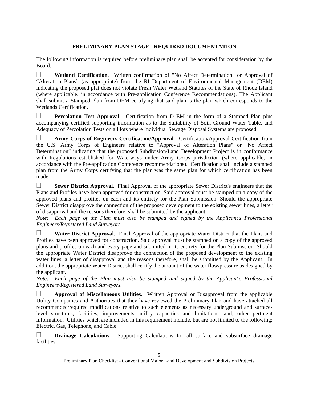# **PRELIMINARY PLAN STAGE - REQUIRED DOCUMENTATION**

The following information is required before preliminary plan shall be accepted for consideration by the Board.

 **Wetland Certification**. Written confirmation of "No Affect Determination" or Approval of "Alteration Plans" (as appropriate) from the RI Department of Environmental Management (DEM) indicating the proposed plat does not violate Fresh Water Wetland Statutes of the State of Rhode Island (where applicable, in accordance with Pre-application Conference Recommendations). The Applicant shall submit a Stamped Plan from DEM certifying that said plan is the plan which corresponds to the Wetlands Certification.

 **Percolation Test Approval**. Certification from D EM in the form of a Stamped Plan plus accompanying certified supporting information as to the Suitability of Soil, Ground Water Table, and Adequacy of Percolation Tests on all lots where Individual Sewage Disposal Systems are proposed.

 **Army Corps of Engineers Certification/Approval**. Certification/Approval Certification from the U.S. Army Corps of Engineers relative to "Approval of Alteration Plans" or "No Affect Determination" indicating that the proposed Subdivision/Land Development Project is in conformance with Regulations established for Waterways under Army Corps jurisdiction (where applicable, in accordance with the Pre-application Conference recommendations). Certification shall include a stamped plan from the Army Corps certifying that the plan was the same plan for which certification has been made.

**Sewer District Approval.** Final Approval of the appropriate Sewer District's engineers that the Plans and Profiles have been approved for construction. Said approval must be stamped on a copy of the approved plans and profiles on each and its entirety for the Plan Submission. Should the appropriate Sewer District disapprove the connection of the proposed development to the existing sewer lines, a letter of disapproval and the reasons therefore, shall be submitted by the applicant.

*Note: Each page of the Plan must also be stamped and signed by the Applicant's Professional Engineers/Registered Land Surveyors.* 

 **Water District Approval**. Final Approval of the appropriate Water District that the Plans and Profiles have been approved for construction. Said approval must be stamped on a copy of the approved plans and profiles on each and every page and submitted in its entirety for the Plan Submission. Should the appropriate Water District disapprove the connection of the proposed development to the existing water lines, a letter of disapproval and the reasons therefore, shall be submitted by the Applicant. In addition, the appropriate Water District shall certify the amount of the water flow/pressure as designed by the applicant.

*Note:* Each page of the Plan must also be stamped and signed by the Applicant's Professional *Engineers/Registered Land Surveyors.* 

 **Approval of Miscellaneous Utilities**. Written Approval or Disapproval from the applicable Utility Companies and Authorities that they have reviewed the Preliminary Plan and have attached all recommended/required modifications relative to such elements as necessary underground and surfacelevel structures, facilities, improvements, utility capacities and limitations; and, other pertinent information. Utilities which are included in this requirement include, but are not limited to the following: Electric, Gas, Telephone, and Cable.

 **Drainage Calculations**. Supporting Calculations for all surface and subsurface drainage facilities.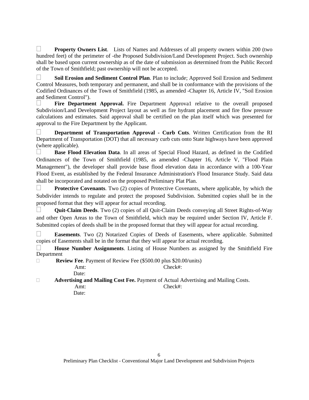**Property Owners List.** Lists of Names and Addresses of all property owners within 200 (two hundred feet) of the perimeter of -the Proposed Subdivision/Land Development Project. Such ownership shall be based upon current ownership as of the date of submission as determined from the Public Record of the Town of Smithfield; past ownership will not be accepted.

 **Soil Erosion and Sediment Control Plan**. Plan to include; Approved Soil Erosion and Sediment Control Measures, both temporary and permanent, and shall be in conformance with the provisions of the Codified Ordinances of the Town of Smithfield (1985, as amended -Chapter 16, Article IV, "Soil Erosion and Sediment Control").

Fire Department Approval. Fire Department Approval relative to the overall proposed Subdivision/Land Development Project layout as well as fire hydrant placement and fire flow pressure calculations and estimates. Said approval shall be certified on the plan itself which was presented for approval to the Fire Department by the Applicant.

 **Department of Transportation Approval - Curb Cuts**. Written Certification from the RI Department of Transportation (DOT) that all necessary curb cuts onto State highways have been approved (where applicable).

 **Base Flood Elevation Data**. In all areas of Special Flood Hazard, as defined in the Codified Ordinances of the Town of Smithfield (1985, as amended -Chapter 16, Article V, "Flood Plain Management"), the developer shall provide base flood elevation data in accordance with a 100-Year Flood Event, as established by the Federal Insurance Administration's Flood Insurance Study. Said data shall be incorporated and notated on the proposed Preliminary Plat Plan.

**Protective Covenants**. Two (2) copies of Protective Covenants, where applicable, by which the Subdivider intends to regulate and protect the proposed Subdivision. Submitted copies shall be in the proposed format that they will appear for actual recording.

 **Quit-Claim Deeds**. Two (2) copies of all Quit-Claim Deeds conveying all Street Rights-of-Way and other Open Areas to the Town of Smithfield, which may be required under Section IV, Article F. Submitted copies of deeds shall be in the proposed format that they will appear for actual recording.

 **Easements**. Two (2) Notarized Copies of Deeds of Easements, where applicable. Submitted copies of Easements shall be in the format that they will appear for actual recording.

 **House Number Assignments**. Listing of House Numbers as assigned by the Smithfield Fire Department

**Review Fee. Payment of Review Fee (\$500.00 plus \$20.00/units)** 

Amt: Check#:

Date:

**Advertising and Mailing Cost Fee.** Payment of Actual Advertising and Mailing Costs.

Amt: Check#:

Date: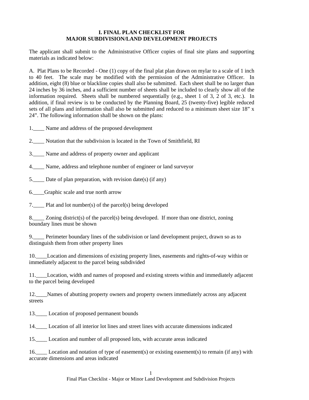## **I. FINAL PLAN CHECKLIST FOR MAJOR SUBDIVISION/LAND DEVELOPMENT PROJECTS**

The applicant shall submit to the Administrative Officer copies of final site plans and supporting materials as indicated below:

A. Plat Plans to be Recorded - One (1) copy of the final plat plan drawn on mylar to a scale of 1 inch to 40 feet. The scale may be modified with the permission of the Administrative Officer. In addition, eight (8) blue or blackline copies shall also be submitted. Each sheet shall be no larger than 24 inches by 36 inches, and a sufficient number of sheets shall be included to clearly show all of the information required. Sheets shall be numbered sequentially (e.g., sheet 1 of 3, 2 of 3, etc.). In addition, if final review is to be conducted by the Planning Board, 25 (twenty-five) legible reduced sets of all plans and information shall also be submitted and reduced to a minimum sheet size 18" x 24". The following information shall be shown on the plans:

1. Name and address of the proposed development

2. Notation that the subdivision is located in the Town of Smithfield, RI

3.\_\_\_\_ Name and address of property owner and applicant

4.\_\_\_\_ Name, address and telephone number of engineer or land surveyor

5.\_\_\_\_ Date of plan preparation, with revision date(s) (if any)

6.\_\_\_\_Graphic scale and true north arrow

7.\_\_\_\_ Plat and lot number(s) of the parcel(s) being developed

8.  $\blacksquare$  Zoning district(s) of the parcel(s) being developed. If more than one district, zoning boundary lines must be shown

9. Perimeter boundary lines of the subdivision or land development project, drawn so as to distinguish them from other property lines

10.\_\_\_\_Location and dimensions of existing property lines, easements and rights-of-way within or immediately adjacent to the parcel being subdivided

11.\_\_\_\_Location, width and names of proposed and existing streets within and immediately adjacent to the parcel being developed

12.\_\_\_\_Names of abutting property owners and property owners immediately across any adjacent streets

13.\_\_\_\_ Location of proposed permanent bounds

14.\_\_\_\_ Location of all interior lot lines and street lines with accurate dimensions indicated

15.\_\_\_\_ Location and number of all proposed lots, with accurate areas indicated

16.\_\_\_\_ Location and notation of type of easement(s) or existing easement(s) to remain (if any) with accurate dimensions and areas indicated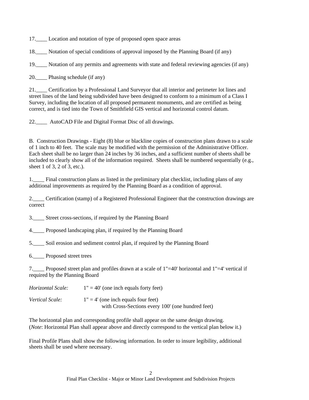17.\_\_\_\_ Location and notation of type of proposed open space areas

18.\_\_\_\_ Notation of special conditions of approval imposed by the Planning Board (if any)

19.\_\_\_\_ Notation of any permits and agreements with state and federal reviewing agencies (if any)

20. Phasing schedule (if any)

21.\_\_\_\_ Certification by a Professional Land Surveyor that all interior and perimeter lot lines and street lines of the land being subdivided have been designed to conform to a minimum of a Class I Survey, including the location of all proposed permanent monuments, and are certified as being correct, and is tied into the Town of Smithfield GIS vertical and horizontal control datum.

22.\_\_\_\_ AutoCAD File and Digital Format Disc of all drawings.

B. Construction Drawings - Eight (8) blue or blackline copies of construction plans drawn to a scale of 1 inch to 40 feet. The scale may be modified with the permission of the Administrative Officer. Each sheet shall be no larger than 24 inches by 36 inches, and a sufficient number of sheets shall be included to clearly show all of the information required. Sheets shall be numbered sequentially (e.g., sheet 1 of 3, 2 of 3, etc.).

1. Final construction plans as listed in the preliminary plat checklist, including plans of any additional improvements as required by the Planning Board as a condition of approval.

2.\_\_\_\_ Certification (stamp) of a Registered Professional Engineer that the construction drawings are correct

3. Street cross-sections, if required by the Planning Board

4.\_\_\_\_ Proposed landscaping plan, if required by the Planning Board

5.\_\_\_\_ Soil erosion and sediment control plan, if required by the Planning Board

6.\_\_\_\_ Proposed street trees

7.\_\_\_\_ Proposed street plan and profiles drawn at a scale of 1"=40' horizontal and 1"=4' vertical if required by the Planning Board

*Horizontal Scale:* 1" = 40' (one inch equals forty feet)

*Vertical Scale:*  $1'' = 4'$  (one inch equals four feet) with Cross-Sections every 100' (one hundred feet)

The horizontal plan and corresponding profile shall appear on the same design drawing. (*Note*: Horizontal Plan shall appear above and directly correspond to the vertical plan below it.)

Final Profile Plans shall show the following information. In order to insure legibility, additional sheets shall be used where necessary.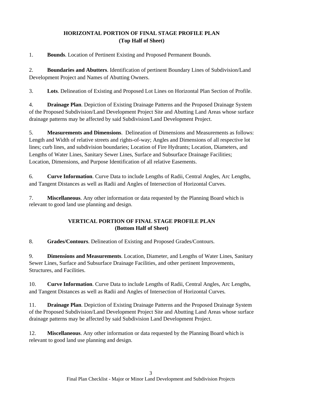# **HORIZONTAL PORTION OF FINAL STAGE PROFILE PLAN (Top Half of Sheet)**

1. **Bounds**. Location of Pertinent Existing and Proposed Permanent Bounds.

2. **Boundaries and Abutters**. Identification of pertinent Boundary Lines of Subdivision/Land Development Project and Names of Abutting Owners.

3. **Lots**. Delineation of Existing and Proposed Lot Lines on Horizontal Plan Section of Profile.

4. **Drainage Plan**. Depiction of Existing Drainage Patterns and the Proposed Drainage System of the Proposed Subdivision/Land Development Project Site and Abutting Land Areas whose surface drainage patterns may be affected by said Subdivision/Land Development Project.

5. **Measurements and Dimensions**. Delineation of Dimensions and Measurements as follows: Length and Width of relative streets and rights-of-way; Angles and Dimensions of all respective lot lines; curb lines, and subdivision boundaries; Location of Fire Hydrants; Location, Diameters, and Lengths of Water Lines, Sanitary Sewer Lines, Surface and Subsurface Drainage Facilities; Location, Dimensions, and Purpose Identification of all relative Easements.

6. **Curve Information**. Curve Data to include Lengths of Radii, Central Angles, Arc Lengths, and Tangent Distances as well as Radii and Angles of Intersection of Horizontal Curves.

7. **Miscellaneous**. Any other information or data requested by the Planning Board which is relevant to good land use planning and design.

# **VERTICAL PORTION OF FINAL STAGE PROFILE PLAN (Bottom Half of Sheet)**

8. **Grades/Contours**. Delineation of Existing and Proposed Grades/Contours.

9. **Dimensions and Measurements**. Location, Diameter, and Lengths of Water Lines, Sanitary Sewer Lines, Surface and Subsurface Drainage Facilities, and other pertinent Improvements, Structures, and Facilities.

10. **Curve Information**. Curve Data to include Lengths of Radii, Central Angles, Arc Lengths, and Tangent Distances as well as Radii and Angles of Intersection of Horizontal Curves*.* 

11. **Drainage Plan**. Depiction of Existing Drainage Patterns and the Proposed Drainage System of the Proposed Subdivision/Land Development Project Site and Abutting Land Areas whose surface drainage patterns may be affected by said Subdivision Land Development Project.

12. **Miscellaneous**. Any other information or data requested by the Planning Board which is relevant to good land use planning and design.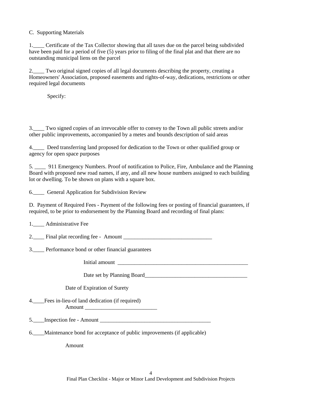## C. Supporting Materials

1.\_\_\_\_ Certificate of the Tax Collector showing that all taxes due on the parcel being subdivided have been paid for a period of five (5) years prior to filing of the final plat and that there are no outstanding municipal liens on the parcel

2.\_\_\_\_ Two original signed copies of all legal documents describing the property, creating a Homeowners' Association, proposed easements and rights-of-way, dedications, restrictions or other required legal documents

Specify:

3.\_\_\_\_ Two signed copies of an irrevocable offer to convey to the Town all public streets and/or other public improvements, accompanied by a metes and bounds description of said areas

4.\_\_\_\_ Deed transferring land proposed for dedication to the Town or other qualified group or agency for open space purposes

5. \_\_\_\_ 911 Emergency Numbers. Proof of notification to Police, Fire, Ambulance and the Planning Board with proposed new road names, if any, and all new house numbers assigned to each building lot or dwelling. To be shown on plans with a square box.

6. General Application for Subdivision Review

D. Payment of Required Fees - Payment of the following fees or posting of financial guarantees, if required, to be prior to endorsement by the Planning Board and recording of final plans:

1. Administrative Fee

2. Final plat recording fee - Amount

3.\_\_\_\_ Performance bond or other financial guarantees

Initial amount

Date set by Planning Board\_\_\_\_\_\_\_\_\_\_\_\_\_\_\_\_\_\_\_\_\_\_\_\_\_\_\_\_\_\_\_\_\_\_\_\_\_

Date of Expiration of Surety

4.\_\_\_\_Fees in-lieu-of land dedication (if required) Amount \_\_\_\_\_\_\_\_\_\_\_\_\_\_\_\_\_\_\_\_\_\_\_\_\_\_

5. Inspection fee - Amount

6.\_\_\_\_Maintenance bond for acceptance of public improvements (if applicable)

Amount